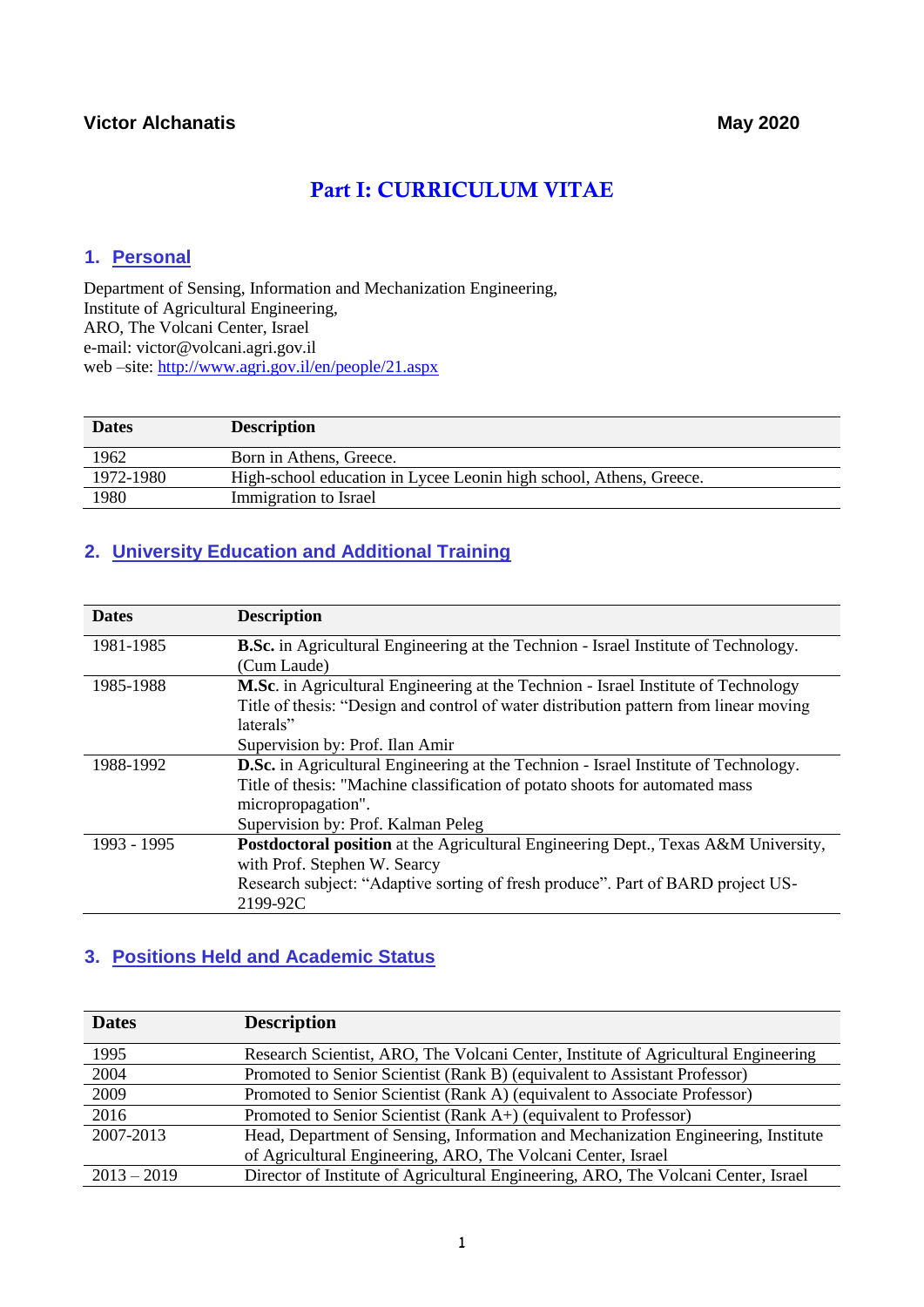# Part I: CURRICULUM VITAE

### **1. Personal**

Department of Sensing, Information and Mechanization Engineering, Institute of Agricultural Engineering, ARO, The Volcani Center, Israel e-mail: victor@volcani.agri.gov.il web –site: <http://www.agri.gov.il/en/people/21.aspx>

| <b>Dates</b> | <b>Description</b>                                                 |
|--------------|--------------------------------------------------------------------|
| 1962         | Born in Athens, Greece.                                            |
| 1972-1980    | High-school education in Lycee Leonin high school, Athens, Greece. |
| 1980         | Immigration to Israel                                              |

# **2. University Education and Additional Training**

| <b>Dates</b> | <b>Description</b>                                                                         |
|--------------|--------------------------------------------------------------------------------------------|
| 1981-1985    | <b>B.Sc.</b> in Agricultural Engineering at the Technion - Israel Institute of Technology. |
|              | (Cum Laude)                                                                                |
| 1985-1988    | <b>M.Sc.</b> in Agricultural Engineering at the Technion - Israel Institute of Technology  |
|              | Title of thesis: "Design and control of water distribution pattern from linear moving      |
|              | laterals"                                                                                  |
|              | Supervision by: Prof. Ilan Amir                                                            |
| 1988-1992    | <b>D.Sc.</b> in Agricultural Engineering at the Technion - Israel Institute of Technology. |
|              | Title of thesis: "Machine classification of potato shoots for automated mass               |
|              | micropropagation".                                                                         |
|              | Supervision by: Prof. Kalman Peleg                                                         |
| 1993 - 1995  | Postdoctoral position at the Agricultural Engineering Dept., Texas A&M University,         |
|              | with Prof. Stephen W. Searcy                                                               |
|              | Research subject: "Adaptive sorting of fresh produce". Part of BARD project US-            |
|              | 2199-92C                                                                                   |

# **3. Positions Held and Academic Status**

| <b>Dates</b>  | <b>Description</b>                                                                 |
|---------------|------------------------------------------------------------------------------------|
| 1995          | Research Scientist, ARO, The Volcani Center, Institute of Agricultural Engineering |
| 2004          | Promoted to Senior Scientist (Rank B) (equivalent to Assistant Professor)          |
| 2009          | Promoted to Senior Scientist (Rank A) (equivalent to Associate Professor)          |
| 2016          | Promoted to Senior Scientist (Rank A+) (equivalent to Professor)                   |
| 2007-2013     | Head, Department of Sensing, Information and Mechanization Engineering, Institute  |
|               | of Agricultural Engineering, ARO, The Volcani Center, Israel                       |
| $2013 - 2019$ | Director of Institute of Agricultural Engineering, ARO, The Volcani Center, Israel |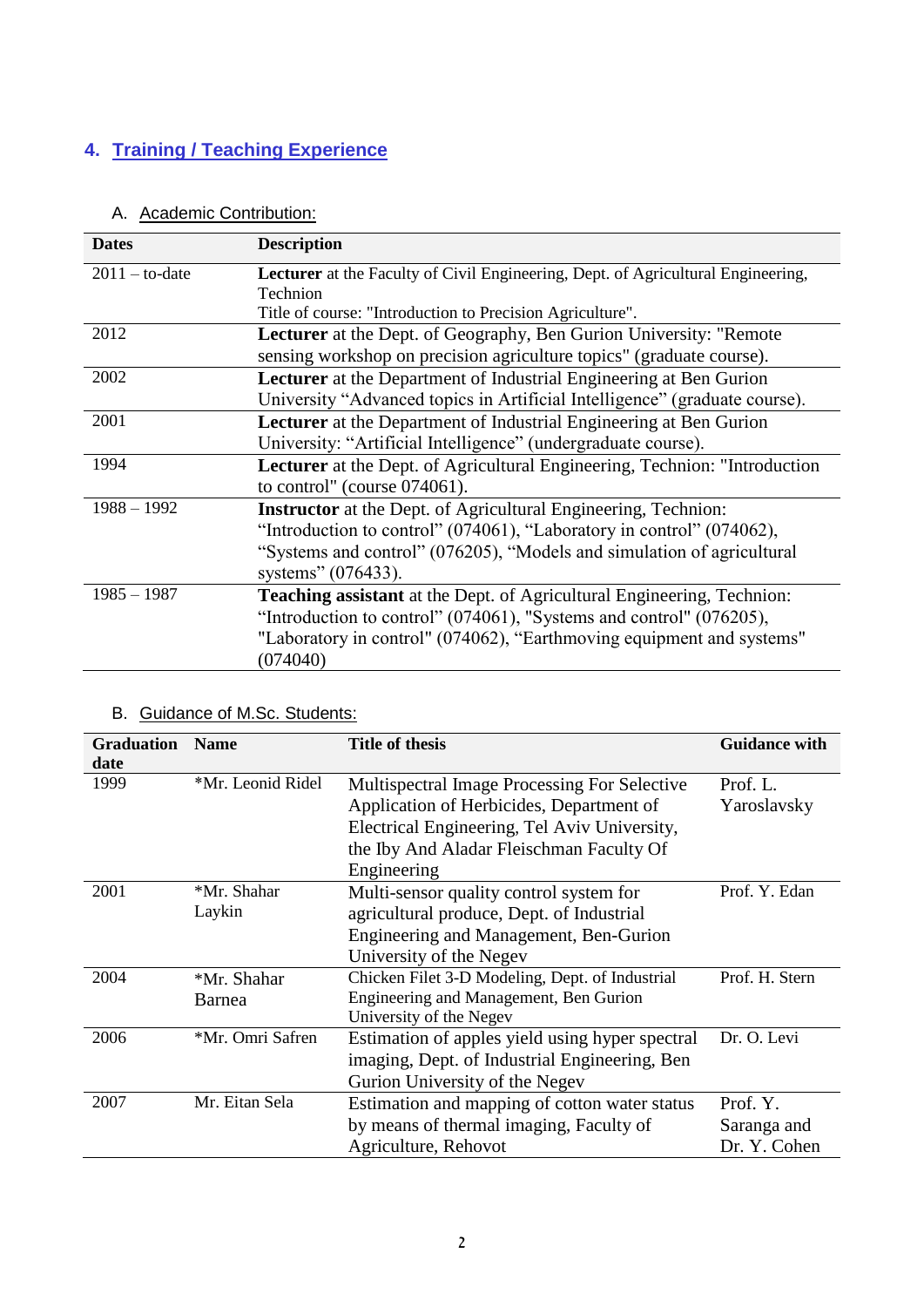# **4. Training / Teaching Experience**

| <b>Dates</b>     | <b>Description</b>                                                                      |
|------------------|-----------------------------------------------------------------------------------------|
| $2011 -$ to-date | <b>Lecturer</b> at the Faculty of Civil Engineering, Dept. of Agricultural Engineering, |
|                  | Technion                                                                                |
|                  | Title of course: "Introduction to Precision Agriculture".                               |
| 2012             | <b>Lecturer</b> at the Dept. of Geography, Ben Gurion University: "Remote               |
|                  | sensing workshop on precision agriculture topics" (graduate course).                    |
| 2002             | <b>Lecturer</b> at the Department of Industrial Engineering at Ben Gurion               |
|                  | University "Advanced topics in Artificial Intelligence" (graduate course).              |
| 2001             | <b>Lecturer</b> at the Department of Industrial Engineering at Ben Gurion               |
|                  | University: "Artificial Intelligence" (undergraduate course).                           |
| 1994             | Lecturer at the Dept. of Agricultural Engineering, Technion: "Introduction              |
|                  | to control" (course $074061$ ).                                                         |
| $1988 - 1992$    | <b>Instructor</b> at the Dept. of Agricultural Engineering, Technion:                   |
|                  | "Introduction to control" (074061), "Laboratory in control" (074062),                   |
|                  | "Systems and control" (076205), "Models and simulation of agricultural                  |
|                  | systems" (076433).                                                                      |
| $1985 - 1987$    | <b>Teaching assistant</b> at the Dept. of Agricultural Engineering, Technion:           |
|                  | "Introduction to control" (074061), "Systems and control" (076205),                     |
|                  | "Laboratory in control" (074062), "Earthmoving equipment and systems"                   |
|                  | (074040)                                                                                |

### A. Academic Contribution:

# B. Guidance of M.Sc. Students:

| <b>Graduation</b> | <b>Name</b>       | <b>Title of thesis</b>                              | <b>Guidance with</b> |
|-------------------|-------------------|-----------------------------------------------------|----------------------|
| date<br>1999      | *Mr. Leonid Ridel | <b>Multispectral Image Processing For Selective</b> | Prof. L.             |
|                   |                   | Application of Herbicides, Department of            | Yaroslavsky          |
|                   |                   | Electrical Engineering, Tel Aviv University,        |                      |
|                   |                   | the Iby And Aladar Fleischman Faculty Of            |                      |
|                   |                   | Engineering                                         |                      |
| 2001              | *Mr. Shahar       | Multi-sensor quality control system for             | Prof. Y. Edan        |
|                   | Laykin            | agricultural produce, Dept. of Industrial           |                      |
|                   |                   | Engineering and Management, Ben-Gurion              |                      |
|                   |                   | University of the Negev                             |                      |
| 2004              | *Mr. Shahar       | Chicken Filet 3-D Modeling, Dept. of Industrial     | Prof. H. Stern       |
|                   | Barnea            | Engineering and Management, Ben Gurion              |                      |
|                   |                   | University of the Negev                             |                      |
| 2006              | *Mr. Omri Safren  | Estimation of apples yield using hyper spectral     | Dr. O. Levi          |
|                   |                   | imaging, Dept. of Industrial Engineering, Ben       |                      |
|                   |                   | Gurion University of the Negev                      |                      |
| 2007              | Mr. Eitan Sela    | Estimation and mapping of cotton water status       | Prof. Y.             |
|                   |                   | by means of thermal imaging, Faculty of             | Saranga and          |
|                   |                   | Agriculture, Rehovot                                | Dr. Y. Cohen         |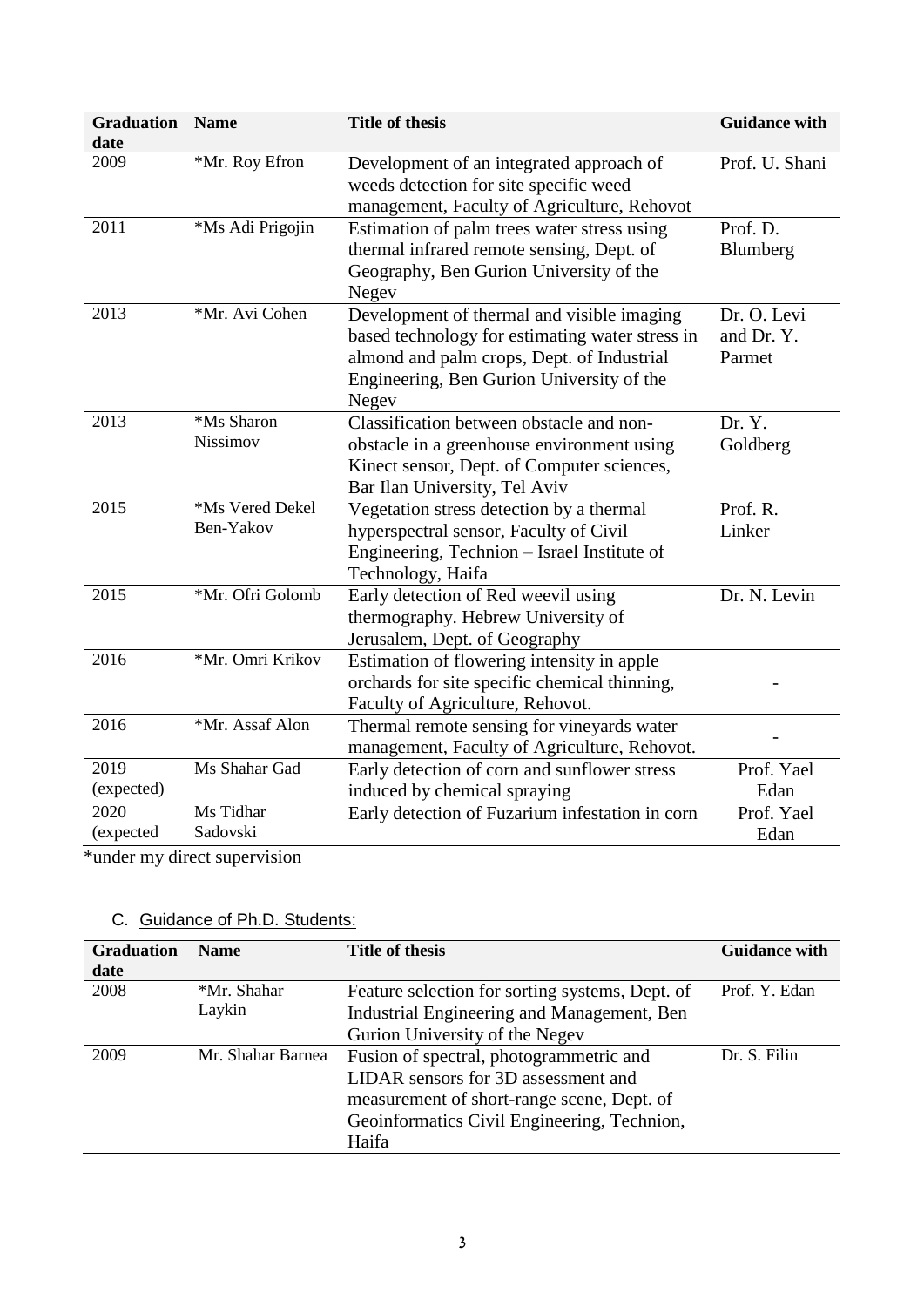| date                                                                       | Development of an integrated approach of                                                                                                                                                          |                                     |
|----------------------------------------------------------------------------|---------------------------------------------------------------------------------------------------------------------------------------------------------------------------------------------------|-------------------------------------|
| *Mr. Roy Efron<br>2009                                                     | weeds detection for site specific weed<br>management, Faculty of Agriculture, Rehovot                                                                                                             | Prof. U. Shani                      |
| 2011<br>*Ms Adi Prigojin                                                   | Estimation of palm trees water stress using<br>thermal infrared remote sensing, Dept. of<br>Geography, Ben Gurion University of the<br>Negev                                                      | Prof. D.<br>Blumberg                |
| *Mr. Avi Cohen<br>2013                                                     | Development of thermal and visible imaging<br>based technology for estimating water stress in<br>almond and palm crops, Dept. of Industrial<br>Engineering, Ben Gurion University of the<br>Negev | Dr. O. Levi<br>and Dr. Y.<br>Parmet |
| *Ms Sharon<br>2013<br>Nissimov                                             | Classification between obstacle and non-<br>obstacle in a greenhouse environment using<br>Kinect sensor, Dept. of Computer sciences,<br>Bar Ilan University, Tel Aviv                             | Dr. Y.<br>Goldberg                  |
| *Ms Vered Dekel<br>2015<br>Ben-Yakov                                       | Vegetation stress detection by a thermal<br>hyperspectral sensor, Faculty of Civil<br>Engineering, Technion - Israel Institute of<br>Technology, Haifa                                            | Prof. R.<br>Linker                  |
| *Mr. Ofri Golomb<br>2015                                                   | Early detection of Red weevil using<br>thermography. Hebrew University of<br>Jerusalem, Dept. of Geography                                                                                        | Dr. N. Levin                        |
| *Mr. Omri Krikov<br>2016                                                   | Estimation of flowering intensity in apple<br>orchards for site specific chemical thinning,<br>Faculty of Agriculture, Rehovot.                                                                   |                                     |
| 2016<br>*Mr. Assaf Alon                                                    | Thermal remote sensing for vineyards water<br>management, Faculty of Agriculture, Rehovot.                                                                                                        |                                     |
| 2019<br>Ms Shahar Gad<br>(expected)                                        | Early detection of corn and sunflower stress<br>induced by chemical spraying                                                                                                                      | Prof. Yael<br>Edan                  |
| 2020<br>Ms Tidhar<br>Sadovski<br>(expected<br>*under my direct supervision | Early detection of Fuzarium infestation in corn                                                                                                                                                   | Prof. Yael<br>Edan                  |

# C. Guidance of Ph.D. Students:

| <b>Graduation</b><br>date | <b>Name</b>       | <b>Title of thesis</b>                          | <b>Guidance with</b> |
|---------------------------|-------------------|-------------------------------------------------|----------------------|
| 2008                      | *Mr. Shahar       | Feature selection for sorting systems, Dept. of | Prof. Y. Edan        |
|                           | Laykin            | Industrial Engineering and Management, Ben      |                      |
|                           |                   | Gurion University of the Negev                  |                      |
| 2009                      | Mr. Shahar Barnea | Fusion of spectral, photogrammetric and         | Dr. S. Filin         |
|                           |                   | LIDAR sensors for 3D assessment and             |                      |
|                           |                   | measurement of short-range scene, Dept. of      |                      |
|                           |                   | Geoinformatics Civil Engineering, Technion,     |                      |
|                           |                   | Haifa                                           |                      |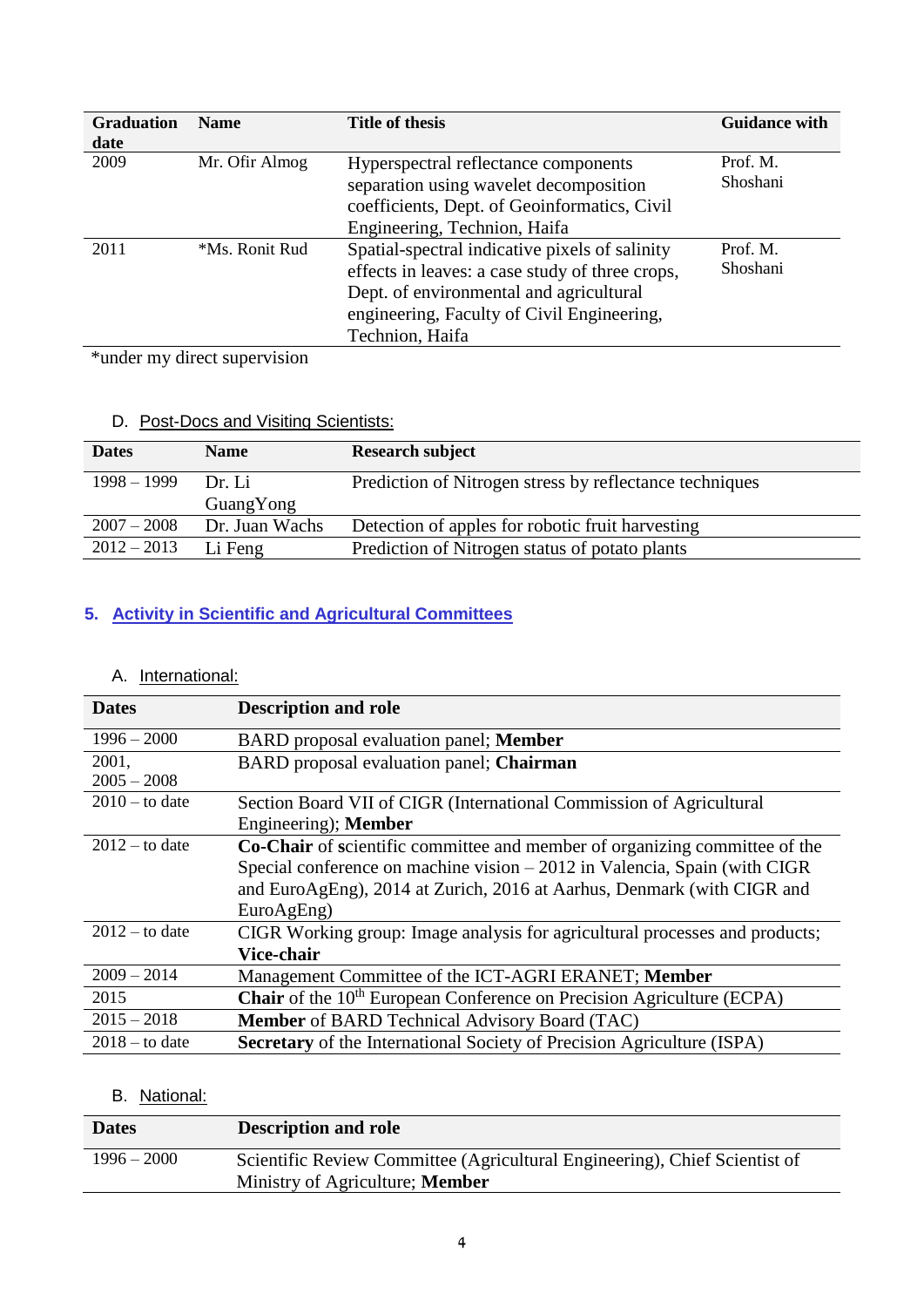| <b>Graduation</b>                             | <b>Name</b>          | <b>Title of thesis</b>                          | <b>Guidance with</b> |
|-----------------------------------------------|----------------------|-------------------------------------------------|----------------------|
| date                                          |                      |                                                 |                      |
| 2009                                          | Mr. Ofir Almog       | Hyperspectral reflectance components            | Prof. M.             |
|                                               |                      | separation using wavelet decomposition          | Shoshani             |
|                                               |                      | coefficients, Dept. of Geoinformatics, Civil    |                      |
|                                               |                      | Engineering, Technion, Haifa                    |                      |
| 2011                                          | *Ms. Ronit Rud       | Spatial-spectral indicative pixels of salinity  | Prof. M.             |
|                                               |                      | effects in leaves: a case study of three crops, | Shoshani             |
|                                               |                      | Dept. of environmental and agricultural         |                      |
|                                               |                      | engineering, Faculty of Civil Engineering,      |                      |
|                                               |                      | Technion, Haifa                                 |                      |
| and the state of the state of the<br>$\cdots$ | $\ddot{\phantom{0}}$ |                                                 |                      |

\*under my direct supervision

# D. Post-Docs and Visiting Scientists:

| <b>Dates</b>  | <b>Name</b>         | <b>Research subject</b>                                 |
|---------------|---------------------|---------------------------------------------------------|
| $1998 - 1999$ | Dr. Li<br>GuangYong | Prediction of Nitrogen stress by reflectance techniques |
| $2007 - 2008$ | Dr. Juan Wachs      | Detection of apples for robotic fruit harvesting        |
| $2012 - 2013$ | Li Feng             | Prediction of Nitrogen status of potato plants          |

# **5. Activity in Scientific and Agricultural Committees**

# A. International:

| <b>Dates</b>     | <b>Description and role</b>                                                              |
|------------------|------------------------------------------------------------------------------------------|
| $1996 - 2000$    | BARD proposal evaluation panel; Member                                                   |
| 2001,            | BARD proposal evaluation panel; Chairman                                                 |
| $2005 - 2008$    |                                                                                          |
| $2010 -$ to date | Section Board VII of CIGR (International Commission of Agricultural                      |
|                  | Engineering); Member                                                                     |
| $2012 -$ to date | Co-Chair of scientific committee and member of organizing committee of the               |
|                  | Special conference on machine vision $-2012$ in Valencia, Spain (with CIGR               |
|                  | and EuroAgEng), 2014 at Zurich, 2016 at Aarhus, Denmark (with CIGR and                   |
|                  | EuroAgEng)                                                                               |
| $2012 -$ to date | CIGR Working group: Image analysis for agricultural processes and products;              |
|                  | Vice-chair                                                                               |
| $2009 - 2014$    | Management Committee of the ICT-AGRI ERANET; Member                                      |
| 2015             | <b>Chair</b> of the 10 <sup>th</sup> European Conference on Precision Agriculture (ECPA) |
| $2015 - 2018$    | Member of BARD Technical Advisory Board (TAC)                                            |
| $2018 -$ to date | <b>Secretary</b> of the International Society of Precision Agriculture (ISPA)            |

# B. National:

| <b>Dates</b>  | <b>Description and role</b>                                                |
|---------------|----------------------------------------------------------------------------|
| $1996 - 2000$ | Scientific Review Committee (Agricultural Engineering), Chief Scientist of |
|               | Ministry of Agriculture; <b>Member</b>                                     |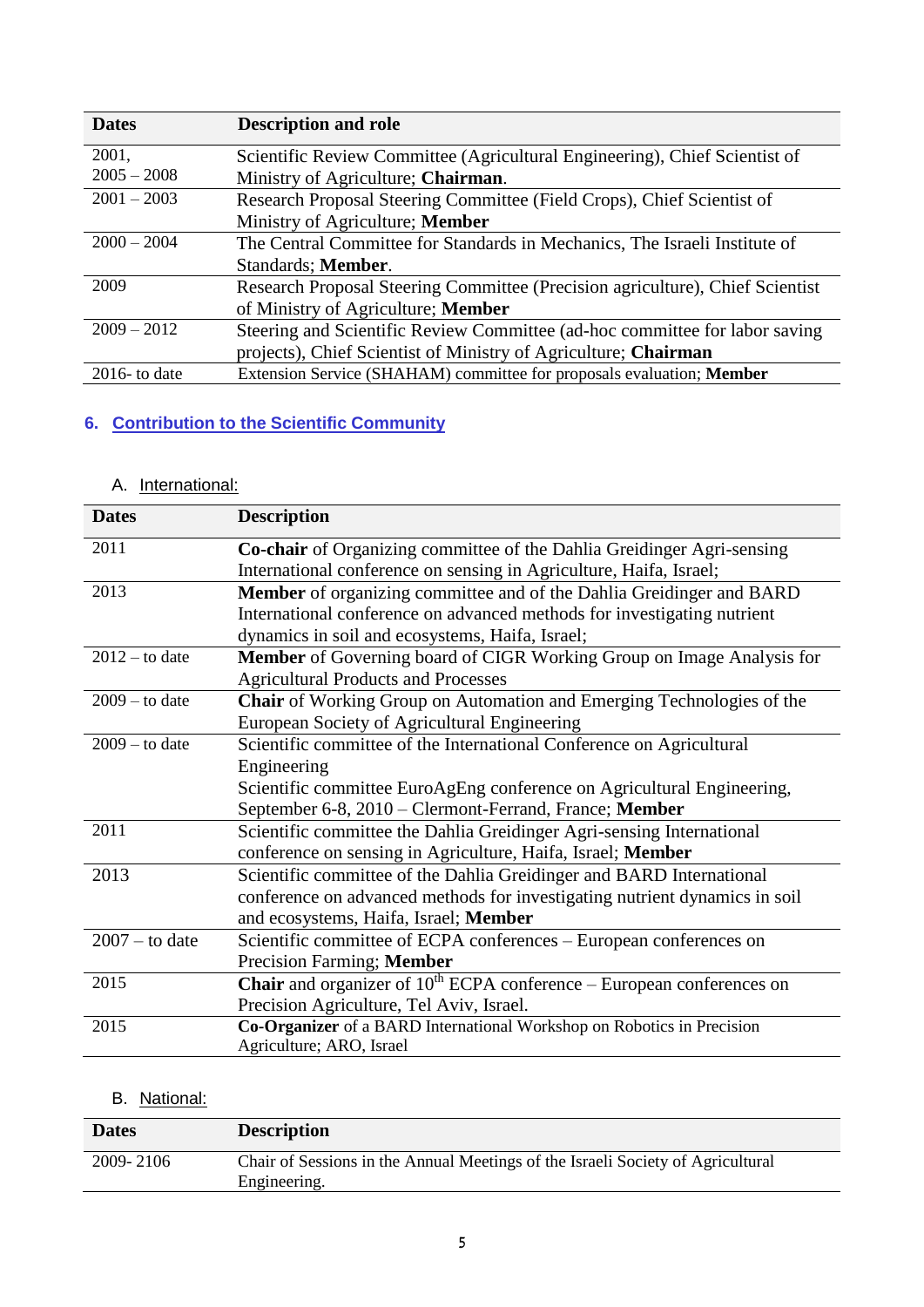| <b>Dates</b>     | <b>Description and role</b>                                                   |
|------------------|-------------------------------------------------------------------------------|
| 2001,            | Scientific Review Committee (Agricultural Engineering), Chief Scientist of    |
| $2005 - 2008$    | Ministry of Agriculture; Chairman.                                            |
| $2001 - 2003$    | Research Proposal Steering Committee (Field Crops), Chief Scientist of        |
|                  | Ministry of Agriculture; Member                                               |
| $2000 - 2004$    | The Central Committee for Standards in Mechanics, The Israeli Institute of    |
|                  | Standards; Member.                                                            |
| 2009             | Research Proposal Steering Committee (Precision agriculture), Chief Scientist |
|                  | of Ministry of Agriculture; Member                                            |
| $2009 - 2012$    | Steering and Scientific Review Committee (ad-hoc committee for labor saving   |
|                  | projects), Chief Scientist of Ministry of Agriculture; Chairman               |
| $2016$ - to date | Extension Service (SHAHAM) committee for proposals evaluation; Member         |

# **6. Contribution to the Scientific Community**

# A. International:

| <b>Dates</b>     | <b>Description</b>                                                             |
|------------------|--------------------------------------------------------------------------------|
| 2011             | Co-chair of Organizing committee of the Dahlia Greidinger Agri-sensing         |
|                  | International conference on sensing in Agriculture, Haifa, Israel;             |
| 2013             | Member of organizing committee and of the Dahlia Greidinger and BARD           |
|                  | International conference on advanced methods for investigating nutrient        |
|                  | dynamics in soil and ecosystems, Haifa, Israel;                                |
| $2012 -$ to date | <b>Member</b> of Governing board of CIGR Working Group on Image Analysis for   |
|                  | <b>Agricultural Products and Processes</b>                                     |
| $2009 - to date$ | Chair of Working Group on Automation and Emerging Technologies of the          |
|                  | European Society of Agricultural Engineering                                   |
| $2009 -$ to date | Scientific committee of the International Conference on Agricultural           |
|                  | Engineering                                                                    |
|                  | Scientific committee EuroAgEng conference on Agricultural Engineering,         |
|                  | September 6-8, 2010 – Clermont-Ferrand, France; Member                         |
| 2011             | Scientific committee the Dahlia Greidinger Agri-sensing International          |
|                  | conference on sensing in Agriculture, Haifa, Israel; Member                    |
| 2013             | Scientific committee of the Dahlia Greidinger and BARD International           |
|                  | conference on advanced methods for investigating nutrient dynamics in soil     |
|                  | and ecosystems, Haifa, Israel; Member                                          |
| $2007 -$ to date | Scientific committee of ECPA conferences – European conferences on             |
|                  | Precision Farming; Member                                                      |
| 2015             | <b>Chair</b> and organizer of $10th ECPA$ conference – European conferences on |
|                  | Precision Agriculture, Tel Aviv, Israel.                                       |
| 2015             | Co-Organizer of a BARD International Workshop on Robotics in Precision         |
|                  | Agriculture; ARO, Israel                                                       |

# B. National:

| <b>Dates</b> | <b>Description</b>                                                                              |
|--------------|-------------------------------------------------------------------------------------------------|
| 2009-2106    | Chair of Sessions in the Annual Meetings of the Israeli Society of Agricultural<br>Engineering. |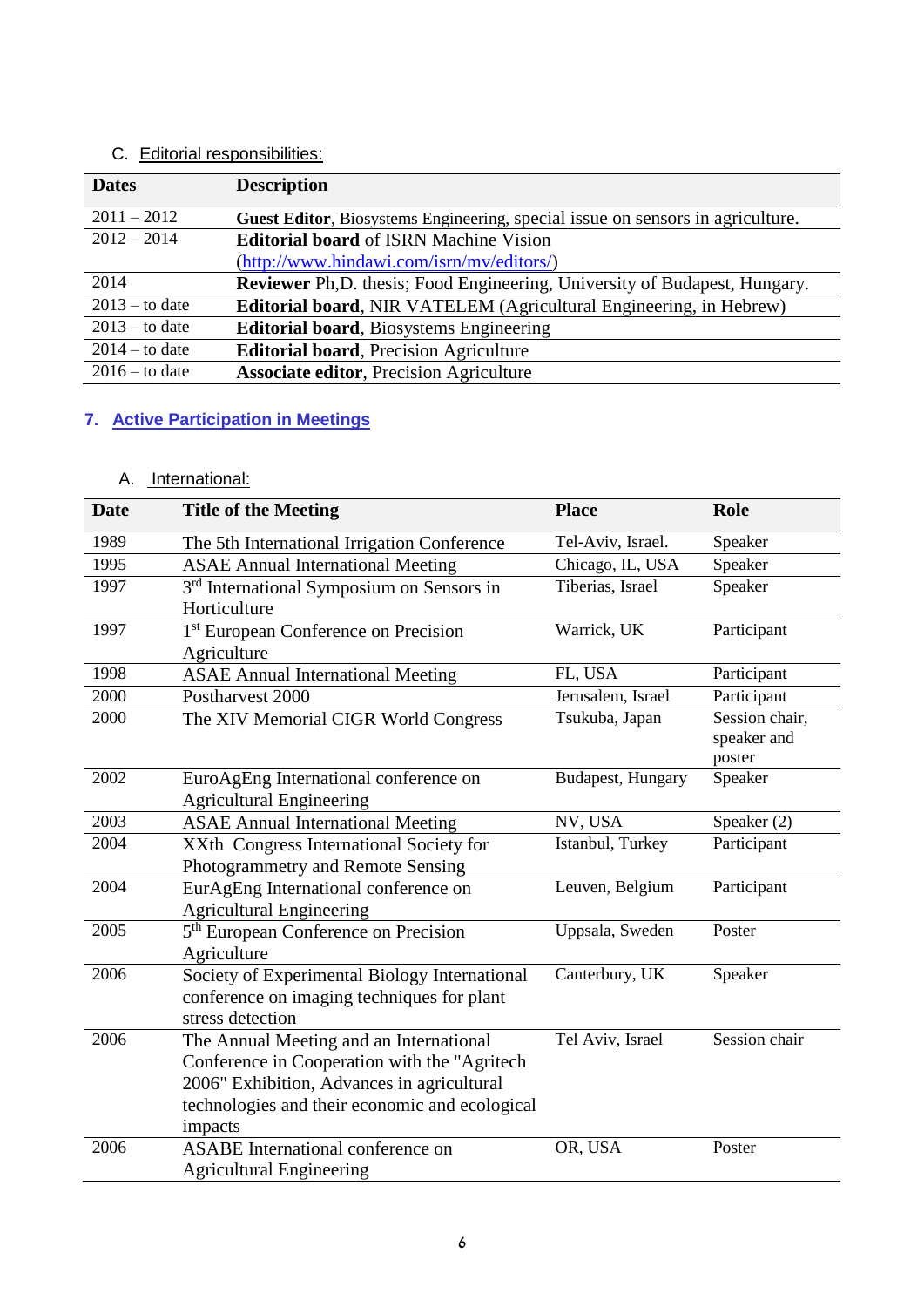# C. Editorial responsibilities:

| <b>Dates</b>     | <b>Description</b>                                                             |
|------------------|--------------------------------------------------------------------------------|
| $2011 - 2012$    | Guest Editor, Biosystems Engineering, special issue on sensors in agriculture. |
| $2012 - 2014$    | <b>Editorial board of ISRN Machine Vision</b>                                  |
|                  | (http://www.hindawi.com/isrn/mv/editors/)                                      |
| 2014             | Reviewer Ph, D. thesis; Food Engineering, University of Budapest, Hungary.     |
| $2013 -$ to date | Editorial board, NIR VATELEM (Agricultural Engineering, in Hebrew)             |
| $2013 -$ to date | <b>Editorial board</b> , Biosystems Engineering                                |
| $2014 -$ to date | <b>Editorial board, Precision Agriculture</b>                                  |
| $2016 -$ to date | <b>Associate editor, Precision Agriculture</b>                                 |

# **7. Active Participation in Meetings**

# A. International:

| <b>Date</b> | <b>Title of the Meeting</b>                                                                                                                                                                        | <b>Place</b>      | <b>Role</b>                             |
|-------------|----------------------------------------------------------------------------------------------------------------------------------------------------------------------------------------------------|-------------------|-----------------------------------------|
| 1989        | The 5th International Irrigation Conference                                                                                                                                                        | Tel-Aviv, Israel. | Speaker                                 |
| 1995        | <b>ASAE Annual International Meeting</b>                                                                                                                                                           | Chicago, IL, USA  | Speaker                                 |
| 1997        | 3 <sup>rd</sup> International Symposium on Sensors in<br>Horticulture                                                                                                                              | Tiberias, Israel  | Speaker                                 |
| 1997        | 1 <sup>st</sup> European Conference on Precision<br>Agriculture                                                                                                                                    | Warrick, UK       | Participant                             |
| 1998        | <b>ASAE Annual International Meeting</b>                                                                                                                                                           | FL, USA           | Participant                             |
| 2000        | Postharvest 2000                                                                                                                                                                                   | Jerusalem, Israel | Participant                             |
| 2000        | The XIV Memorial CIGR World Congress                                                                                                                                                               | Tsukuba, Japan    | Session chair,<br>speaker and<br>poster |
| 2002        | EuroAgEng International conference on<br><b>Agricultural Engineering</b>                                                                                                                           | Budapest, Hungary | Speaker                                 |
| 2003        | <b>ASAE Annual International Meeting</b>                                                                                                                                                           | NV, USA           | Speaker (2)                             |
| 2004        | XXth Congress International Society for<br>Photogrammetry and Remote Sensing                                                                                                                       | Istanbul, Turkey  | Participant                             |
| 2004        | EurAgEng International conference on<br><b>Agricultural Engineering</b>                                                                                                                            | Leuven, Belgium   | Participant                             |
| 2005        | 5 <sup>th</sup> European Conference on Precision<br>Agriculture                                                                                                                                    | Uppsala, Sweden   | Poster                                  |
| 2006        | Society of Experimental Biology International<br>conference on imaging techniques for plant<br>stress detection                                                                                    | Canterbury, UK    | Speaker                                 |
| 2006        | The Annual Meeting and an International<br>Conference in Cooperation with the "Agritech<br>2006" Exhibition, Advances in agricultural<br>technologies and their economic and ecological<br>impacts | Tel Aviv, Israel  | Session chair                           |
| 2006        | <b>ASABE</b> International conference on<br><b>Agricultural Engineering</b>                                                                                                                        | OR, USA           | Poster                                  |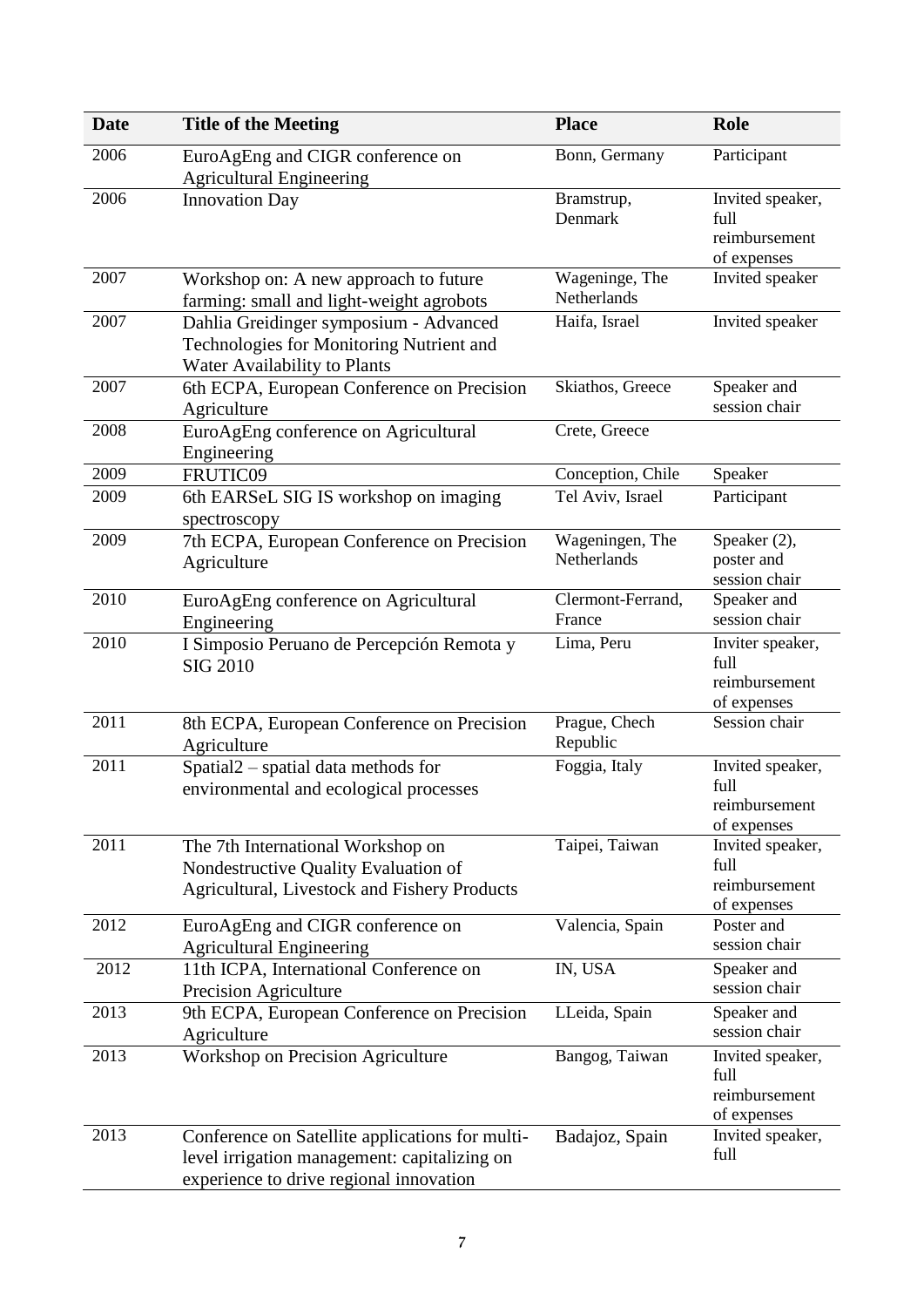| <b>Date</b> | <b>Title of the Meeting</b>                                                                                                                | <b>Place</b>                   | Role                                                     |
|-------------|--------------------------------------------------------------------------------------------------------------------------------------------|--------------------------------|----------------------------------------------------------|
| 2006        | EuroAgEng and CIGR conference on                                                                                                           | Bonn, Germany                  | Participant                                              |
|             | <b>Agricultural Engineering</b>                                                                                                            |                                |                                                          |
| 2006        | <b>Innovation Day</b>                                                                                                                      | Bramstrup,<br>Denmark          | Invited speaker,<br>full<br>reimbursement                |
|             |                                                                                                                                            |                                | of expenses                                              |
| 2007        | Workshop on: A new approach to future<br>farming: small and light-weight agrobots                                                          | Wageninge, The<br>Netherlands  | Invited speaker                                          |
| 2007        | Dahlia Greidinger symposium - Advanced<br>Technologies for Monitoring Nutrient and<br>Water Availability to Plants                         | Haifa, Israel                  | Invited speaker                                          |
| 2007        | 6th ECPA, European Conference on Precision<br>Agriculture                                                                                  | Skiathos, Greece               | Speaker and<br>session chair                             |
| 2008        | EuroAgEng conference on Agricultural<br>Engineering                                                                                        | Crete, Greece                  |                                                          |
| 2009        | FRUTIC09                                                                                                                                   | Conception, Chile              | Speaker                                                  |
| 2009        | 6th EARSeL SIG IS workshop on imaging<br>spectroscopy                                                                                      | Tel Aviv, Israel               | Participant                                              |
| 2009        | 7th ECPA, European Conference on Precision<br>Agriculture                                                                                  | Wageningen, The<br>Netherlands | Speaker (2),<br>poster and<br>session chair              |
| 2010        | EuroAgEng conference on Agricultural<br>Engineering                                                                                        | Clermont-Ferrand,<br>France    | Speaker and<br>session chair                             |
| 2010        | I Simposio Peruano de Percepción Remota y<br><b>SIG 2010</b>                                                                               | Lima, Peru                     | Inviter speaker,<br>full<br>reimbursement<br>of expenses |
| 2011        | 8th ECPA, European Conference on Precision<br>Agriculture                                                                                  | Prague, Chech<br>Republic      | Session chair                                            |
| 2011        | Spatial <sub>2</sub> - spatial data methods for<br>environmental and ecological processes                                                  | Foggia, Italy                  | Invited speaker,<br>full<br>reimbursement<br>of expenses |
| 2011        | The 7th International Workshop on<br>Nondestructive Quality Evaluation of<br>Agricultural, Livestock and Fishery Products                  | Taipei, Taiwan                 | Invited speaker,<br>full<br>reimbursement<br>of expenses |
| 2012        | EuroAgEng and CIGR conference on<br><b>Agricultural Engineering</b>                                                                        | Valencia, Spain                | Poster and<br>session chair                              |
| 2012        | 11th ICPA, International Conference on<br>Precision Agriculture                                                                            | IN, USA                        | Speaker and<br>session chair                             |
| 2013        | 9th ECPA, European Conference on Precision<br>Agriculture                                                                                  | LLeida, Spain                  | Speaker and<br>session chair                             |
| 2013        | Workshop on Precision Agriculture                                                                                                          | Bangog, Taiwan                 | Invited speaker,<br>full<br>reimbursement<br>of expenses |
| 2013        | Conference on Satellite applications for multi-<br>level irrigation management: capitalizing on<br>experience to drive regional innovation | Badajoz, Spain                 | Invited speaker,<br>full                                 |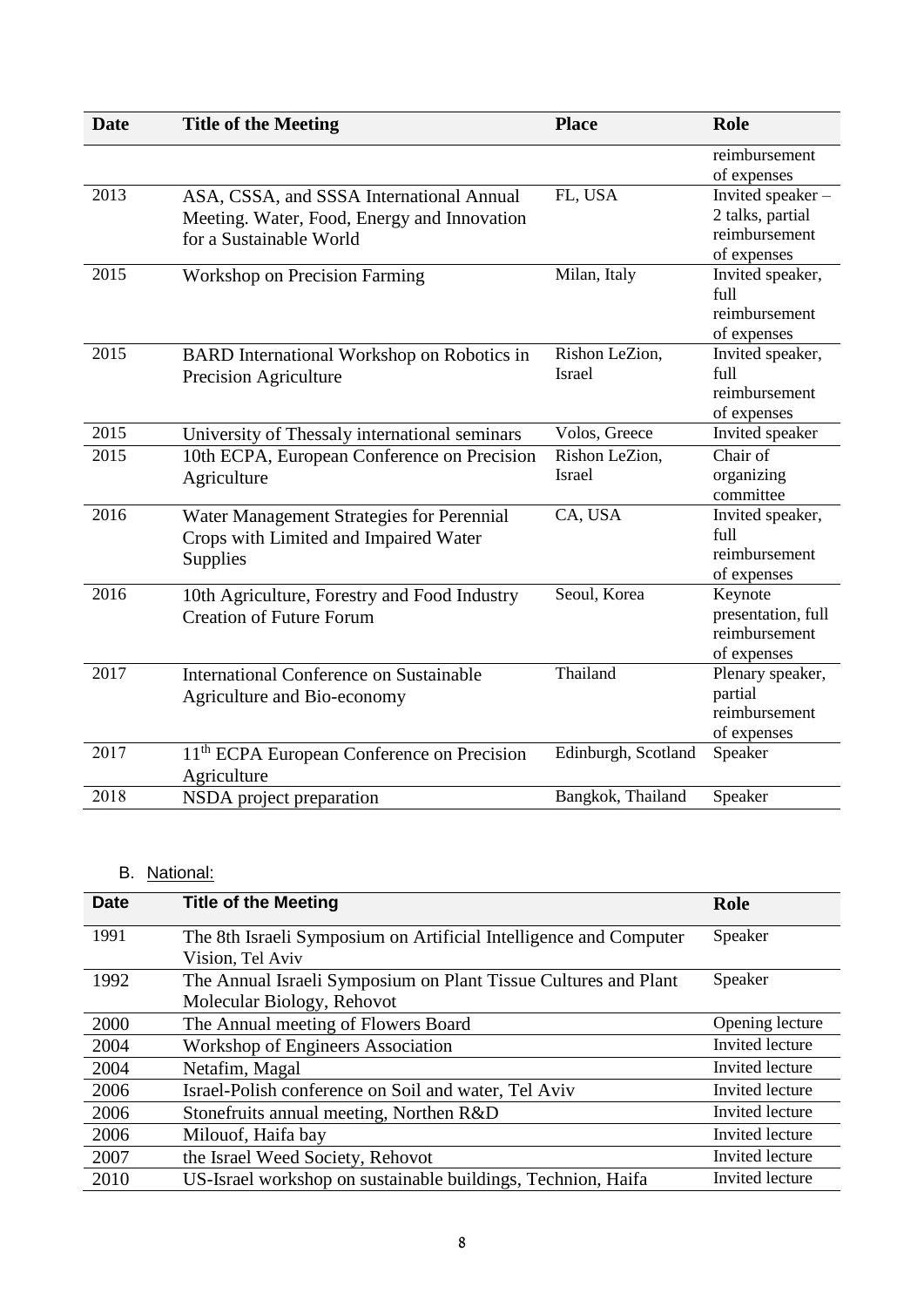| <b>Date</b> | <b>Title of the Meeting</b>                                                                                        | <b>Place</b>                    | <b>Role</b>                                                          |
|-------------|--------------------------------------------------------------------------------------------------------------------|---------------------------------|----------------------------------------------------------------------|
|             |                                                                                                                    |                                 | reimbursement<br>of expenses                                         |
| 2013        | ASA, CSSA, and SSSA International Annual<br>Meeting. Water, Food, Energy and Innovation<br>for a Sustainable World | FL, USA                         | Invited speaker-<br>2 talks, partial<br>reimbursement<br>of expenses |
| 2015        | <b>Workshop on Precision Farming</b>                                                                               | Milan, Italy                    | Invited speaker,<br>full<br>reimbursement<br>of expenses             |
| 2015        | <b>BARD</b> International Workshop on Robotics in<br>Precision Agriculture                                         | Rishon LeZion,<br><b>Israel</b> | Invited speaker,<br>full<br>reimbursement<br>of expenses             |
| 2015        | University of Thessaly international seminars                                                                      | Volos, Greece                   | Invited speaker                                                      |
| 2015        | 10th ECPA, European Conference on Precision<br>Agriculture                                                         | Rishon LeZion,<br><b>Israel</b> | Chair of<br>organizing<br>committee                                  |
| 2016        | Water Management Strategies for Perennial<br>Crops with Limited and Impaired Water<br>Supplies                     | CA, USA                         | Invited speaker,<br>full<br>reimbursement<br>of expenses             |
| 2016        | 10th Agriculture, Forestry and Food Industry<br><b>Creation of Future Forum</b>                                    | Seoul, Korea                    | Keynote<br>presentation, full<br>reimbursement<br>of expenses        |
| 2017        | <b>International Conference on Sustainable</b><br>Agriculture and Bio-economy                                      | Thailand                        | Plenary speaker,<br>partial<br>reimbursement<br>of expenses          |
| 2017        | 11 <sup>th</sup> ECPA European Conference on Precision<br>Agriculture                                              | Edinburgh, Scotland             | Speaker                                                              |
| 2018        | NSDA project preparation                                                                                           | Bangkok, Thailand               | Speaker                                                              |

# B. National:

| <b>Date</b> | <b>Title of the Meeting</b>                                       | Role            |
|-------------|-------------------------------------------------------------------|-----------------|
| 1991        | The 8th Israeli Symposium on Artificial Intelligence and Computer | Speaker         |
|             | Vision, Tel Aviv                                                  |                 |
| 1992        | The Annual Israeli Symposium on Plant Tissue Cultures and Plant   | Speaker         |
|             | Molecular Biology, Rehovot                                        |                 |
| 2000        | The Annual meeting of Flowers Board                               | Opening lecture |
| 2004        | Workshop of Engineers Association                                 | Invited lecture |
| 2004        | Netafim, Magal                                                    | Invited lecture |
| 2006        | Israel-Polish conference on Soil and water, Tel Aviv              | Invited lecture |
| 2006        | Stonefruits annual meeting, Northen R&D                           | Invited lecture |
| 2006        | Milouof, Haifa bay                                                | Invited lecture |
| 2007        | the Israel Weed Society, Rehovot                                  | Invited lecture |
| 2010        | US-Israel workshop on sustainable buildings, Technion, Haifa      | Invited lecture |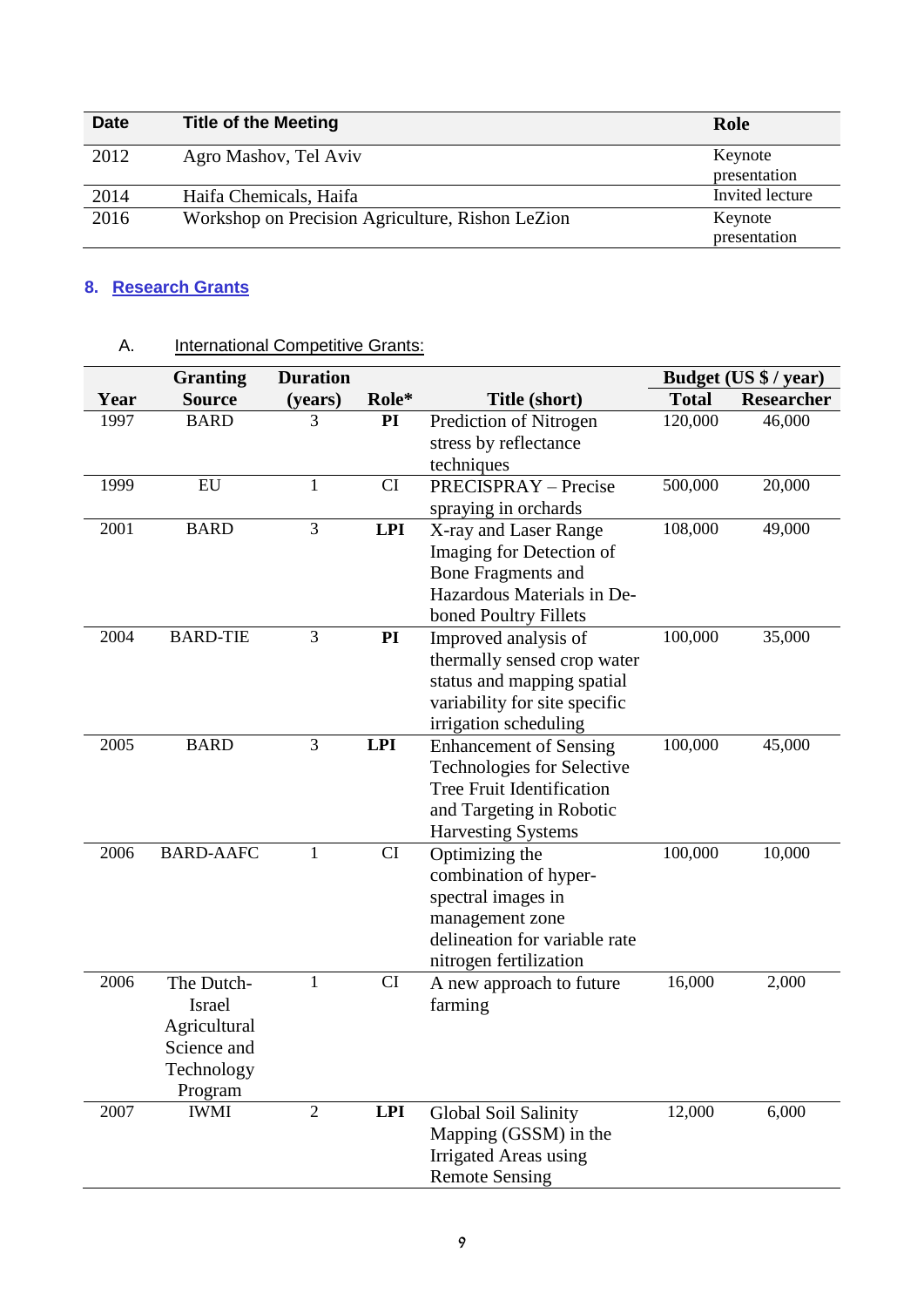| <b>Date</b> | <b>Title of the Meeting</b>                      | Role            |
|-------------|--------------------------------------------------|-----------------|
| 2012        | Agro Mashov, Tel Aviv                            | Keynote         |
|             |                                                  | presentation    |
| 2014        | Haifa Chemicals, Haifa                           | Invited lecture |
| 2016        | Workshop on Precision Agriculture, Rishon LeZion | Keynote         |
|             |                                                  | presentation    |

# **8. Research Grants**

|      | <b>Granting</b>        | <b>Duration</b> |            |                                   |              | Budget (US \$ / year) |
|------|------------------------|-----------------|------------|-----------------------------------|--------------|-----------------------|
| Year | <b>Source</b>          | (years)         | Role*      | Title (short)                     | <b>Total</b> | <b>Researcher</b>     |
| 1997 | <b>BARD</b>            | 3               | PI         | Prediction of Nitrogen            | 120,000      | 46,000                |
|      |                        |                 |            | stress by reflectance             |              |                       |
|      |                        |                 |            | techniques                        |              |                       |
| 1999 | EU                     | $\mathbf{1}$    | CI         | <b>PRECISPRAY</b> – Precise       | 500,000      | 20,000                |
|      |                        |                 |            | spraying in orchards              |              |                       |
| 2001 | <b>BARD</b>            | $\overline{3}$  | <b>LPI</b> | X-ray and Laser Range             | 108,000      | 49,000                |
|      |                        |                 |            | Imaging for Detection of          |              |                       |
|      |                        |                 |            | <b>Bone Fragments and</b>         |              |                       |
|      |                        |                 |            | Hazardous Materials in De-        |              |                       |
|      |                        |                 |            | boned Poultry Fillets             |              |                       |
| 2004 | <b>BARD-TIE</b>        | 3               | PI         | Improved analysis of              | 100,000      | 35,000                |
|      |                        |                 |            | thermally sensed crop water       |              |                       |
|      |                        |                 |            | status and mapping spatial        |              |                       |
|      |                        |                 |            | variability for site specific     |              |                       |
|      |                        |                 |            | irrigation scheduling             |              |                       |
| 2005 | <b>BARD</b>            | 3               | <b>LPI</b> | <b>Enhancement of Sensing</b>     | 100,000      | 45,000                |
|      |                        |                 |            | <b>Technologies for Selective</b> |              |                       |
|      |                        |                 |            | Tree Fruit Identification         |              |                       |
|      |                        |                 |            | and Targeting in Robotic          |              |                       |
|      |                        |                 |            | <b>Harvesting Systems</b>         |              |                       |
| 2006 | <b>BARD-AAFC</b>       | $\mathbf{1}$    | CI         | Optimizing the                    | 100,000      | 10,000                |
|      |                        |                 |            | combination of hyper-             |              |                       |
|      |                        |                 |            | spectral images in                |              |                       |
|      |                        |                 |            | management zone                   |              |                       |
|      |                        |                 |            | delineation for variable rate     |              |                       |
|      |                        |                 |            | nitrogen fertilization            |              |                       |
| 2006 | The Dutch-             | $\mathbf{1}$    | CI         | A new approach to future          | 16,000       | 2,000                 |
|      | <b>Israel</b>          |                 |            | farming                           |              |                       |
|      | Agricultural           |                 |            |                                   |              |                       |
|      | Science and            |                 |            |                                   |              |                       |
|      | Technology             |                 |            |                                   |              |                       |
| 2007 | Program<br><b>IWMI</b> |                 |            |                                   |              |                       |
|      |                        | $\mathfrak{2}$  | <b>LPI</b> | Global Soil Salinity              | 12,000       | 6,000                 |
|      |                        |                 |            | Mapping (GSSM) in the             |              |                       |
|      |                        |                 |            | <b>Irrigated Areas using</b>      |              |                       |
|      |                        |                 |            | <b>Remote Sensing</b>             |              |                       |

# A. **International Competitive Grants:**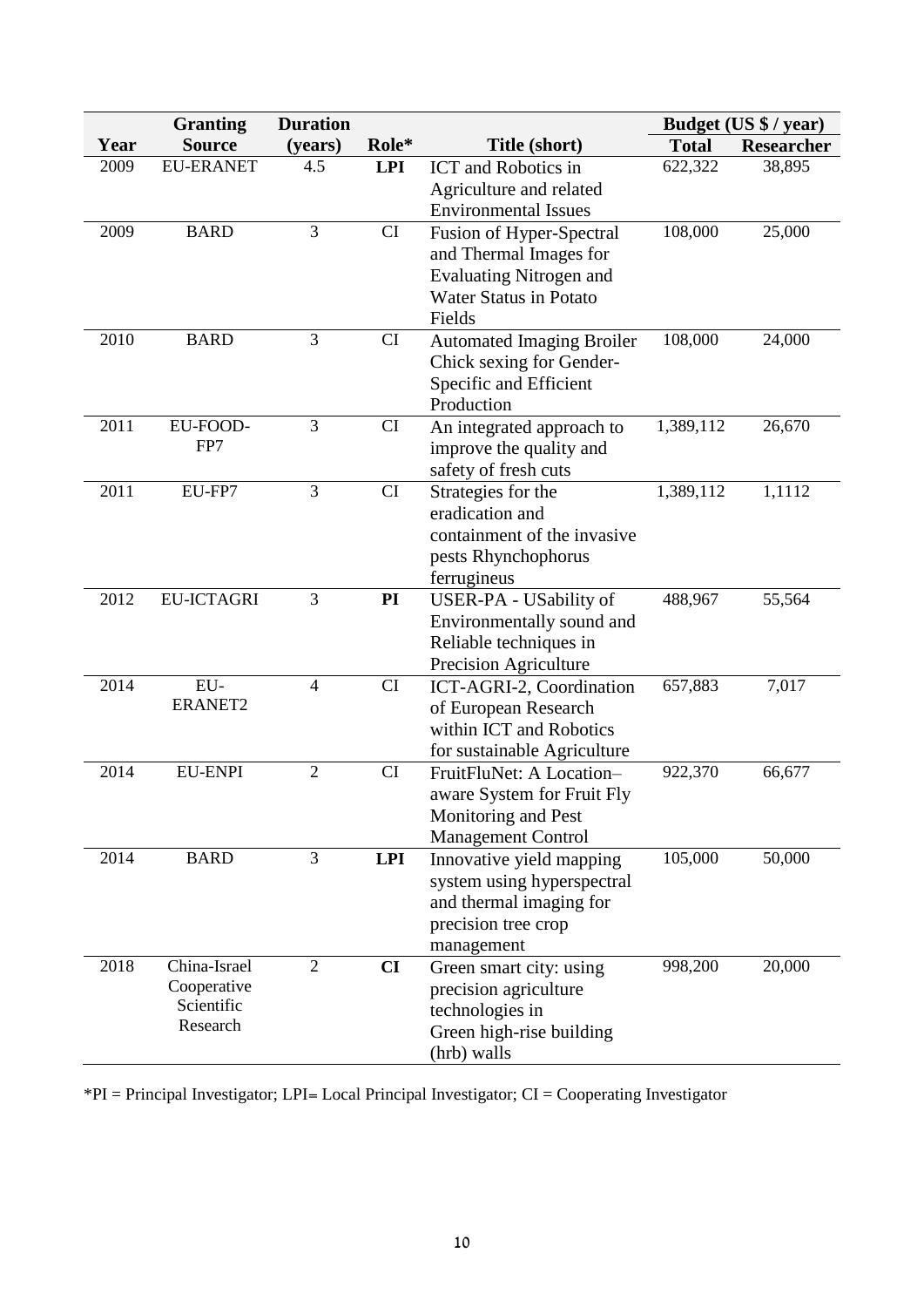|      | <b>Granting</b>           | <b>Duration</b> |            |                                  |              | Budget (US \$ / year) |
|------|---------------------------|-----------------|------------|----------------------------------|--------------|-----------------------|
| Year | <b>Source</b>             | (years)         | Role*      | Title (short)                    | <b>Total</b> | <b>Researcher</b>     |
| 2009 | <b>EU-ERANET</b>          | 4.5             | <b>LPI</b> | <b>ICT</b> and Robotics in       | 622,322      | 38,895                |
|      |                           |                 |            | Agriculture and related          |              |                       |
|      |                           |                 |            | <b>Environmental Issues</b>      |              |                       |
| 2009 | <b>BARD</b>               | $\overline{3}$  | CI         | Fusion of Hyper-Spectral         | 108,000      | 25,000                |
|      |                           |                 |            | and Thermal Images for           |              |                       |
|      |                           |                 |            | <b>Evaluating Nitrogen and</b>   |              |                       |
|      |                           |                 |            | <b>Water Status in Potato</b>    |              |                       |
|      |                           |                 |            | Fields                           |              |                       |
| 2010 | <b>BARD</b>               | 3               | CI         | <b>Automated Imaging Broiler</b> | 108,000      | 24,000                |
|      |                           |                 |            | Chick sexing for Gender-         |              |                       |
|      |                           |                 |            | Specific and Efficient           |              |                       |
|      |                           |                 |            | Production                       |              |                       |
| 2011 | EU-FOOD-                  | 3               | CI         | An integrated approach to        | 1,389,112    | 26,670                |
|      | FP7                       |                 |            | improve the quality and          |              |                       |
|      |                           |                 |            | safety of fresh cuts             |              |                       |
| 2011 | EU-FP7                    | $\overline{3}$  | CI         | Strategies for the               | 1,389,112    | 1,1112                |
|      |                           |                 |            | eradication and                  |              |                       |
|      |                           |                 |            | containment of the invasive      |              |                       |
|      |                           |                 |            | pests Rhynchophorus              |              |                       |
|      |                           |                 |            | ferrugineus                      |              |                       |
| 2012 | <b>EU-ICTAGRI</b>         | 3               | PI         | USER-PA - USability of           | 488,967      | 55,564                |
|      |                           |                 |            | Environmentally sound and        |              |                       |
|      |                           |                 |            | Reliable techniques in           |              |                       |
|      |                           |                 |            | Precision Agriculture            |              |                       |
| 2014 | EU-                       | $\overline{4}$  | CI         | ICT-AGRI-2, Coordination         | 657,883      | 7,017                 |
|      | <b>ERANET2</b>            |                 |            | of European Research             |              |                       |
|      |                           |                 |            | within ICT and Robotics          |              |                       |
|      |                           |                 |            | for sustainable Agriculture      |              |                       |
| 2014 | <b>EU-ENPI</b>            | $\overline{2}$  | CI         | FruitFluNet: A Location-         | 922,370      | 66,677                |
|      |                           |                 |            | aware System for Fruit Fly       |              |                       |
|      |                           |                 |            | Monitoring and Pest              |              |                       |
|      |                           |                 |            | <b>Management Control</b>        |              |                       |
| 2014 | <b>BARD</b>               | 3               | <b>LPI</b> | Innovative yield mapping         | 105,000      | 50,000                |
|      |                           |                 |            | system using hyperspectral       |              |                       |
|      |                           |                 |            | and thermal imaging for          |              |                       |
|      |                           |                 |            | precision tree crop              |              |                       |
|      |                           |                 |            | management                       |              |                       |
| 2018 | China-Israel              | $\overline{2}$  | CI         | Green smart city: using          | 998,200      | 20,000                |
|      | Cooperative<br>Scientific |                 |            | precision agriculture            |              |                       |
|      | Research                  |                 |            | technologies in                  |              |                       |
|      |                           |                 |            | Green high-rise building         |              |                       |
|      |                           |                 |            | (hrb) walls                      |              |                       |

\*PI = Principal Investigator; LPI= Local Principal Investigator; CI = Cooperating Investigator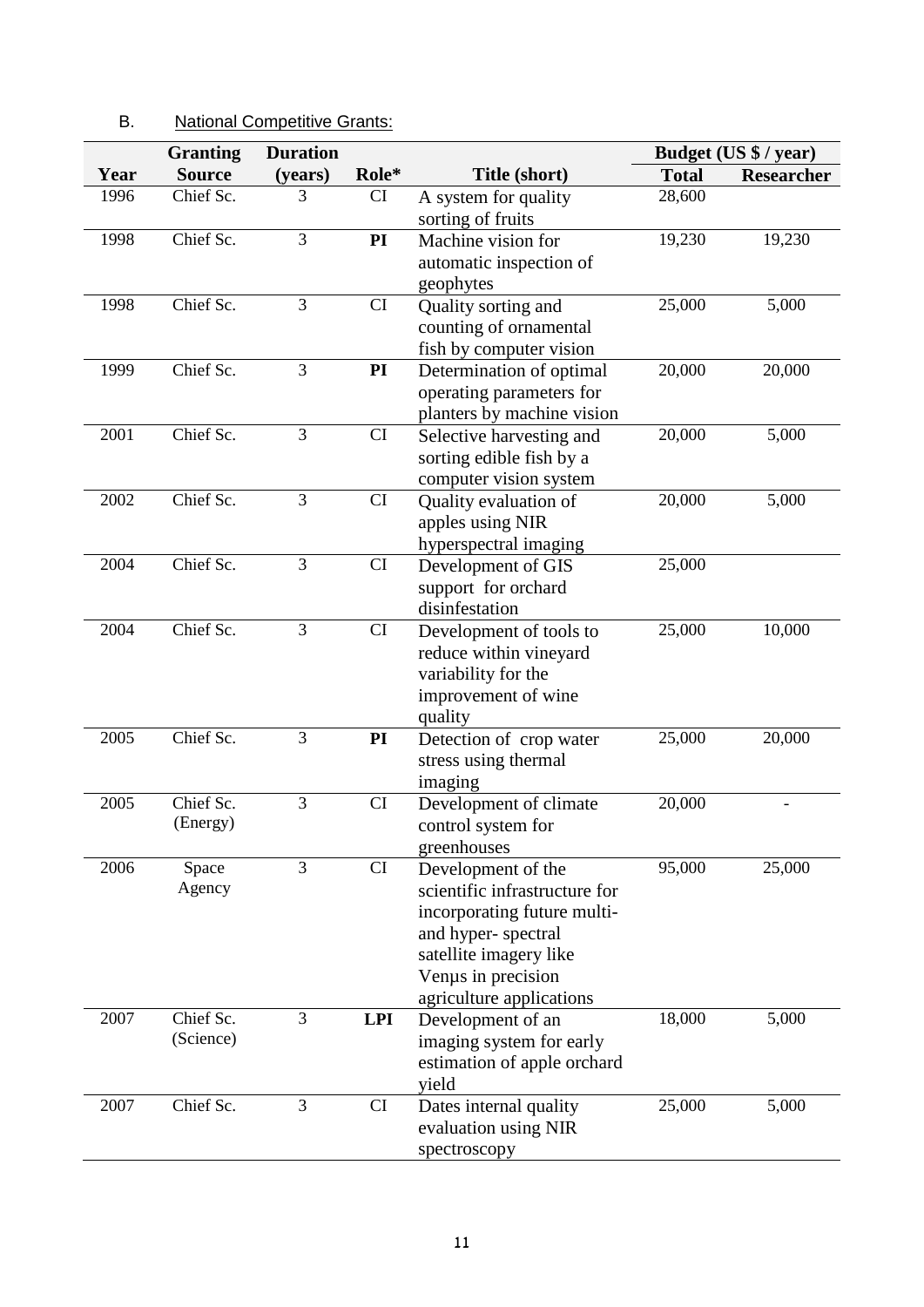#### **Year Granting Source Duration (years) Role\* Title (short) Budget (US \$ / year) Total Researcher** 1996 Chief Sc. 3 CI A system for quality sorting of fruits 28,600 1998 Chief Sc. 3 **PI** Machine vision for automatic inspection of geophytes 19,230 19,230 1998 Chief Sc. 3 CI Quality sorting and counting of ornamental fish by computer vision 25,000 5,000 1999 Chief Sc. 3 **PI** Determination of optimal operating parameters for planters by machine vision 20,000 20,000 2001 Chief Sc. 3 CI Selective harvesting and sorting edible fish by a computer vision system 20,000 5,000 2002 Chief Sc. 3 CI Quality evaluation of apples using NIR hyperspectral imaging 20,000 5,000 2004 Chief Sc. 3 CI Development of GIS support for orchard disinfestation 25,000 2004 Chief Sc. 3 CI Development of tools to reduce within vineyard variability for the improvement of wine quality 25,000 10,000 2005 Chief Sc. 3 **PI** Detection of crop water stress using thermal imaging 25,000 20,000 2005 Chief Sc. (Energy) 3 CI Development of climate control system for greenhouses 20,000 - 2006 Space Agency 3 CI Development of the scientific infrastructure for incorporating future multiand hyper- spectral satellite imagery like Venµs in precision agriculture applications 95,000 25,000 2007 Chief Sc. (Science) 3 **LPI** Development of an imaging system for early estimation of apple orchard yield 18,000 5,000 2007 Chief Sc. 3 CI Dates internal quality evaluation using NIR spectroscopy 25,000 5,000

### B. National Competitive Grants: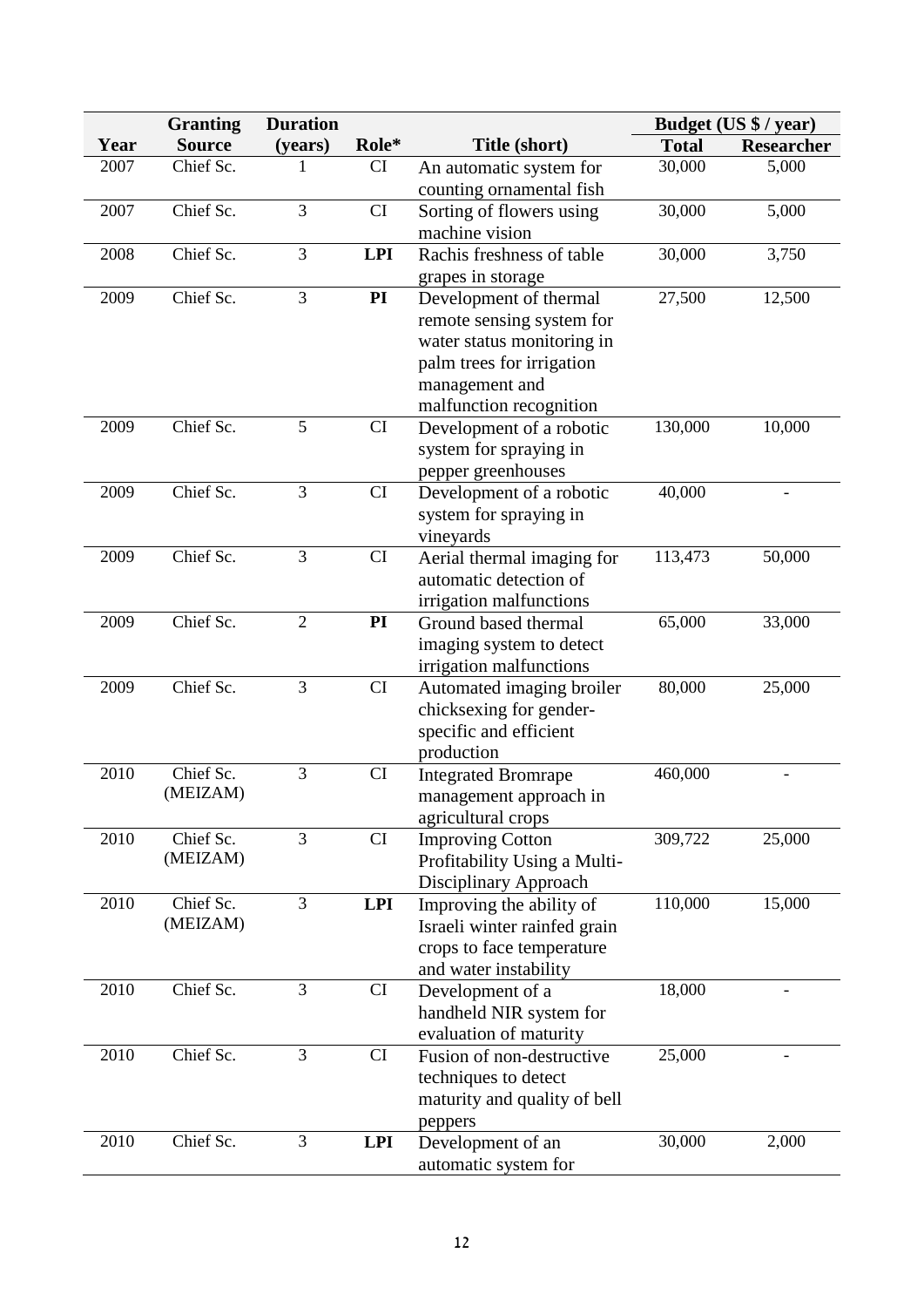|      | <b>Granting</b> | <b>Duration</b> |            |                                                   |              | Budget (US \$ / year) |
|------|-----------------|-----------------|------------|---------------------------------------------------|--------------|-----------------------|
| Year | <b>Source</b>   | (years)         | Role*      | Title (short)                                     | <b>Total</b> | <b>Researcher</b>     |
| 2007 | Chief Sc.       | 1               | CI         | An automatic system for                           | 30,000       | 5,000                 |
|      |                 |                 |            | counting ornamental fish                          |              |                       |
| 2007 | Chief Sc.       | 3               | CI         | Sorting of flowers using                          | 30,000       | 5,000                 |
|      |                 |                 |            | machine vision                                    |              |                       |
| 2008 | Chief Sc.       | 3               | <b>LPI</b> | Rachis freshness of table                         | 30,000       | 3,750                 |
|      |                 |                 |            | grapes in storage                                 |              |                       |
| 2009 | Chief Sc.       | 3               | PI         | Development of thermal                            | 27,500       | 12,500                |
|      |                 |                 |            | remote sensing system for                         |              |                       |
|      |                 |                 |            | water status monitoring in                        |              |                       |
|      |                 |                 |            | palm trees for irrigation                         |              |                       |
|      |                 |                 |            | management and                                    |              |                       |
|      | Chief Sc.       | 5               |            | malfunction recognition                           |              |                       |
| 2009 |                 |                 | CI         | Development of a robotic                          | 130,000      | 10,000                |
|      |                 |                 |            | system for spraying in                            |              |                       |
| 2009 | Chief Sc.       | 3               | CI         | pepper greenhouses<br>Development of a robotic    | 40,000       |                       |
|      |                 |                 |            | system for spraying in                            |              |                       |
|      |                 |                 |            | vineyards                                         |              |                       |
| 2009 | Chief Sc.       | 3               | CI         | Aerial thermal imaging for                        | 113,473      | 50,000                |
|      |                 |                 |            | automatic detection of                            |              |                       |
|      |                 |                 |            | irrigation malfunctions                           |              |                       |
| 2009 | Chief Sc.       | $\overline{2}$  | PI         | Ground based thermal                              | 65,000       | 33,000                |
|      |                 |                 |            | imaging system to detect                          |              |                       |
|      |                 |                 |            | irrigation malfunctions                           |              |                       |
| 2009 | Chief Sc.       | 3               | CI         | Automated imaging broiler                         | 80,000       | 25,000                |
|      |                 |                 |            | chicksexing for gender-                           |              |                       |
|      |                 |                 |            | specific and efficient                            |              |                       |
|      |                 |                 |            | production                                        |              |                       |
| 2010 | Chief Sc.       | 3               | CI         | <b>Integrated Bromrape</b>                        | 460,000      |                       |
|      | (MEIZAM)        |                 |            | management approach in                            |              |                       |
|      |                 |                 |            | agricultural crops                                |              |                       |
| 2010 | Chief Sc.       | 3               | CI         | <b>Improving Cotton</b>                           | 309,722      | 25,000                |
|      | (MEIZAM)        |                 |            | Profitability Using a Multi-                      |              |                       |
| 2010 | Chief Sc.       | 3               | <b>LPI</b> | Disciplinary Approach<br>Improving the ability of | 110,000      | 15,000                |
|      | (MEIZAM)        |                 |            | Israeli winter rainfed grain                      |              |                       |
|      |                 |                 |            | crops to face temperature                         |              |                       |
|      |                 |                 |            | and water instability                             |              |                       |
| 2010 | Chief Sc.       | 3               | CI         | Development of a                                  | 18,000       |                       |
|      |                 |                 |            | handheld NIR system for                           |              |                       |
|      |                 |                 |            | evaluation of maturity                            |              |                       |
| 2010 | Chief Sc.       | 3               | CI         | Fusion of non-destructive                         | 25,000       |                       |
|      |                 |                 |            | techniques to detect                              |              |                       |
|      |                 |                 |            | maturity and quality of bell                      |              |                       |
|      |                 |                 |            | peppers                                           |              |                       |
| 2010 | Chief Sc.       | 3               | <b>LPI</b> | Development of an                                 | 30,000       | 2,000                 |
|      |                 |                 |            | automatic system for                              |              |                       |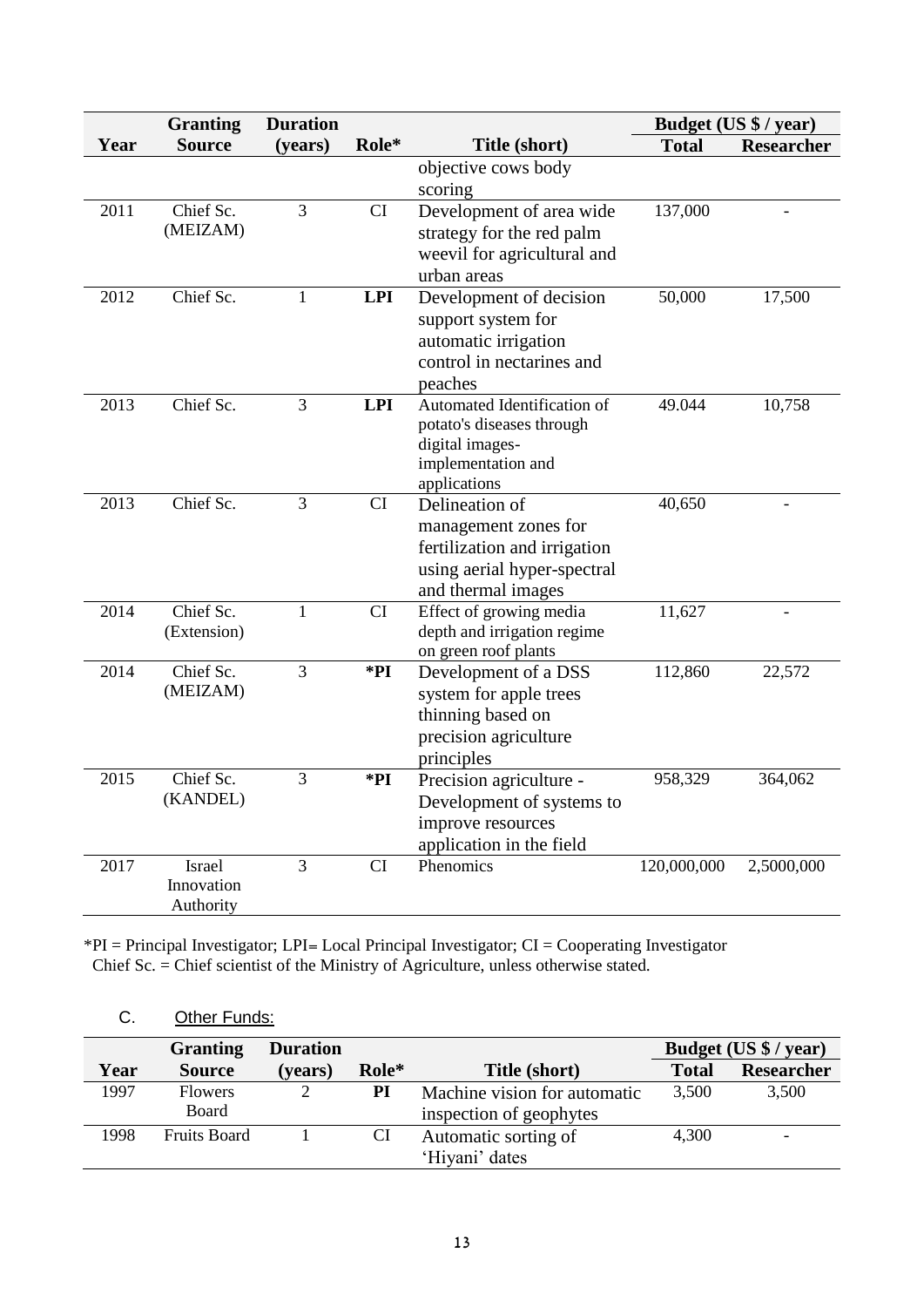|      | <b>Granting</b> | <b>Duration</b> |                        |                                       | Budget (US \$ / year) |                   |
|------|-----------------|-----------------|------------------------|---------------------------------------|-----------------------|-------------------|
| Year | <b>Source</b>   | (years)         | Role*                  | Title (short)                         | <b>Total</b>          | <b>Researcher</b> |
|      |                 |                 |                        | objective cows body                   |                       |                   |
|      |                 |                 |                        | scoring                               |                       |                   |
| 2011 | Chief Sc.       | $\overline{3}$  | CI                     | Development of area wide              | 137,000               |                   |
|      | (MEIZAM)        |                 |                        | strategy for the red palm             |                       |                   |
|      |                 |                 |                        | weevil for agricultural and           |                       |                   |
|      |                 |                 |                        | urban areas                           |                       |                   |
| 2012 | Chief Sc.       | $\mathbf{1}$    | <b>LPI</b>             | Development of decision               | 50,000                | 17,500            |
|      |                 |                 |                        | support system for                    |                       |                   |
|      |                 |                 |                        | automatic irrigation                  |                       |                   |
|      |                 |                 |                        | control in nectarines and             |                       |                   |
|      |                 |                 |                        | peaches                               |                       |                   |
| 2013 | Chief Sc.       | $\overline{3}$  | <b>LPI</b>             | Automated Identification of           | 49.044                | 10,758            |
|      |                 |                 |                        | potato's diseases through             |                       |                   |
|      |                 |                 |                        | digital images-<br>implementation and |                       |                   |
|      |                 |                 |                        | applications                          |                       |                   |
| 2013 | Chief Sc.       | $\overline{3}$  | $\overline{\text{CI}}$ | Delineation of                        | 40,650                | $\overline{a}$    |
|      |                 |                 |                        | management zones for                  |                       |                   |
|      |                 |                 |                        | fertilization and irrigation          |                       |                   |
|      |                 |                 |                        | using aerial hyper-spectral           |                       |                   |
|      |                 |                 |                        | and thermal images                    |                       |                   |
| 2014 | Chief Sc.       | $\mathbf{1}$    | CI                     | Effect of growing media               | 11,627                |                   |
|      | (Extension)     |                 |                        | depth and irrigation regime           |                       |                   |
|      |                 |                 |                        | on green roof plants                  |                       |                   |
| 2014 | Chief Sc.       | $\overline{3}$  | *PI                    | Development of a DSS                  | 112,860               | 22,572            |
|      | (MEIZAM)        |                 |                        | system for apple trees                |                       |                   |
|      |                 |                 |                        | thinning based on                     |                       |                   |
|      |                 |                 |                        | precision agriculture                 |                       |                   |
|      |                 |                 |                        | principles                            |                       |                   |
| 2015 | Chief Sc.       | 3               | $*PI$                  | Precision agriculture -               | 958,329               | 364,062           |
|      | (KANDEL)        |                 |                        | Development of systems to             |                       |                   |
|      |                 |                 |                        | improve resources                     |                       |                   |
|      |                 |                 |                        | application in the field              |                       |                   |
| 2017 | Israel          | 3               | <b>CI</b>              | Phenomics                             | 120,000,000           | 2,5000,000        |
|      | Innovation      |                 |                        |                                       |                       |                   |
|      | Authority       |                 |                        |                                       |                       |                   |

\*PI = Principal Investigator; LPI= Local Principal Investigator; CI = Cooperating Investigator Chief Sc. = Chief scientist of the Ministry of Agriculture, unless otherwise stated.

|      | <b>Granting</b>         | <b>Duration</b> |       |                                                         | Budget (US \$ / year) |            |
|------|-------------------------|-----------------|-------|---------------------------------------------------------|-----------------------|------------|
| Year | <b>Source</b>           | (years)         | Role* | Title (short)                                           | <b>Total</b>          | Researcher |
| 1997 | <b>Flowers</b><br>Board |                 | PI    | Machine vision for automatic<br>inspection of geophytes | 3,500                 | 3,500      |
| 1998 | <b>Fruits Board</b>     |                 | CI    | Automatic sorting of<br>'Hiyani' dates                  | 4,300                 | -          |

# C. Other Funds: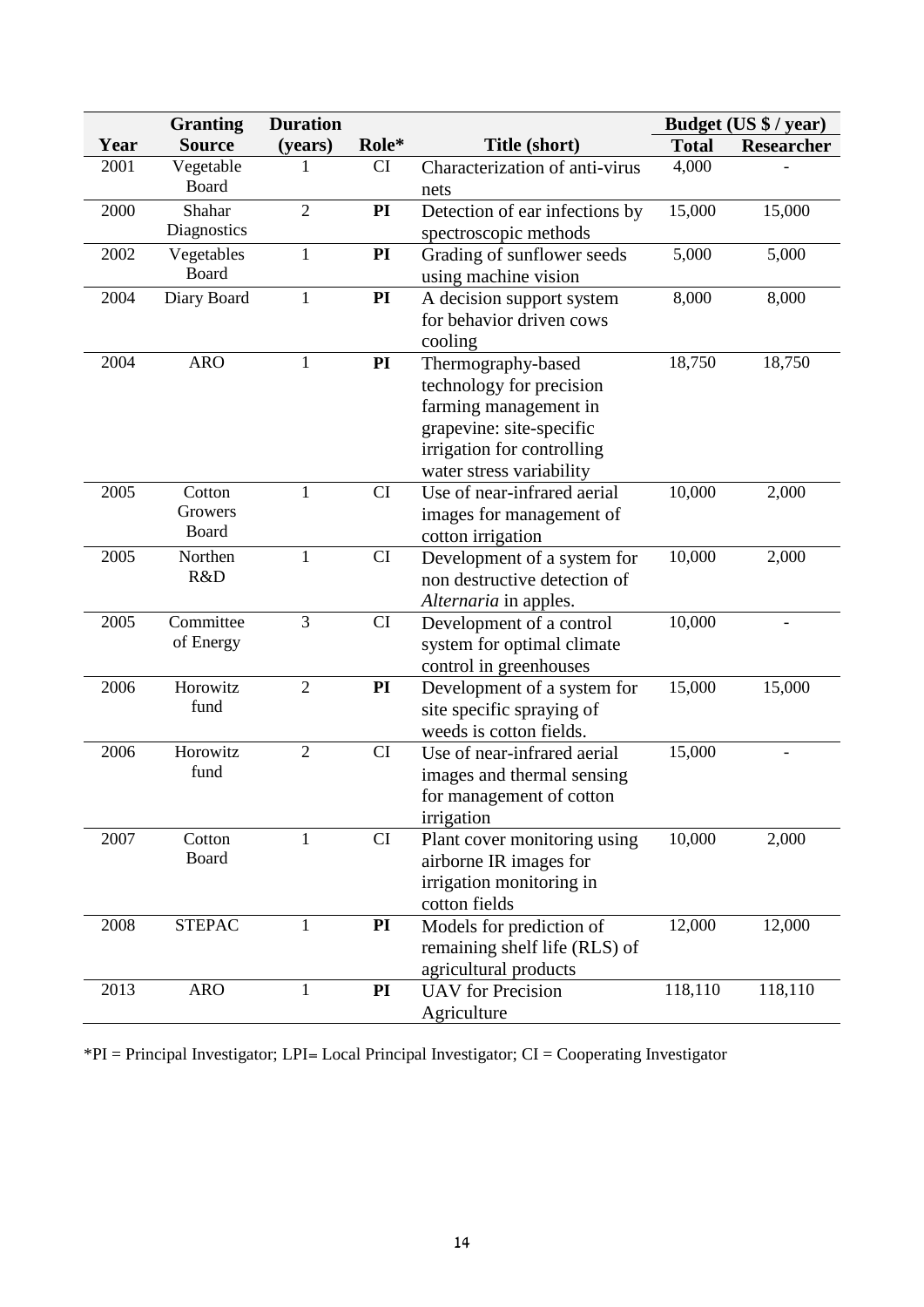| <b>Granting</b> |                            | <b>Duration</b> |           |                                                                                                                                                               | Budget (US \$ / year) |                   |
|-----------------|----------------------------|-----------------|-----------|---------------------------------------------------------------------------------------------------------------------------------------------------------------|-----------------------|-------------------|
| Year            | <b>Source</b>              | (years)         | Role*     | Title (short)                                                                                                                                                 | <b>Total</b>          | <b>Researcher</b> |
| 2001            | Vegetable<br>Board         | 1               | CI        | Characterization of anti-virus<br>nets                                                                                                                        | 4,000                 |                   |
| 2000            | Shahar<br>Diagnostics      | $\overline{2}$  | PI        | Detection of ear infections by<br>spectroscopic methods                                                                                                       | 15,000                | 15,000            |
| 2002            | Vegetables<br>Board        | $\mathbf{1}$    | PI        | Grading of sunflower seeds<br>using machine vision                                                                                                            | 5,000                 | 5,000             |
| 2004            | Diary Board                | $\mathbf{1}$    | PI        | A decision support system<br>for behavior driven cows<br>cooling                                                                                              | 8,000                 | 8,000             |
| 2004            | <b>ARO</b>                 | 1               | PI        | Thermography-based<br>technology for precision<br>farming management in<br>grapevine: site-specific<br>irrigation for controlling<br>water stress variability | 18,750                | 18,750            |
| 2005            | Cotton<br>Growers<br>Board | 1               | <b>CI</b> | Use of near-infrared aerial<br>images for management of<br>cotton irrigation                                                                                  | 10,000                | 2,000             |
| 2005            | Northen<br>R&D             | $\mathbf{1}$    | CI        | Development of a system for<br>non destructive detection of<br>Alternaria in apples.                                                                          | 10,000                | 2,000             |
| 2005            | Committee<br>of Energy     | 3               | CI        | Development of a control<br>system for optimal climate<br>control in greenhouses                                                                              | 10,000                |                   |
| 2006            | Horowitz<br>fund           | $\overline{2}$  | PI        | Development of a system for<br>site specific spraying of<br>weeds is cotton fields.                                                                           | 15,000                | 15,000            |
| 2006            | Horowitz<br>fund           | $\overline{2}$  | CI        | Use of near-infrared aerial<br>images and thermal sensing<br>for management of cotton<br>irrigation                                                           | 15,000                |                   |
| 2007            | Cotton<br><b>Board</b>     | 1               | <b>CI</b> | Plant cover monitoring using<br>airborne IR images for<br>irrigation monitoring in<br>cotton fields                                                           | 10,000                | 2,000             |
| 2008            | <b>STEPAC</b>              | $\mathbf{1}$    | PI        | Models for prediction of<br>remaining shelf life (RLS) of<br>agricultural products                                                                            | 12,000                | 12,000            |
| 2013            | <b>ARO</b>                 | 1               | PI        | <b>UAV</b> for Precision<br>Agriculture                                                                                                                       | 118,110               | 118,110           |

\*PI = Principal Investigator; LPI= Local Principal Investigator; CI = Cooperating Investigator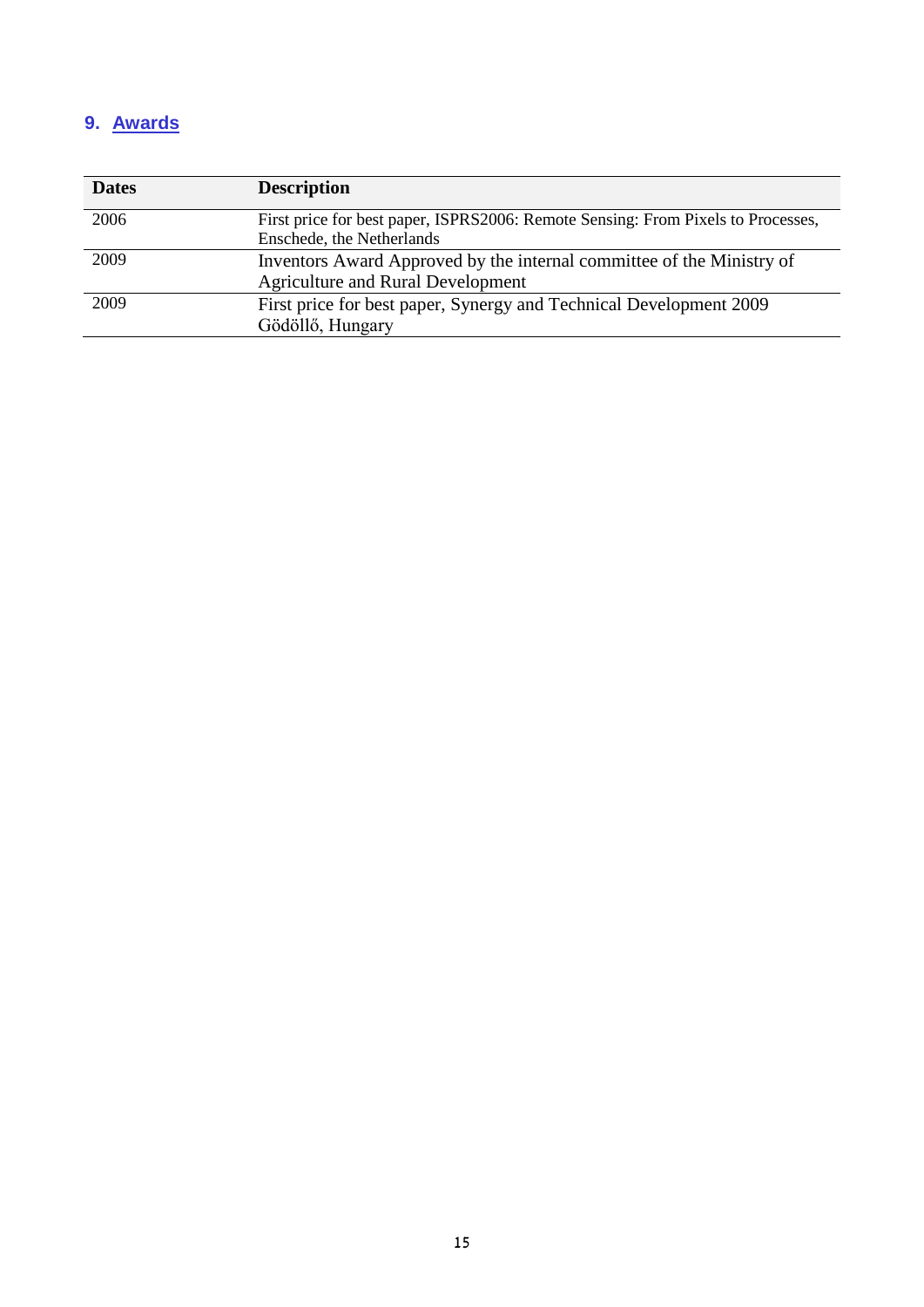# **9. Awards**

| <b>Dates</b> | <b>Description</b>                                                               |
|--------------|----------------------------------------------------------------------------------|
| 2006         | First price for best paper, ISPRS2006: Remote Sensing: From Pixels to Processes, |
|              | Enschede, the Netherlands                                                        |
| 2009         | Inventors Award Approved by the internal committee of the Ministry of            |
|              | <b>Agriculture and Rural Development</b>                                         |
| 2009         | First price for best paper, Synergy and Technical Development 2009               |
|              | Gödöllő, Hungary                                                                 |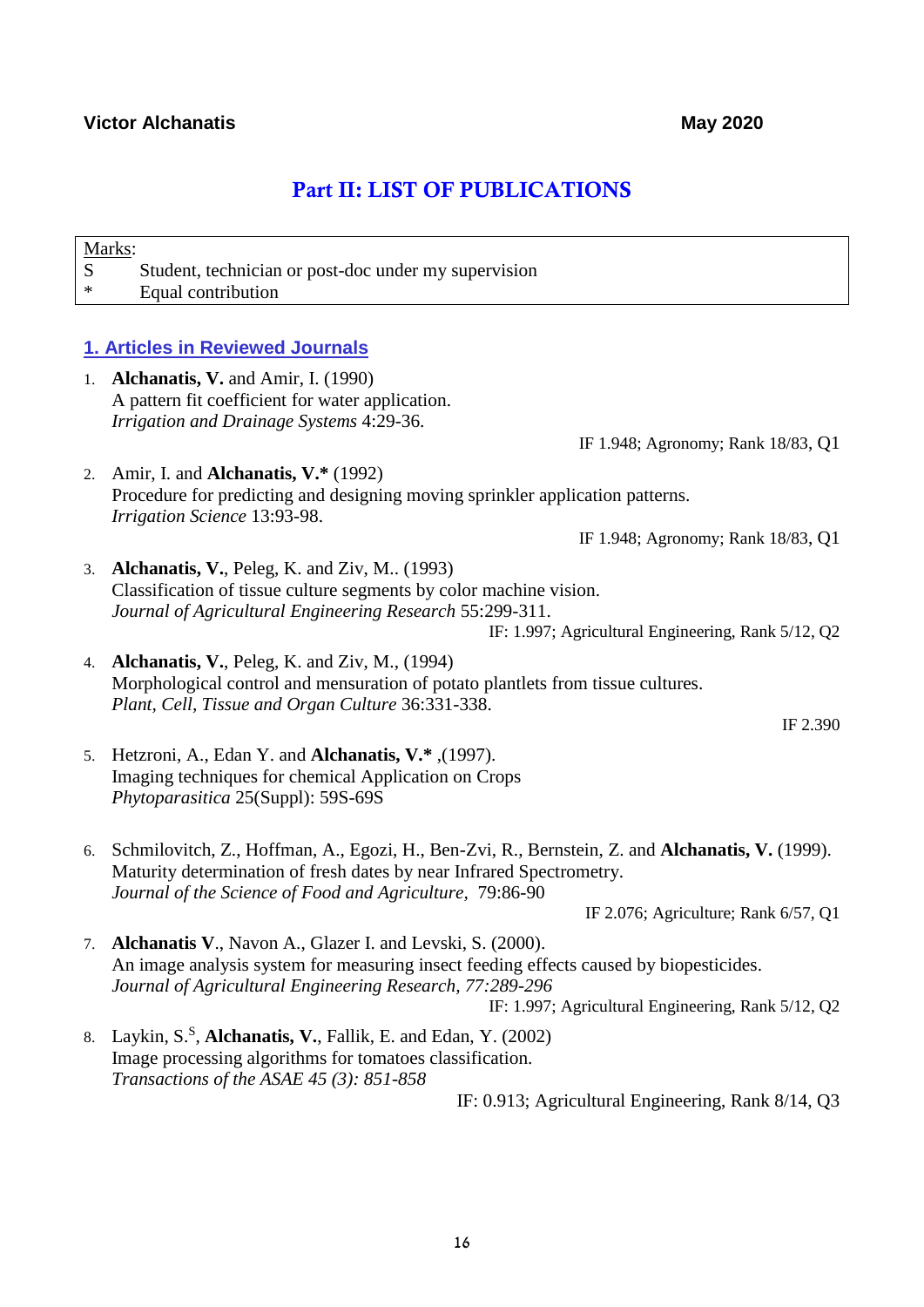# Part II: LIST OF PUBLICATIONS

| S<br>* | Marks:<br>Student, technician or post-doc under my supervision<br>Equal contribution                                                                                                                                                                                  |
|--------|-----------------------------------------------------------------------------------------------------------------------------------------------------------------------------------------------------------------------------------------------------------------------|
|        |                                                                                                                                                                                                                                                                       |
|        | 1. Articles in Reviewed Journals                                                                                                                                                                                                                                      |
|        | 1. <b>Alchanatis, V.</b> and Amir, I. (1990)<br>A pattern fit coefficient for water application.<br>Irrigation and Drainage Systems 4:29-36.                                                                                                                          |
|        | IF 1.948; Agronomy; Rank 18/83, Q1                                                                                                                                                                                                                                    |
|        | 2. Amir, I. and <b>Alchanatis, V.*</b> $(1992)$<br>Procedure for predicting and designing moving sprinkler application patterns.<br>Irrigation Science 13:93-98.                                                                                                      |
|        | IF 1.948; Agronomy; Rank 18/83, Q1                                                                                                                                                                                                                                    |
|        | 3. Alchanatis, V., Peleg, K. and Ziv, M (1993)<br>Classification of tissue culture segments by color machine vision.<br>Journal of Agricultural Engineering Research 55:299-311.<br>IF: 1.997; Agricultural Engineering, Rank 5/12, Q2                                |
|        | 4. Alchanatis, V., Peleg, K. and Ziv, M., (1994)<br>Morphological control and mensuration of potato plantlets from tissue cultures.<br>Plant, Cell, Tissue and Organ Culture 36:331-338.                                                                              |
|        | IF 2.390                                                                                                                                                                                                                                                              |
|        | 5. Hetzroni, A., Edan Y. and Alchanatis, V.* , (1997).<br>Imaging techniques for chemical Application on Crops<br>Phytoparasitica 25(Suppl): 59S-69S                                                                                                                  |
| 6.     | Schmilovitch, Z., Hoffman, A., Egozi, H., Ben-Zvi, R., Bernstein, Z. and Alchanatis, V. (1999).<br>Maturity determination of fresh dates by near Infrared Spectrometry.<br>Journal of the Science of Food and Agriculture, 79:86-90                                   |
|        | IF 2.076; Agriculture; Rank 6/57, Q1                                                                                                                                                                                                                                  |
| 7.     | Alchanatis V., Navon A., Glazer I. and Levski, S. (2000).<br>An image analysis system for measuring insect feeding effects caused by biopesticides.<br>Journal of Agricultural Engineering Research, 77:289-296<br>IF: 1.997; Agricultural Engineering, Rank 5/12, Q2 |
| 8.     | Laykin, S. <sup>S</sup> , Alchanatis, V., Fallik, E. and Edan, Y. (2002)<br>Image processing algorithms for tomatoes classification.<br>Transactions of the ASAE 45 (3): 851-858                                                                                      |
|        | IF: 0.913; Agricultural Engineering, Rank 8/14, Q3                                                                                                                                                                                                                    |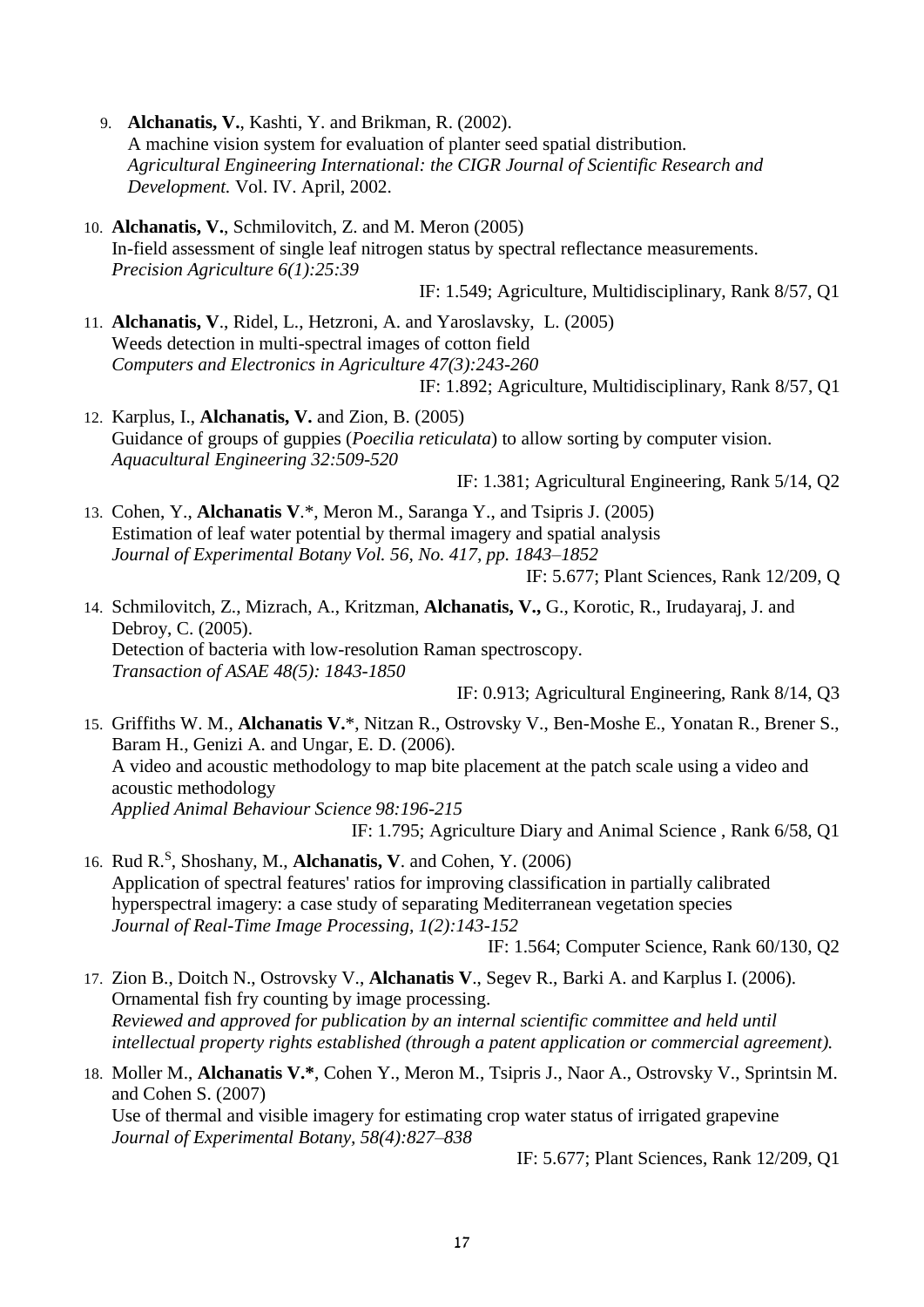- 9. **Alchanatis, V.**, Kashti, Y. and Brikman, R. (2002). A machine vision system for evaluation of planter seed spatial distribution. *Agricultural Engineering International: the CIGR Journal of Scientific Research and Development.* Vol. IV. April, 2002.
- 10. **Alchanatis, V.**, Schmilovitch, Z. and M. Meron (2005) In-field assessment of single leaf nitrogen status by spectral reflectance measurements. *Precision Agriculture 6(1):25:39*

IF: 1.549; Agriculture, Multidisciplinary, Rank 8/57, Q1

11. **Alchanatis, V**., Ridel, L., Hetzroni, A. and Yaroslavsky, L. (2005) Weeds detection in multi-spectral images of cotton field *Computers and Electronics in Agriculture 47(3):243-260*

IF: 1.892; Agriculture, Multidisciplinary, Rank 8/57, Q1

12. Karplus, I., **Alchanatis, V.** and Zion, B. (2005) Guidance of groups of guppies (*Poecilia reticulata*) to allow sorting by computer vision. *Aquacultural Engineering 32:509-520*

IF: 1.381; Agricultural Engineering, Rank 5/14, Q2

13. Cohen, Y., **Alchanatis V**.\*, Meron M., Saranga Y., and Tsipris J. (2005) Estimation of leaf water potential by thermal imagery and spatial analysis *Journal of Experimental Botany Vol. 56, No. 417, pp. 1843–1852*

IF: 5.677; Plant Sciences, Rank 12/209, Q

14. Schmilovitch, Z., Mizrach, A., Kritzman, **Alchanatis, V.,** G., Korotic, R., Irudayaraj, J. and Debroy, C. (2005). Detection of bacteria with low-resolution Raman spectroscopy. *Transaction of ASAE 48(5): 1843-1850*

IF: 0.913; Agricultural Engineering, Rank 8/14, Q3

15. Griffiths W. M., **Alchanatis V.**\*, Nitzan R., Ostrovsky V., Ben-Moshe E., Yonatan R., Brener S., Baram H., Genizi A. and Ungar, E. D. (2006). A video and acoustic methodology to map bite placement at the patch scale using a video and acoustic methodology *Applied Animal Behaviour Science 98:196-215* IF: 1.795; Agriculture Diary and Animal Science , Rank 6/58, Q1

16. Rud R.<sup>S</sup> , Shoshany, M., **Alchanatis, V**. and Cohen, Y. (2006) Application of spectral features' ratios for improving classification in partially calibrated hyperspectral imagery: a case study of separating Mediterranean vegetation species *Journal of Real-Time Image Processing, 1(2):143-152* IF: 1.564; Computer Science, Rank 60/130, Q2

17. Zion B., Doitch N., Ostrovsky V., **Alchanatis V**., Segev R., Barki A. and Karplus I. (2006). Ornamental fish fry counting by image processing.

*Reviewed and approved for publication by an internal scientific committee and held until intellectual property rights established (through a patent application or commercial agreement).*

### 18. Moller M., **Alchanatis V.\***, Cohen Y., Meron M., Tsipris J., Naor A., Ostrovsky V., Sprintsin M. and Cohen S. (2007)

Use of thermal and visible imagery for estimating crop water status of irrigated grapevine *Journal of Experimental Botany, 58(4):827–838*

IF: 5.677; Plant Sciences, Rank 12/209, Q1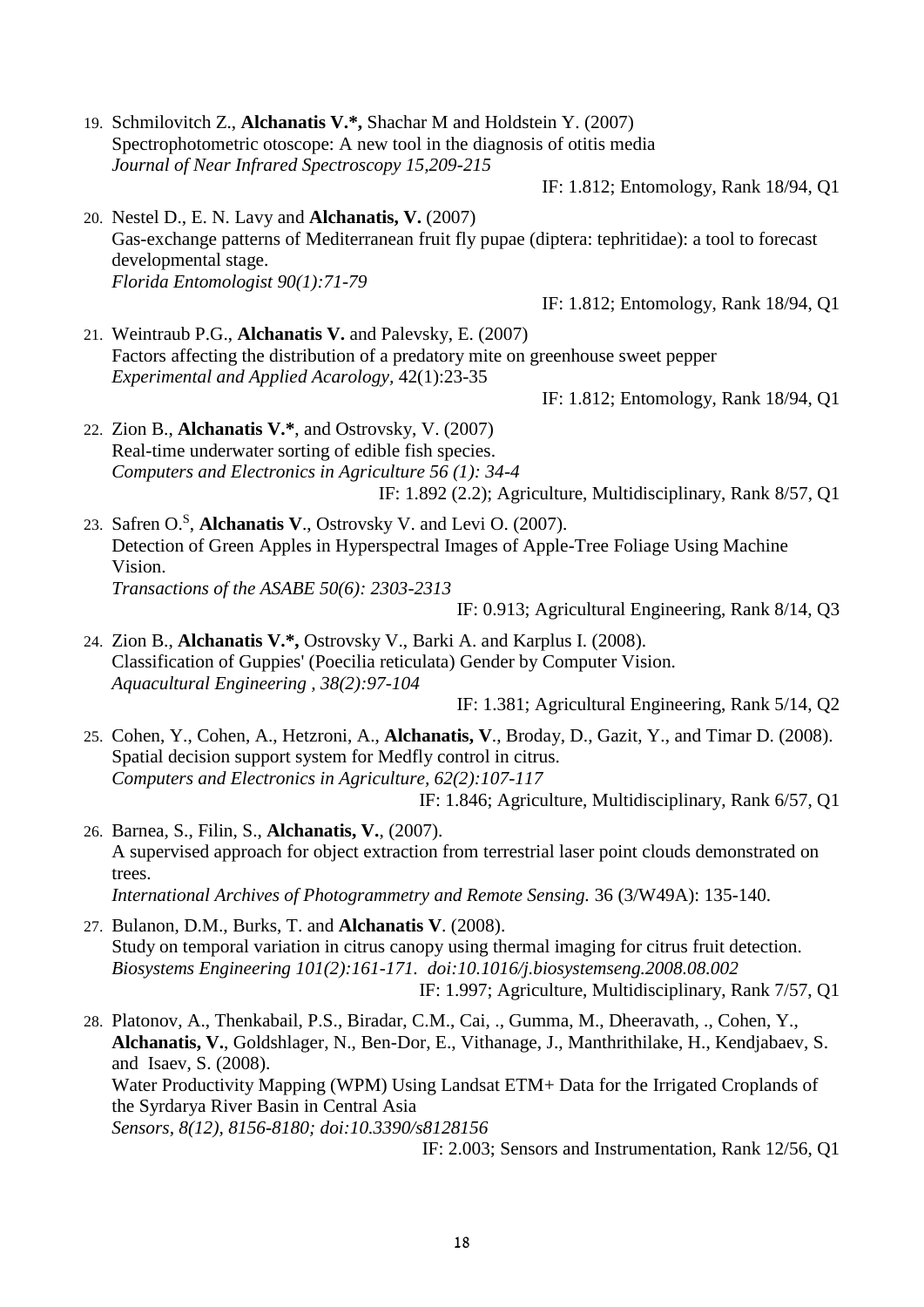19. Schmilovitch Z., **Alchanatis V.\*,** Shachar M and Holdstein Y. (2007) Spectrophotometric otoscope: A new tool in the diagnosis of otitis media *Journal of Near Infrared Spectroscopy 15,209-215*

IF: 1.812; Entomology, Rank 18/94, Q1

20. Nestel D., E. N. Lavy and **Alchanatis, V.** (2007) Gas-exchange patterns of Mediterranean fruit fly pupae (diptera: tephritidae): a tool to forecast developmental stage. *Florida Entomologist 90(1):71-79*

IF: 1.812; Entomology, Rank 18/94, Q1

21. Weintraub P.G., **Alchanatis V.** and Palevsky, E. (2007) Factors affecting the distribution of a predatory mite on greenhouse sweet pepper *Experimental and Applied Acarology,* 42(1):23-35

IF: 1.812; Entomology, Rank 18/94, Q1

- 22. Zion B., **Alchanatis V.\***, and Ostrovsky, V. (2007) Real-time underwater sorting of edible fish species. *Computers and Electronics in Agriculture 56 (1): 34-4* IF: 1.892 (2.2); Agriculture, Multidisciplinary, Rank 8/57, Q1
- 23. Safren O.<sup>S</sup> , **Alchanatis V**., Ostrovsky V. and Levi O. (2007). Detection of Green Apples in Hyperspectral Images of Apple-Tree Foliage Using Machine Vision. *Transactions of the ASABE 50(6): 2303-2313*

IF: 0.913; Agricultural Engineering, Rank 8/14, Q3

24. Zion B., **Alchanatis V.\*,** Ostrovsky V., Barki A. and Karplus I. (2008). Classification of Guppies' (Poecilia reticulata) Gender by Computer Vision. *Aquacultural Engineering , 38(2):97-104*

IF: 1.381; Agricultural Engineering, Rank 5/14, Q2

25. Cohen, Y., Cohen, A., Hetzroni, A., **Alchanatis, V**., Broday, D., Gazit, Y., and Timar D. (2008). Spatial decision support system for Medfly control in citrus. *Computers and Electronics in Agriculture, 62(2):107-117*

IF: 1.846; Agriculture, Multidisciplinary, Rank 6/57, Q1

- 26. Barnea, S., Filin, S., **Alchanatis, V.**, (2007). A supervised approach for object extraction from terrestrial laser point clouds demonstrated on trees. *International Archives of Photogrammetry and Remote Sensing.* 36 (3/W49A): 135-140.
- 27. Bulanon, D.M., Burks, T. and **Alchanatis V**. (2008). Study on temporal variation in citrus canopy using thermal imaging for citrus fruit detection. *Biosystems Engineering 101(2):161-171. doi:10.1016/j.biosystemseng.2008.08.002* IF: 1.997; Agriculture, Multidisciplinary, Rank 7/57, Q1
- 28. Platonov, A., Thenkabail, P.S., Biradar, C.M., Cai, ., Gumma, M., Dheeravath, ., Cohen, Y., **Alchanatis, V.**, Goldshlager, N., Ben-Dor, E., Vithanage, J., Manthrithilake, H., Kendjabaev, S. and Isaev, S. (2008). Water Productivity Mapping (WPM) Using Landsat ETM+ Data for the Irrigated Croplands of the Syrdarya River Basin in Central Asia *Sensors, 8(12), 8156-8180; doi:10.3390/s8128156*

IF: 2.003; Sensors and Instrumentation, Rank 12/56, Q1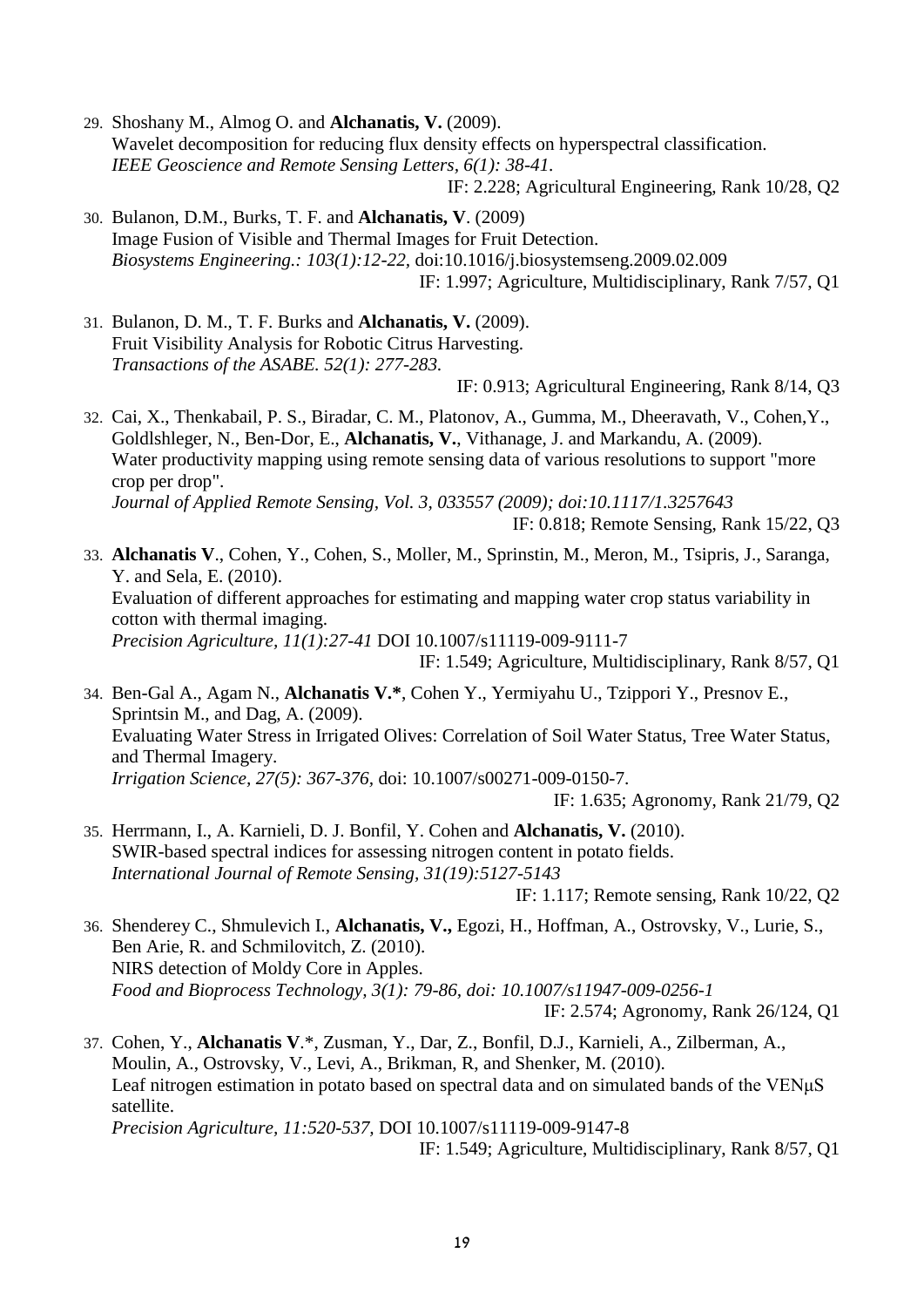29. Shoshany M., Almog O. and **Alchanatis, V.** (2009). Wavelet decomposition for reducing flux density effects on hyperspectral classification. *IEEE Geoscience and Remote Sensing Letters, 6(1): 38-41.* IF: 2.228; Agricultural Engineering, Rank 10/28, Q2

30. Bulanon, D.M., Burks, T. F. and **Alchanatis, V**. (2009) Image Fusion of Visible and Thermal Images for Fruit Detection. *Biosystems Engineering.: 103(1):12-22,* doi:10.1016/j.biosystemseng.2009.02.009 IF: 1.997; Agriculture, Multidisciplinary, Rank 7/57, Q1

31. Bulanon, D. M., T. F. Burks and **Alchanatis, V.** (2009). Fruit Visibility Analysis for Robotic Citrus Harvesting. *Transactions of the ASABE. 52(1): 277-283.*

IF: 0.913; Agricultural Engineering, Rank 8/14, Q3

32. Cai, X., Thenkabail, P. S., Biradar, C. M., Platonov, A., Gumma, M., Dheeravath, V., Cohen,Y., Goldlshleger, N., Ben-Dor, E., **Alchanatis, V.**, Vithanage, J. and Markandu, A. (2009). Water productivity mapping using remote sensing data of various resolutions to support "more" crop per drop". *Journal of Applied Remote Sensing, Vol. 3, 033557 (2009); doi:10.1117/1.3257643* IF: 0.818; Remote Sensing, Rank 15/22, Q3

33. **Alchanatis V**., Cohen, Y., Cohen, S., Moller, M., Sprinstin, M., Meron, M., Tsipris, J., Saranga, Y. and Sela, E. (2010). Evaluation of different approaches for estimating and mapping water crop status variability in cotton with thermal imaging. *Precision Agriculture, 11(1):27-41* DOI 10.1007/s11119-009-9111-7 IF: 1.549; Agriculture, Multidisciplinary, Rank 8/57, Q1

34. Ben-Gal A., Agam N., **Alchanatis V.\***, Cohen Y., Yermiyahu U., Tzippori Y., Presnov E., Sprintsin M., and Dag, A. (2009). Evaluating Water Stress in Irrigated Olives: Correlation of Soil Water Status, Tree Water Status, and Thermal Imagery. *Irrigation Science, 27(5): 367-376,* doi: 10.1007/s00271-009-0150-7. IF: 1.635; Agronomy, Rank 21/79, Q2

35. Herrmann, I., A. Karnieli, D. J. Bonfil, Y. Cohen and **Alchanatis, V.** (2010). SWIR-based spectral indices for assessing nitrogen content in potato fields. *International Journal of Remote Sensing, 31(19):5127-5143*

IF: 1.117; Remote sensing, Rank 10/22, Q2

36. Shenderey C., Shmulevich I., **Alchanatis, V.,** Egozi, H., Hoffman, A., Ostrovsky, V., Lurie, S., Ben Arie, R. and Schmilovitch, Z. (2010). NIRS detection of Moldy Core in Apples. *Food and Bioprocess Technology, 3(1): 79-86, doi: 10.1007/s11947-009-0256-1*

IF: 2.574; Agronomy, Rank 26/124, Q1

37. Cohen, Y., **Alchanatis V**.\*, Zusman, Y., Dar, Z., Bonfil, D.J., Karnieli, A., Zilberman, A., Moulin, A., Ostrovsky, V., Levi, A., Brikman, R, and Shenker, M. (2010). Leaf nitrogen estimation in potato based on spectral data and on simulated bands of the VENμS satellite. *Precision Agriculture, 11:520-537,* DOI 10.1007/s11119-009-9147-8

IF: 1.549; Agriculture, Multidisciplinary, Rank 8/57, Q1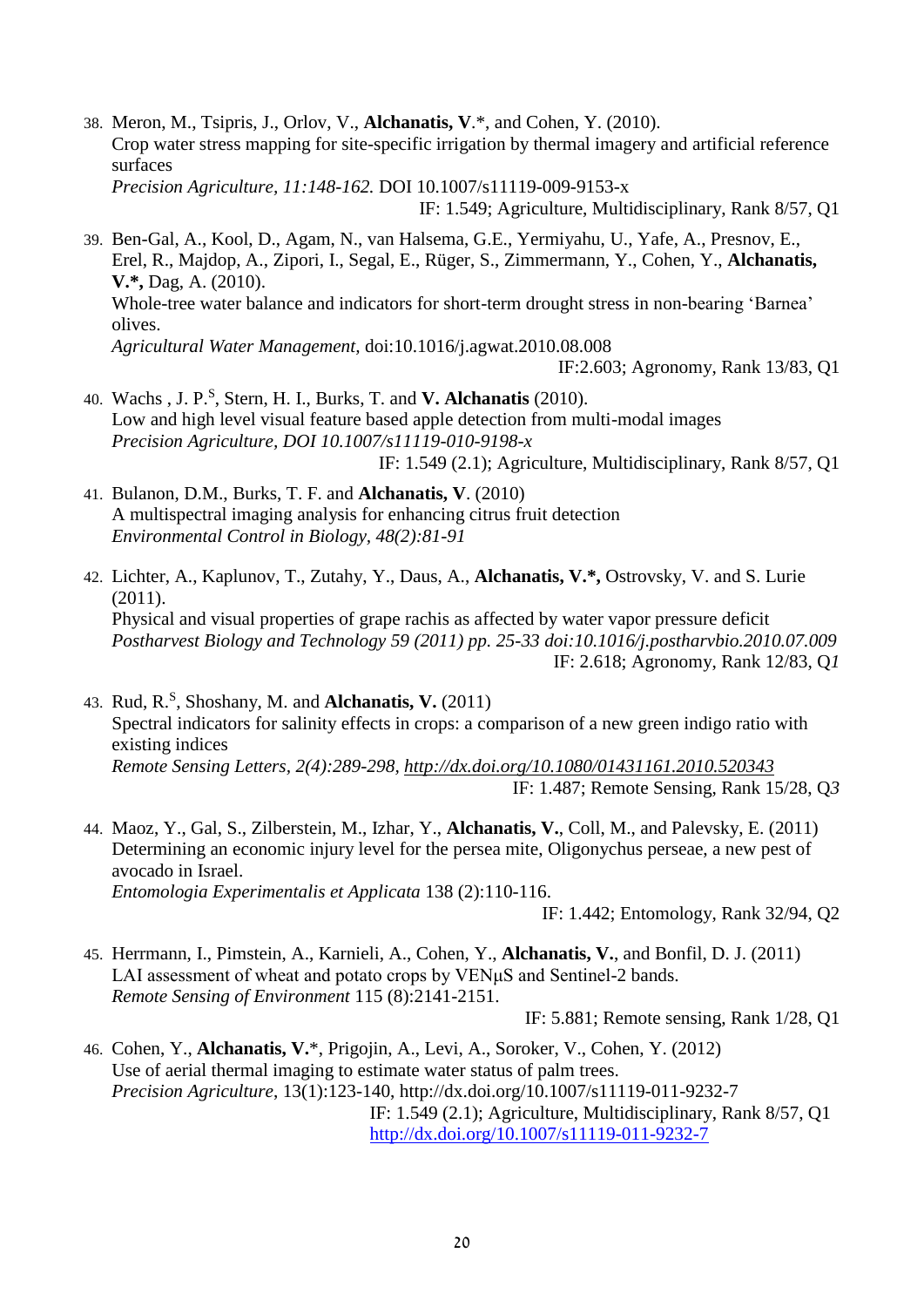38. Meron, M., Tsipris, J., Orlov, V., **Alchanatis, V**.\*, and Cohen, Y. (2010). Crop water stress mapping for site-specific irrigation by thermal imagery and artificial reference surfaces *Precision Agriculture, 11:148-162.* DOI 10.1007/s11119-009-9153-x

39. Ben-Gal, A., Kool, D., Agam, N., van Halsema, G.E., Yermiyahu, U., Yafe, A., Presnov, E., Erel, R., Majdop, A., Zipori, I., Segal, E., Rüger, S., Zimmermann, Y., Cohen, Y., **Alchanatis, V.\*,** Dag, A. (2010). Whole-tree water balance and indicators for short-term drought stress in non-bearing 'Barnea' olives. *Agricultural Water Management,* doi:10.1016/j.agwat.2010.08.008

IF:2.603; Agronomy, Rank 13/83, Q1

- 40. Wachs , J. P.<sup>S</sup> , Stern, H. I., Burks, T. and **V. Alchanatis** (2010). Low and high level visual feature based apple detection from multi-modal images *Precision Agriculture, DOI 10.1007/s11119-010-9198-x* IF: 1.549 (2.1); Agriculture, Multidisciplinary, Rank 8/57, Q1
- 41. Bulanon, D.M., Burks, T. F. and **Alchanatis, V**. (2010) A multispectral imaging analysis for enhancing citrus fruit detection *Environmental Control in Biology, 48(2):81-91*
- 42. Lichter, A., Kaplunov, T., Zutahy, Y., Daus, A., **Alchanatis, V.\*,** Ostrovsky, V. and S. Lurie (2011). Physical and visual properties of grape rachis as affected by water vapor pressure deficit *Postharvest Biology and Technology 59 (2011) pp. 25-33 doi:10.1016/j.postharvbio.2010.07.009* IF: 2.618; Agronomy, Rank 12/83, Q*1*
- 43. Rud, R.<sup>S</sup> , Shoshany, M. and **Alchanatis, V.** (2011) Spectral indicators for salinity effects in crops: a comparison of a new green indigo ratio with existing indices *Remote Sensing Letters, 2(4):289-298,<http://dx.doi.org/10.1080/01431161.2010.520343>* IF: 1.487; Remote Sensing, Rank 15/28, Q*3*
- 44. Maoz, Y., Gal, S., Zilberstein, M., Izhar, Y., **Alchanatis, V.**, Coll, M., and Palevsky, E. (2011) Determining an economic injury level for the persea mite, Oligonychus perseae, a new pest of avocado in Israel. *Entomologia Experimentalis et Applicata* 138 (2):110-116.

IF: 1.442; Entomology, Rank 32/94, Q2

45. Herrmann, I., Pimstein, A., Karnieli, A., Cohen, Y., **Alchanatis, V.**, and Bonfil, D. J. (2011) LAI assessment of wheat and potato crops by VENµS and Sentinel-2 bands. *Remote Sensing of Environment* 115 (8):2141-2151.

IF: 5.881; Remote sensing, Rank 1/28, Q1

46. Cohen, Y., **Alchanatis, V.**\*, Prigojin, A., Levi, A., Soroker, V., Cohen, Y. (2012) Use of aerial thermal imaging to estimate water status of palm trees. *Precision Agriculture*, 13(1):123-140,<http://dx.doi.org/10.1007/s11119-011-9232-7> IF: 1.549 (2.1); Agriculture, Multidisciplinary, Rank 8/57, Q1 <http://dx.doi.org/10.1007/s11119-011-9232-7>

IF: 1.549; Agriculture, Multidisciplinary, Rank 8/57, Q1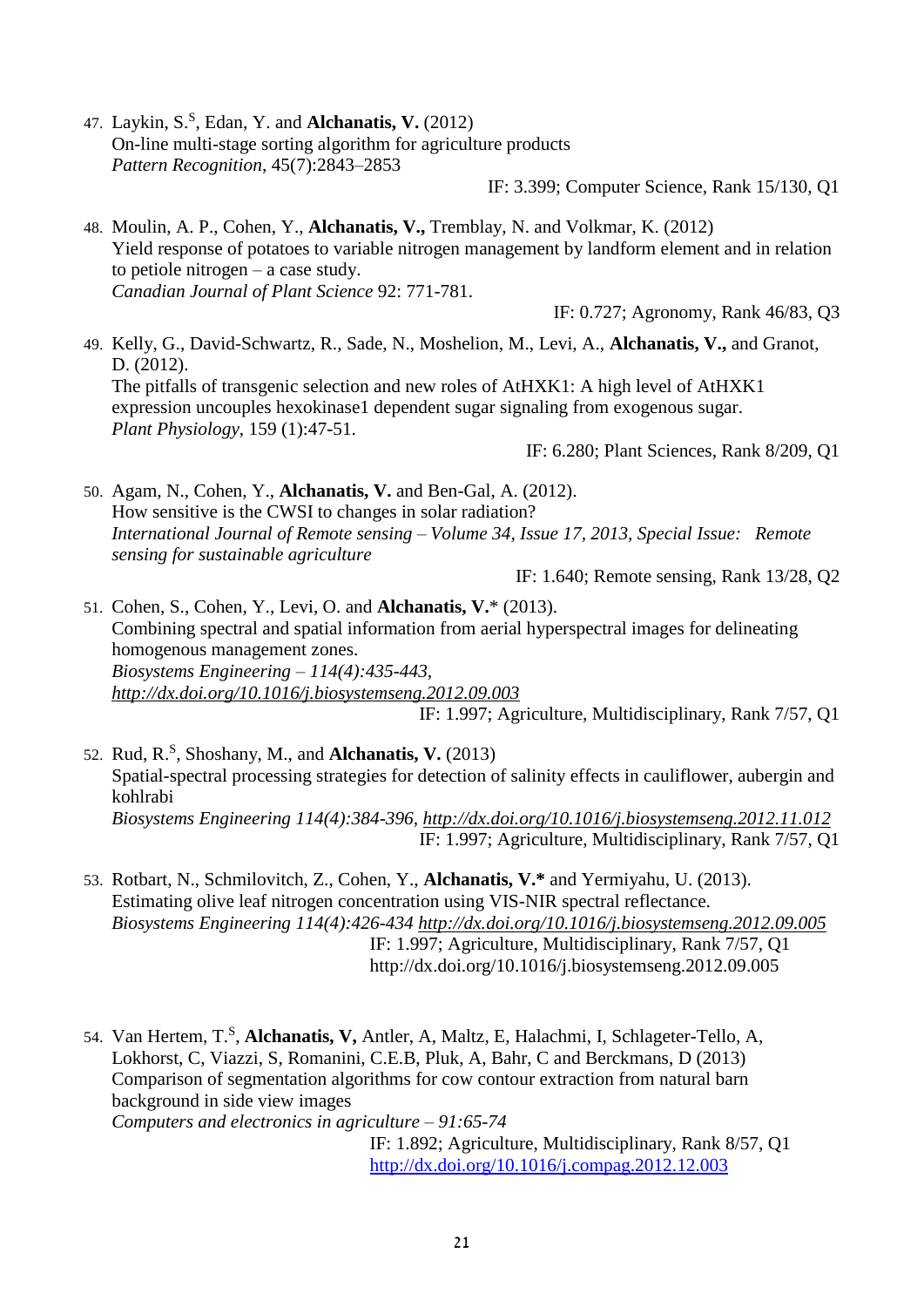47. Laykin, S.<sup>S</sup>, Edan, Y. and **Alchanatis, V.** (2012) On-line multi-stage sorting algorithm for agriculture products *Pattern Recognition*, 45(7):2843–2853

IF: 3.399; Computer Science, Rank 15/130, Q1

48. Moulin, A. P., Cohen, Y., **Alchanatis, V.,** Tremblay, N. and Volkmar, K. (2012) Yield response of potatoes to variable nitrogen management by landform element and in relation to petiole nitrogen – a case study. *Canadian Journal of Plant Science* 92: 771-781.

IF: 0.727; Agronomy, Rank 46/83, Q3

49. Kelly, G., David-Schwartz, R., Sade, N., Moshelion, M., Levi, A., **Alchanatis, V.,** and Granot, D. (2012). The pitfalls of transgenic selection and new roles of AtHXK1: A high level of AtHXK1 expression uncouples hexokinase1 dependent sugar signaling from exogenous sugar. *Plant Physiology*, 159 (1):47-51. IF: 6.280; Plant Sciences, Rank 8/209, Q1

50. Agam, N., Cohen, Y., **Alchanatis, V.** and Ben-Gal, A. (2012). How sensitive is the CWSI to changes in solar radiation? *International Journal of Remote sensing – Volume 34, Issue 17, 2013, Special Issue: Remote sensing for sustainable agriculture* 

IF: 1.640; Remote sensing, Rank 13/28, Q2

51. Cohen, S., Cohen, Y., Levi, O. and **Alchanatis, V.**\* (2013). Combining spectral and spatial information from aerial hyperspectral images for delineating homogenous management zones. *Biosystems Engineering – 114(4):435-443, <http://dx.doi.org/10.1016/j.biosystemseng.2012.09.003>* IF: 1.997; Agriculture, Multidisciplinary, Rank 7/57, Q1

52. Rud, R. S , Shoshany, M., and **Alchanatis, V.** (2013) Spatial-spectral processing strategies for detection of salinity effects in cauliflower, aubergin and kohlrabi *Biosystems Engineering 114(4):384-396,<http://dx.doi.org/10.1016/j.biosystemseng.2012.11.012>* IF: 1.997; Agriculture, Multidisciplinary, Rank 7/57, Q1

- 53. Rotbart, N., Schmilovitch, Z., Cohen, Y., **Alchanatis, V.\*** and Yermiyahu, U. (2013). Estimating olive leaf nitrogen concentration using VIS-NIR spectral reflectance. *Biosystems Engineering 114(4):426-434<http://dx.doi.org/10.1016/j.biosystemseng.2012.09.005>* IF: 1.997; Agriculture, Multidisciplinary, Rank 7/57, Q1 <http://dx.doi.org/10.1016/j.biosystemseng.2012.09.005>
- 54. Van Hertem, T.<sup>S</sup>, Alchanatis, V, Antler, A, Maltz, E, Halachmi, I, Schlageter-Tello, A, Lokhorst, C, Viazzi, S, Romanini, C.E.B, Pluk, A, Bahr, C and Berckmans, D (2013) Comparison of segmentation algorithms for cow contour extraction from natural barn background in side view images *Computers and electronics in agriculture – 91:65-74*

IF: 1.892; Agriculture, Multidisciplinary, Rank 8/57, Q1 <http://dx.doi.org/10.1016/j.compag.2012.12.003>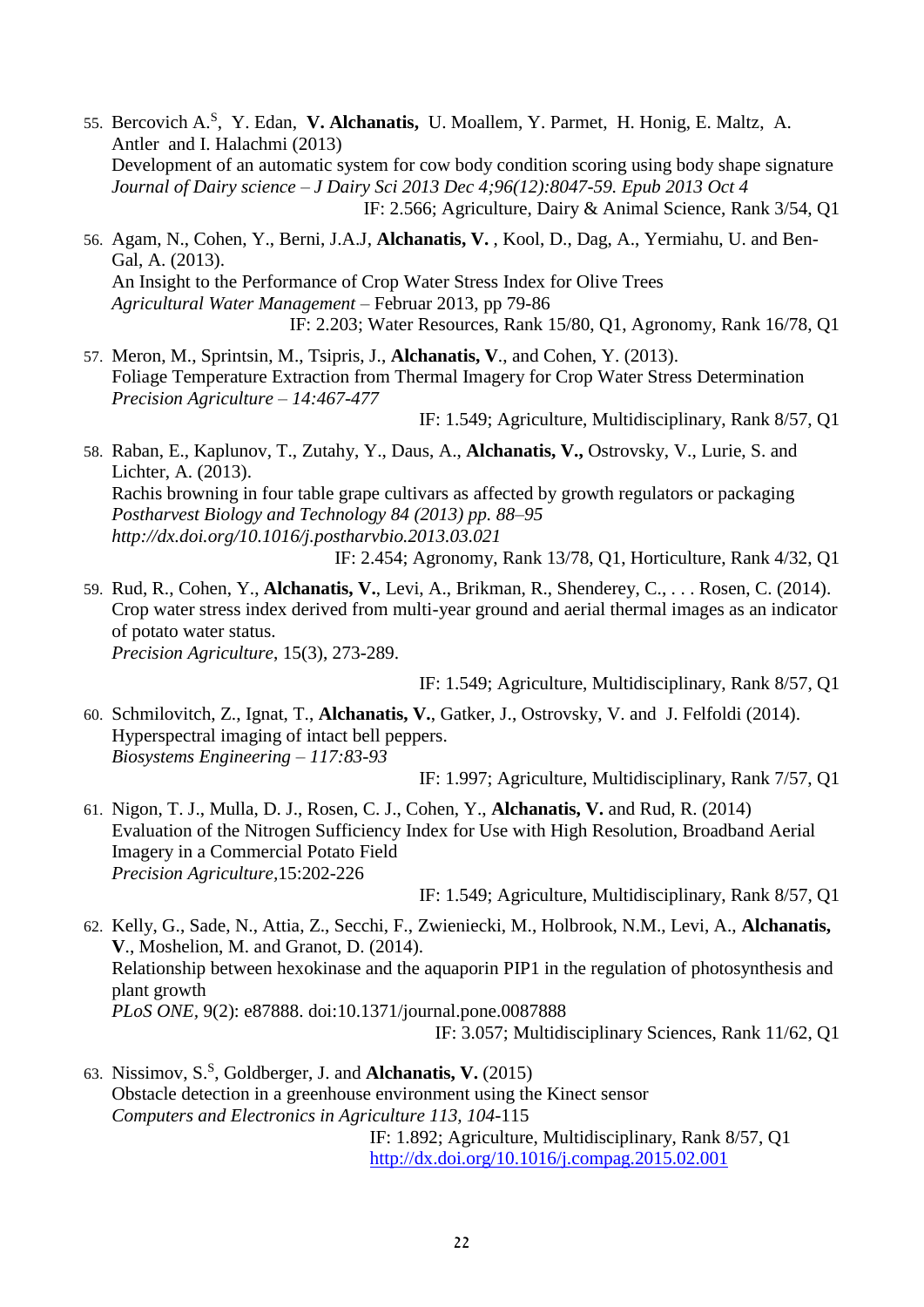- 55. Bercovich A.<sup>S</sup> , Y. Edan, **V. Alchanatis,** U. Moallem, Y. Parmet, H. Honig, E. Maltz, A. Antler and I. Halachmi (2013) Development of an automatic system for cow body condition scoring using body shape signature *Journal of Dairy science – J Dairy Sci 2013 Dec 4;96(12):8047-59. Epub 2013 Oct 4* IF: 2.566; Agriculture, Dairy & Animal Science, Rank 3/54, Q1
- 56. Agam, N., Cohen, Y., Berni, J.A.J, **Alchanatis, V.** , Kool, D., Dag, A., Yermiahu, U. and Ben-Gal, A. (2013). An Insight to the Performance of Crop Water Stress Index for Olive Trees *Agricultural Water Management –* Februar 2013, pp 79-86 IF: 2.203; Water Resources, Rank 15/80, Q1, Agronomy, Rank 16/78, Q1
- 57. Meron, M., Sprintsin, M., Tsipris, J., **Alchanatis, V**., and Cohen, Y. (2013). Foliage Temperature Extraction from Thermal Imagery for Crop Water Stress Determination *Precision Agriculture – 14:467-477*

IF: 1.549; Agriculture, Multidisciplinary, Rank 8/57, Q1

58. Raban, E., Kaplunov, T., Zutahy, Y., Daus, A., **Alchanatis, V.,** Ostrovsky, V., Lurie, S. and Lichter, A. (2013). Rachis browning in four table grape cultivars as affected by growth regulators or packaging *Postharvest Biology and Technology 84 (2013) pp. 88–95 http://dx.doi.org/10.1016/j.postharvbio.2013.03.021* IF: 2.454; Agronomy, Rank 13/78, Q1, Horticulture, Rank 4/32, Q1

59. Rud, R., Cohen, Y., **Alchanatis, V.**, Levi, A., Brikman, R., Shenderey, C., . . . Rosen, C. (2014). Crop water stress index derived from multi-year ground and aerial thermal images as an indicator of potato water status. *Precision Agriculture*, 15(3), 273-289.

IF: 1.549; Agriculture, Multidisciplinary, Rank 8/57, Q1

60. Schmilovitch, Z., Ignat, T., **Alchanatis, V.**, Gatker, J., Ostrovsky, V. and J. Felfoldi (2014). Hyperspectral imaging of intact bell peppers. *Biosystems Engineering – 117:83-93*

IF: 1.997; Agriculture, Multidisciplinary, Rank 7/57, Q1

61. Nigon, T. J., Mulla, D. J., Rosen, C. J., Cohen, Y., **Alchanatis, V.** and Rud, R. (2014) Evaluation of the Nitrogen Sufficiency Index for Use with High Resolution, Broadband Aerial Imagery in a Commercial Potato Field *Precision Agriculture,*15:202-226

IF: 1.549; Agriculture, Multidisciplinary, Rank 8/57, Q1

62. Kelly, G., Sade, N., Attia, Z., Secchi, F., Zwieniecki, M., Holbrook, N.M., Levi, A., **Alchanatis, V**., Moshelion, M. and Granot, D. (2014). Relationship between hexokinase and the aquaporin PIP1 in the regulation of photosynthesis and plant growth *PLoS ONE,* 9(2): e87888. doi:10.1371/journal.pone.0087888 IF: 3.057; Multidisciplinary Sciences, Rank 11/62, Q1

63. Nissimov, S.<sup>S</sup> , Goldberger, J. and **Alchanatis, V.** (2015) Obstacle detection in a greenhouse environment using the Kinect sensor *Computers and Electronics in Agriculture 113, 104-*115 IF: 1.892; Agriculture, Multidisciplinary, Rank 8/57, Q1

<http://dx.doi.org/10.1016/j.compag.2015.02.001>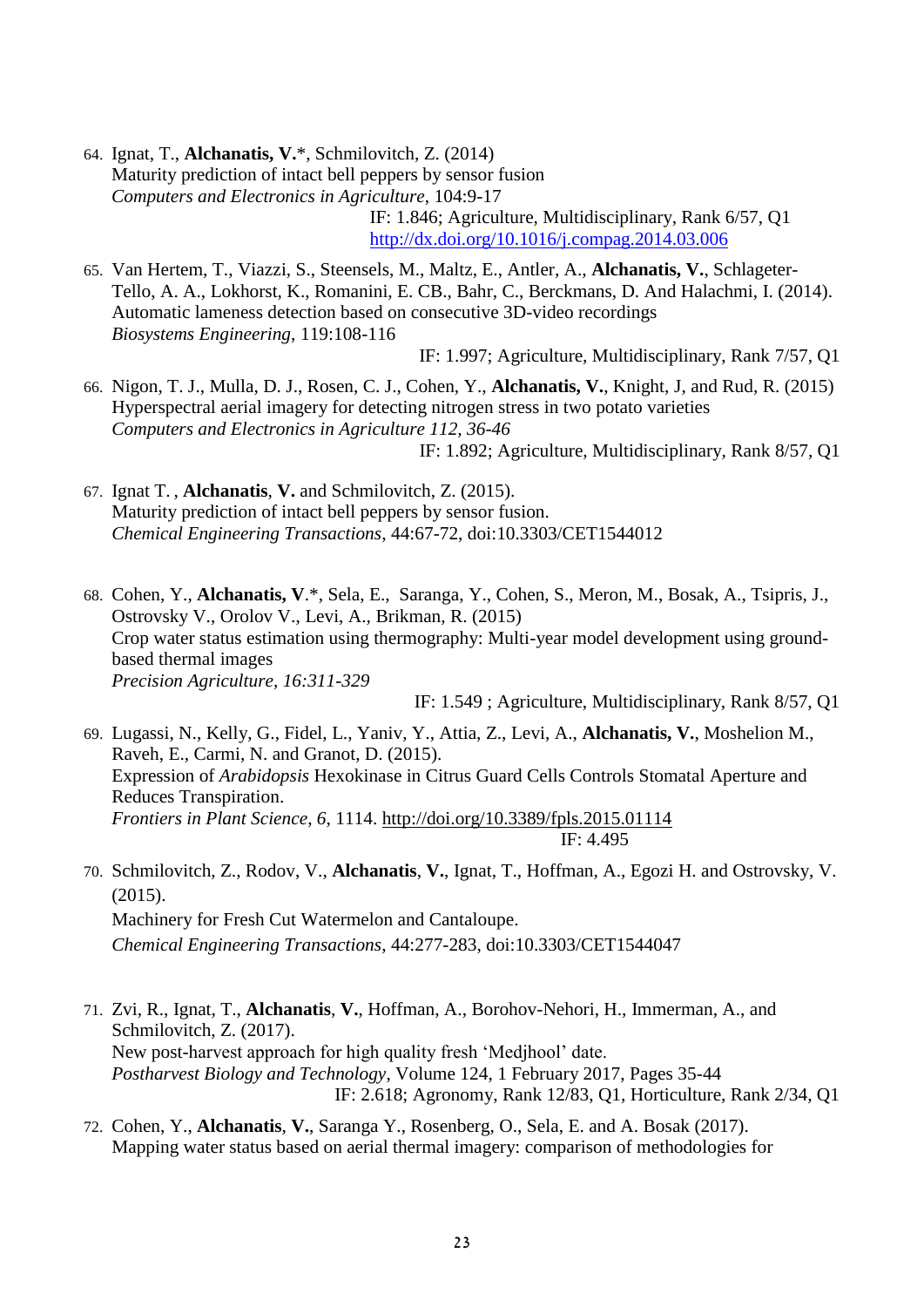64. Ignat, T., **Alchanatis, V.**\*, Schmilovitch, Z. (2014) Maturity prediction of intact bell peppers by sensor fusion *Computers and Electronics in Agriculture*, 104:9-17 IF: 1.846; Agriculture, Multidisciplinary, Rank 6/57, Q1 <http://dx.doi.org/10.1016/j.compag.2014.03.006>

65. Van Hertem, T., Viazzi, S., Steensels, M., Maltz, E., Antler, A., **Alchanatis, V.**, Schlageter-Tello, A. A., Lokhorst, K., Romanini, E. CB., Bahr, C., Berckmans, D. And Halachmi, I. (2014). Automatic lameness detection based on consecutive 3D-video recordings *Biosystems Engineering*, 119:108-116

IF: 1.997; Agriculture, Multidisciplinary, Rank 7/57, Q1

- 66. Nigon, T. J., Mulla, D. J., Rosen, C. J., Cohen, Y., **Alchanatis, V.**, Knight, J, and Rud, R. (2015) Hyperspectral aerial imagery for detecting nitrogen stress in two potato varieties *Computers and Electronics in Agriculture 112, 36-46* IF: 1.892; Agriculture, Multidisciplinary, Rank 8/57, Q1
- 67. Ignat T. , **Alchanatis**, **V.** and Schmilovitch, Z. (2015). Maturity prediction of intact bell peppers by sensor fusion. *Chemical Engineering Transactions*, 44:67-72, doi:10.3303/CET1544012
- 68. Cohen, Y., **Alchanatis, V**.\*, Sela, E., Saranga, Y., Cohen, S., Meron, M., Bosak, A., Tsipris, J., Ostrovsky V., Orolov V., Levi, A., Brikman, R. (2015) Crop water status estimation using thermography: Multi-year model development using groundbased thermal images *Precision Agriculture, 16:311-329*

IF: 1.549 ; Agriculture, Multidisciplinary, Rank 8/57, Q1

69. Lugassi, N., Kelly, G., Fidel, L., Yaniv, Y., Attia, Z., Levi, A., **Alchanatis, V.**, Moshelion M., Raveh, E., Carmi, N. and Granot, D. (2015). Expression of *Arabidopsis* Hexokinase in Citrus Guard Cells Controls Stomatal Aperture and Reduces Transpiration. *Frontiers in Plant Science*, *6*, 1114.<http://doi.org/10.3389/fpls.2015.01114> IF: 4.495

- 70. Schmilovitch, Z., Rodov, V., **Alchanatis**, **V.**, Ignat, T., Hoffman, A., Egozi H. and Ostrovsky, V. (2015). Machinery for Fresh Cut Watermelon and Cantaloupe. *Chemical Engineering Transactions*, 44:277-283, doi:10.3303/CET1544047
- 71. Zvi, R., Ignat, T., **Alchanatis**, **V.**, Hoffman, A., Borohov-Nehori, H., Immerman, A., and Schmilovitch, Z. (2017). New post-harvest approach for high quality fresh 'Medjhool' date. *Postharvest Biology and Technology*, Volume 124, 1 February 2017, Pages 35-44 IF: 2.618; Agronomy, Rank 12/83, Q1, Horticulture, Rank 2/34, Q1
- 72. Cohen, Y., **Alchanatis**, **V.**, Saranga Y., Rosenberg, O., Sela, E. and A. Bosak (2017). Mapping water status based on aerial thermal imagery: comparison of methodologies for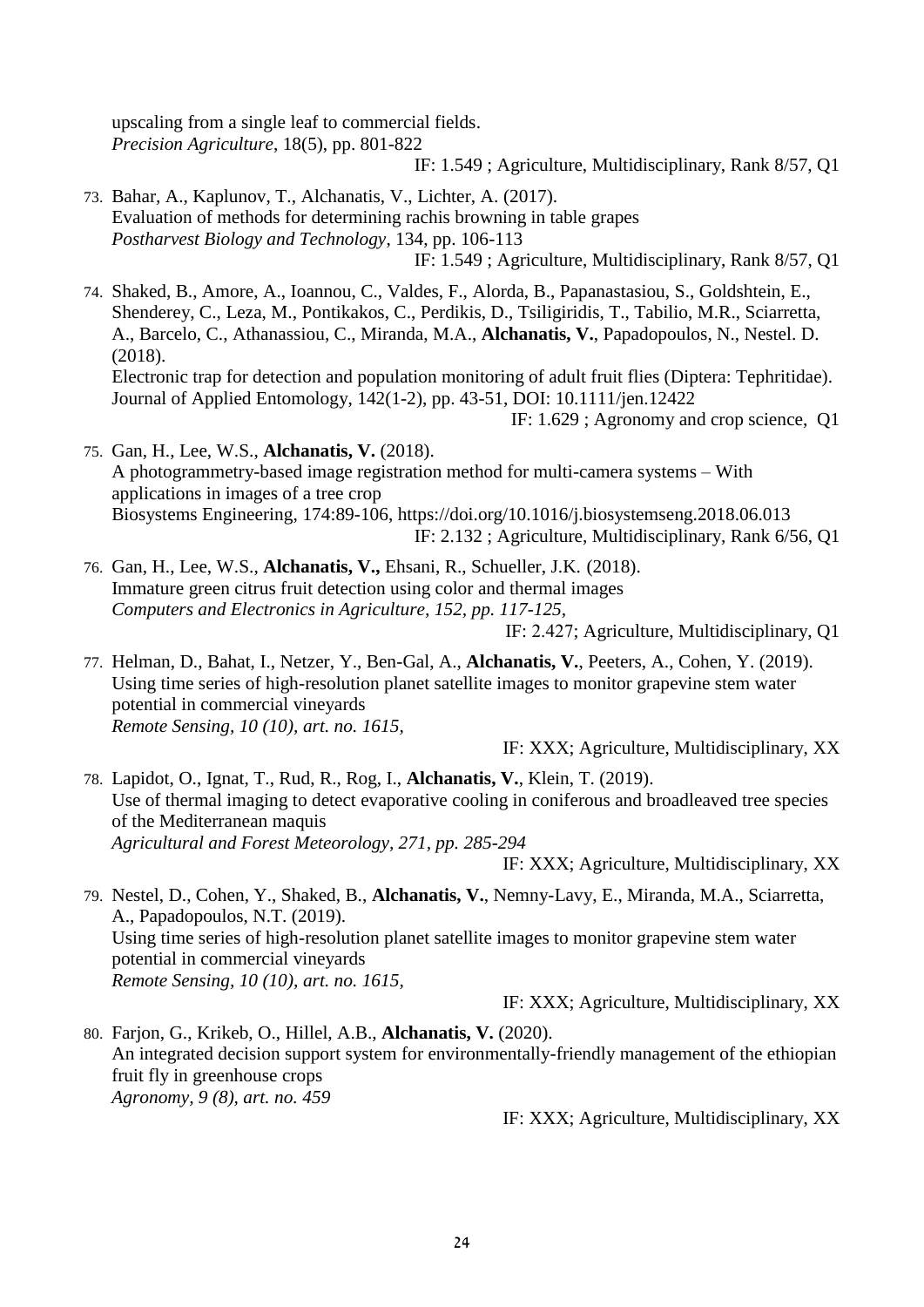upscaling from a single leaf to commercial fields. *Precision Agriculture*, 18(5), pp. 801-822

IF: 1.549 ; Agriculture, Multidisciplinary, Rank 8/57, Q1

73. Bahar, A., Kaplunov, T., Alchanatis, V., Lichter, A. (2017). Evaluation of methods for determining rachis browning in table grapes *Postharvest Biology and Technology*, 134, pp. 106-113 IF: 1.549 ; Agriculture, Multidisciplinary, Rank 8/57, Q1

74. Shaked, B., Amore, A., Ioannou, C., Valdes, F., Alorda, B., Papanastasiou, S., Goldshtein, E., Shenderey, C., Leza, M., Pontikakos, C., Perdikis, D., Tsiligiridis, T., Tabilio, M.R., Sciarretta, A., Barcelo, C., Athanassiou, C., Miranda, M.A., **Alchanatis, V.**, Papadopoulos, N., Nestel. D. (2018). Electronic trap for detection and population monitoring of adult fruit flies (Diptera: Tephritidae). Journal of Applied Entomology, 142(1-2), pp. 43-51, DOI: 10.1111/jen.12422

IF: 1.629 ; Agronomy and crop science, Q1

- 75. Gan, H., Lee, W.S., **Alchanatis, V.** (2018). A photogrammetry-based image registration method for multi-camera systems – With applications in images of a tree crop Biosystems Engineering, 174:89-106, https://doi.org/10.1016/j.biosystemseng.2018.06.013 IF: 2.132 ; Agriculture, Multidisciplinary, Rank 6/56, Q1
- 76. Gan, H., Lee, W.S., **Alchanatis, V.,** Ehsani, R., Schueller, J.K. (2018). Immature green citrus fruit detection using color and thermal images *Computers and Electronics in Agriculture, 152, pp. 117-125,*

IF: 2.427; Agriculture, Multidisciplinary, Q1

77. Helman, D., Bahat, I., Netzer, Y., Ben-Gal, A., **Alchanatis, V.**, Peeters, A., Cohen, Y. (2019). Using time series of high-resolution planet satellite images to monitor grapevine stem water potential in commercial vineyards *Remote Sensing, 10 (10), art. no. 1615,* 

IF: XXX; Agriculture, Multidisciplinary, XX

78. Lapidot, O., Ignat, T., Rud, R., Rog, I., **Alchanatis, V.**, Klein, T. (2019). Use of thermal imaging to detect evaporative cooling in coniferous and broadleaved tree species of the Mediterranean maquis *Agricultural and Forest Meteorology, 271, pp. 285-294*

IF: XXX; Agriculture, Multidisciplinary, XX

79. Nestel, D., Cohen, Y., Shaked, B., **Alchanatis, V.**, Nemny-Lavy, E., Miranda, M.A., Sciarretta, A., Papadopoulos, N.T. (2019). Using time series of high-resolution planet satellite images to monitor grapevine stem water potential in commercial vineyards *Remote Sensing, 10 (10), art. no. 1615,* 

IF: XXX; Agriculture, Multidisciplinary, XX

80. Farjon, G., Krikeb, O., Hillel, A.B., **Alchanatis, V.** (2020). An integrated decision support system for environmentally-friendly management of the ethiopian fruit fly in greenhouse crops *Agronomy, 9 (8), art. no. 459*

IF: XXX; Agriculture, Multidisciplinary, XX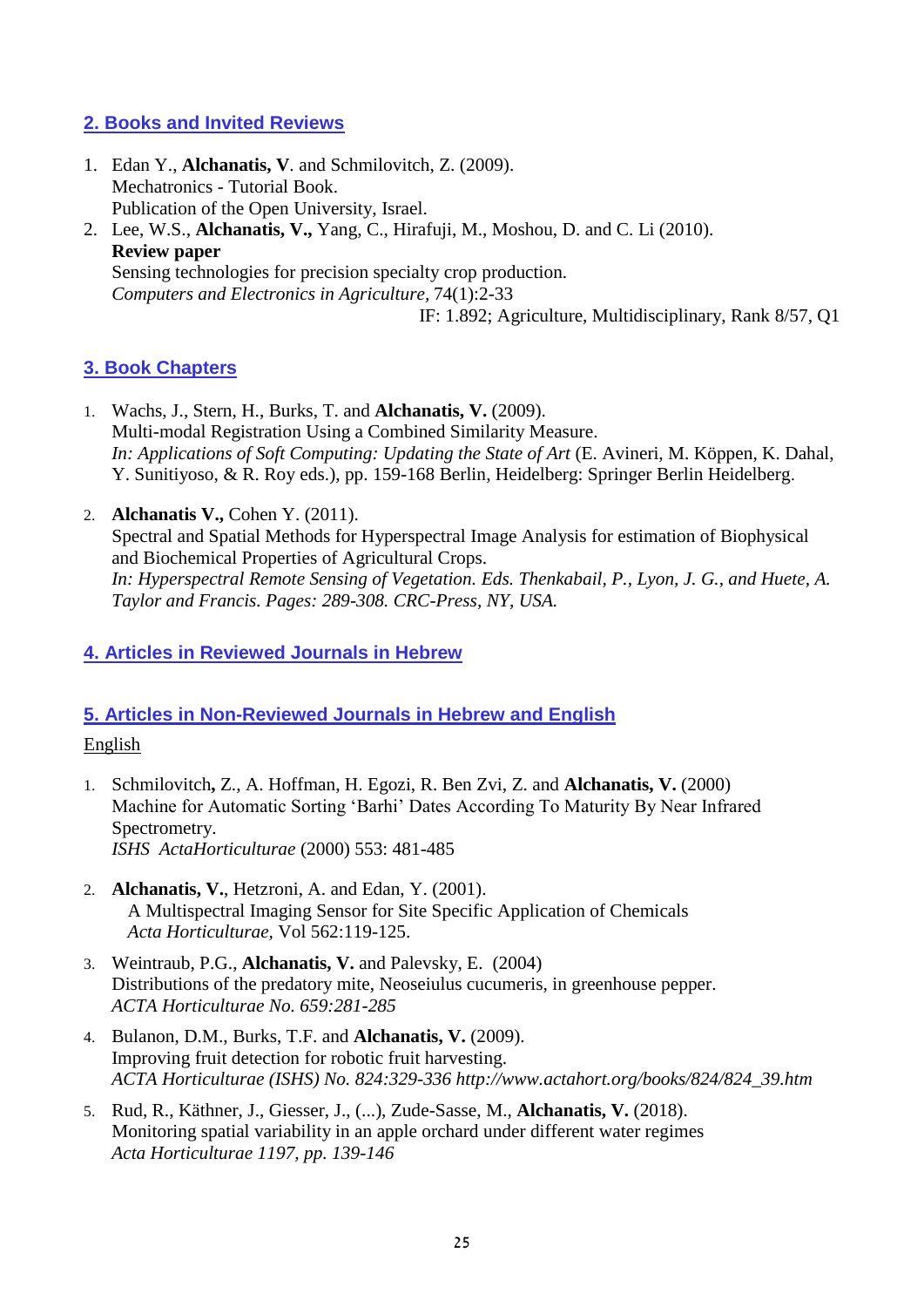## **2. Books and Invited Reviews**

1. Edan Y., **Alchanatis, V**. and Schmilovitch, Z. (2009). Mechatronics - Tutorial Book. Publication of the Open University, Israel. 2. Lee, W.S., **Alchanatis, V.,** Yang, C., Hirafuji, M., Moshou, D. and C. Li (2010). **Review paper**

Sensing technologies for precision specialty crop production. *Computers and Electronics in Agriculture,* 74(1):2-33 IF: 1.892; Agriculture, Multidisciplinary, Rank 8/57, Q1

# **3. Book Chapters**

- 1. Wachs, J., Stern, H., Burks, T. and **Alchanatis, V.** (2009). Multi-modal Registration Using a Combined Similarity Measure. *In: Applications of Soft Computing: Updating the State of Art* (E. Avineri, M. Köppen, K. Dahal, Y. Sunitiyoso, & R. Roy eds.), pp. 159-168 Berlin, Heidelberg: Springer Berlin Heidelberg.
- 2. **Alchanatis V.,** Cohen Y. (2011). Spectral and Spatial Methods for Hyperspectral Image Analysis for estimation of Biophysical and Biochemical Properties of Agricultural Crops. *In: Hyperspectral Remote Sensing of Vegetation. Eds. Thenkabail, P., Lyon, J. G., and Huete, A. Taylor and Francis. Pages: 289-308. CRC-Press, NY, USA.*

# **4. Articles in Reviewed Journals in Hebrew**

# **5. Articles in Non-Reviewed Journals in Hebrew and English**

## English

- 1. Schmilovitch**,** Z., A. Hoffman, H. Egozi, R. Ben Zvi, Z. and **Alchanatis, V.** (2000) Machine for Automatic Sorting 'Barhi' Dates According To Maturity By Near Infrared Spectrometry. *ISHS ActaHorticulturae* (2000) 553: 481-485
- 2. **Alchanatis, V.**, Hetzroni, A. and Edan, Y. (2001). A Multispectral Imaging Sensor for Site Specific Application of Chemicals *Acta Horticulturae,* Vol 562:119-125.
- 3. Weintraub, P.G., **Alchanatis, V.** and Palevsky, E. (2004) Distributions of the predatory mite, Neoseiulus cucumeris, in greenhouse pepper. *ACTA Horticulturae No. 659:281-285*
- 4. Bulanon, D.M., Burks, T.F. and **Alchanatis, V.** (2009). Improving fruit detection for robotic fruit harvesting. *ACTA Horticulturae (ISHS) No. 824:329-336 http://www.actahort.org/books/824/824\_39.htm*
- 5. Rud, R., Käthner, J., Giesser, J., (...), Zude-Sasse, M., **Alchanatis, V.** (2018). Monitoring spatial variability in an apple orchard under different water regimes *Acta Horticulturae 1197, pp. 139-146*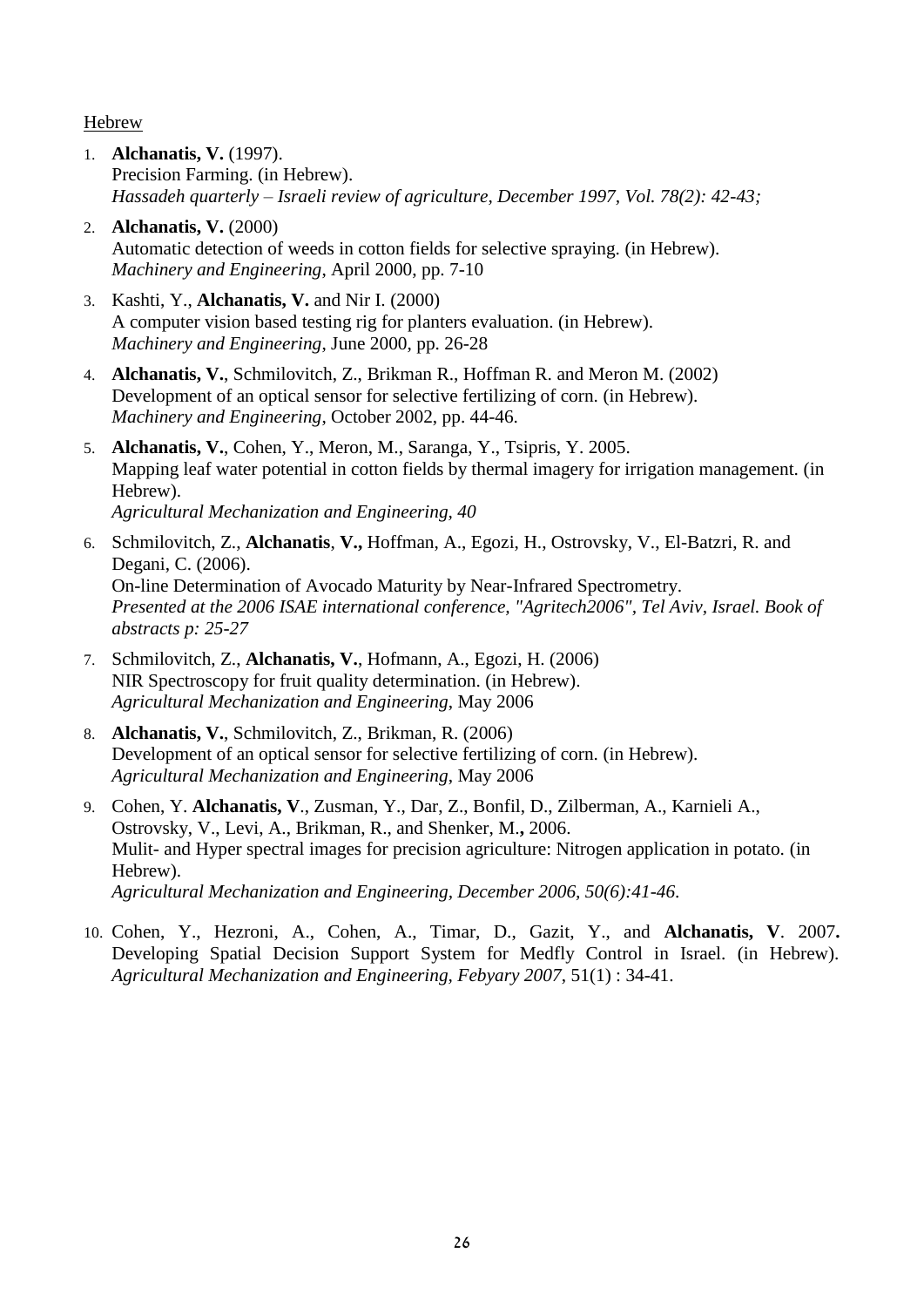Hebrew

1. **Alchanatis, V.** (1997). Precision Farming. (in Hebrew). *Hassadeh quarterly – Israeli review of agriculture, December 1997, Vol. 78(2): 42-43;*

2. **Alchanatis, V.** (2000) Automatic detection of weeds in cotton fields for selective spraying. (in Hebrew). *Machinery and Engineering*, April 2000, pp. 7-10

- 3. Kashti, Y., **Alchanatis, V.** and Nir I. (2000) A computer vision based testing rig for planters evaluation. (in Hebrew). *Machinery and Engineering*, June 2000, pp. 26-28
- 4. **Alchanatis, V.**, Schmilovitch, Z., Brikman R., Hoffman R. and Meron M. (2002) Development of an optical sensor for selective fertilizing of corn. (in Hebrew). *Machinery and Engineering*, October 2002, pp. 44-46.
- 5. **Alchanatis, V.**, Cohen, Y., Meron, M., Saranga, Y., Tsipris, Y. 2005. Mapping leaf water potential in cotton fields by thermal imagery for irrigation management. (in Hebrew). *Agricultural Mechanization and Engineering, 40*
- 6. Schmilovitch, Z., **Alchanatis**, **V.,** Hoffman, A., Egozi, H., Ostrovsky, V., El-Batzri, R. and Degani, C. (2006). On-line Determination of Avocado Maturity by Near-Infrared Spectrometry. *Presented at the 2006 ISAE international conference, "Agritech2006", Tel Aviv, Israel. Book of abstracts p: 25-27*
- 7. Schmilovitch, Z., **Alchanatis, V.**, Hofmann, A., Egozi, H. (2006) NIR Spectroscopy for fruit quality determination. (in Hebrew). *Agricultural Mechanization and Engineering*, May 2006
- 8. **Alchanatis, V.**, Schmilovitch, Z., Brikman, R. (2006) Development of an optical sensor for selective fertilizing of corn. (in Hebrew). *Agricultural Mechanization and Engineering*, May 2006
- 9. Cohen, Y. **Alchanatis, V**., Zusman, Y., Dar, Z., Bonfil, D., Zilberman, A., Karnieli A., Ostrovsky, V., Levi, A., Brikman, R., and Shenker, M.**,** 2006. Mulit- and Hyper spectral images for precision agriculture: Nitrogen application in potato. (in Hebrew). *Agricultural Mechanization and Engineering, December 2006, 50(6):41-46.*
- 10. Cohen, Y., Hezroni, A., Cohen, A., Timar, D., Gazit, Y., and **Alchanatis, V**. 2007**.**  Developing Spatial Decision Support System for Medfly Control in Israel. (in Hebrew). *Agricultural Mechanization and Engineering, Febyary 2007*, 51(1) : 34-41.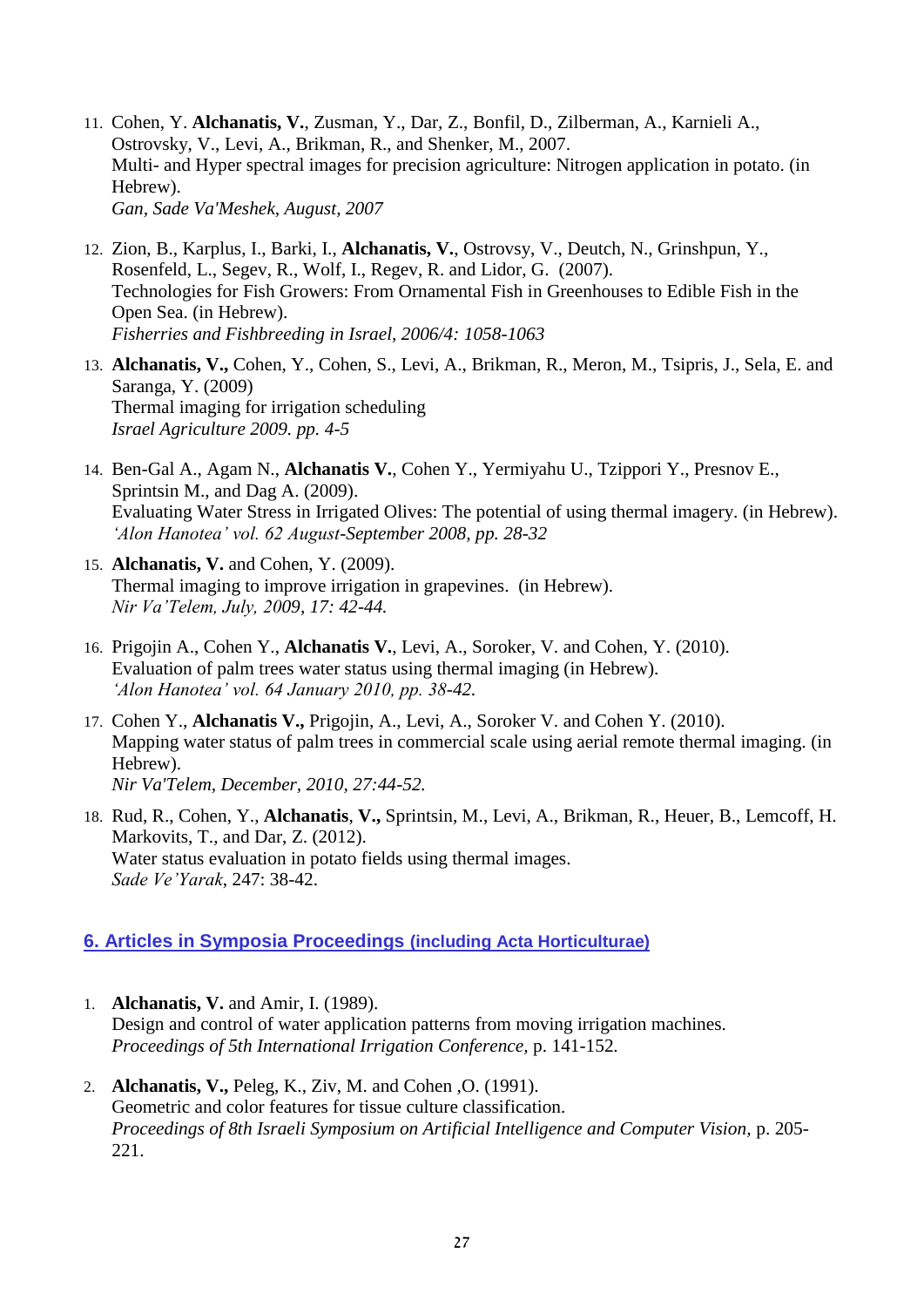- 11. Cohen, Y. **Alchanatis, V.**, Zusman, Y., Dar, Z., Bonfil, D., Zilberman, A., Karnieli A., Ostrovsky, V., Levi, A., Brikman, R., and Shenker, M., 2007. Multi- and Hyper spectral images for precision agriculture: Nitrogen application in potato. (in Hebrew). *Gan, Sade Va'Meshek, August, 2007*
- 12. Zion, B., Karplus, I., Barki, I., **Alchanatis, V.**, Ostrovsy, V., Deutch, N., Grinshpun, Y., Rosenfeld, L., Segev, R., Wolf, I., Regev, R. and Lidor, G. (2007). Technologies for Fish Growers: From Ornamental Fish in Greenhouses to Edible Fish in the Open Sea. (in Hebrew). *Fisherries and Fishbreeding in Israel, 2006/4: 1058-1063*
- 13. **Alchanatis, V.,** Cohen, Y., Cohen, S., Levi, A., Brikman, R., Meron, M., Tsipris, J., Sela, E. and Saranga, Y. (2009) Thermal imaging for irrigation scheduling *Israel Agriculture 2009. pp. 4-5*
- 14. Ben-Gal A., Agam N., **Alchanatis V.**, Cohen Y., Yermiyahu U., Tzippori Y., Presnov E., Sprintsin M., and Dag A. (2009). Evaluating Water Stress in Irrigated Olives: The potential of using thermal imagery. (in Hebrew). *'Alon Hanotea' vol. 62 August-September 2008, pp. 28-32*
- 15. **Alchanatis, V.** and Cohen, Y. (2009). Thermal imaging to improve irrigation in grapevines. (in Hebrew). *Nir Va'Telem, July, 2009, 17: 42-44.*
- 16. Prigojin A., Cohen Y., **Alchanatis V.**, Levi, A., Soroker, V. and Cohen, Y. (2010). Evaluation of palm trees water status using thermal imaging (in Hebrew). *'Alon Hanotea' vol. 64 January 2010, pp. 38-42.*
- 17. Cohen Y., **Alchanatis V.,** Prigojin, A., Levi, A., Soroker V. and Cohen Y. (2010). Mapping water status of palm trees in commercial scale using aerial remote thermal imaging. (in Hebrew). *Nir Va'Telem, December, 2010, 27:44-52.*
- 18. Rud, R., Cohen, Y., **Alchanatis**, **V.,** Sprintsin, M., Levi, A., Brikman, R., Heuer, B., Lemcoff, H. Markovits, T., and Dar, Z. (2012). Water status evaluation in potato fields using thermal images. *Sade Ve'Yarak*, 247: 38-42.

### **6. Articles in Symposia Proceedings (including Acta Horticulturae)**

- 1. **Alchanatis, V.** and Amir, I. (1989). Design and control of water application patterns from moving irrigation machines. *Proceedings of 5th International Irrigation Conference,* p. 141-152*.*
- 2. **Alchanatis, V.,** Peleg, K., Ziv, M. and Cohen ,O. (1991). Geometric and color features for tissue culture classification. *Proceedings of 8th Israeli Symposium on Artificial Intelligence and Computer Vision,* p. 205- 221.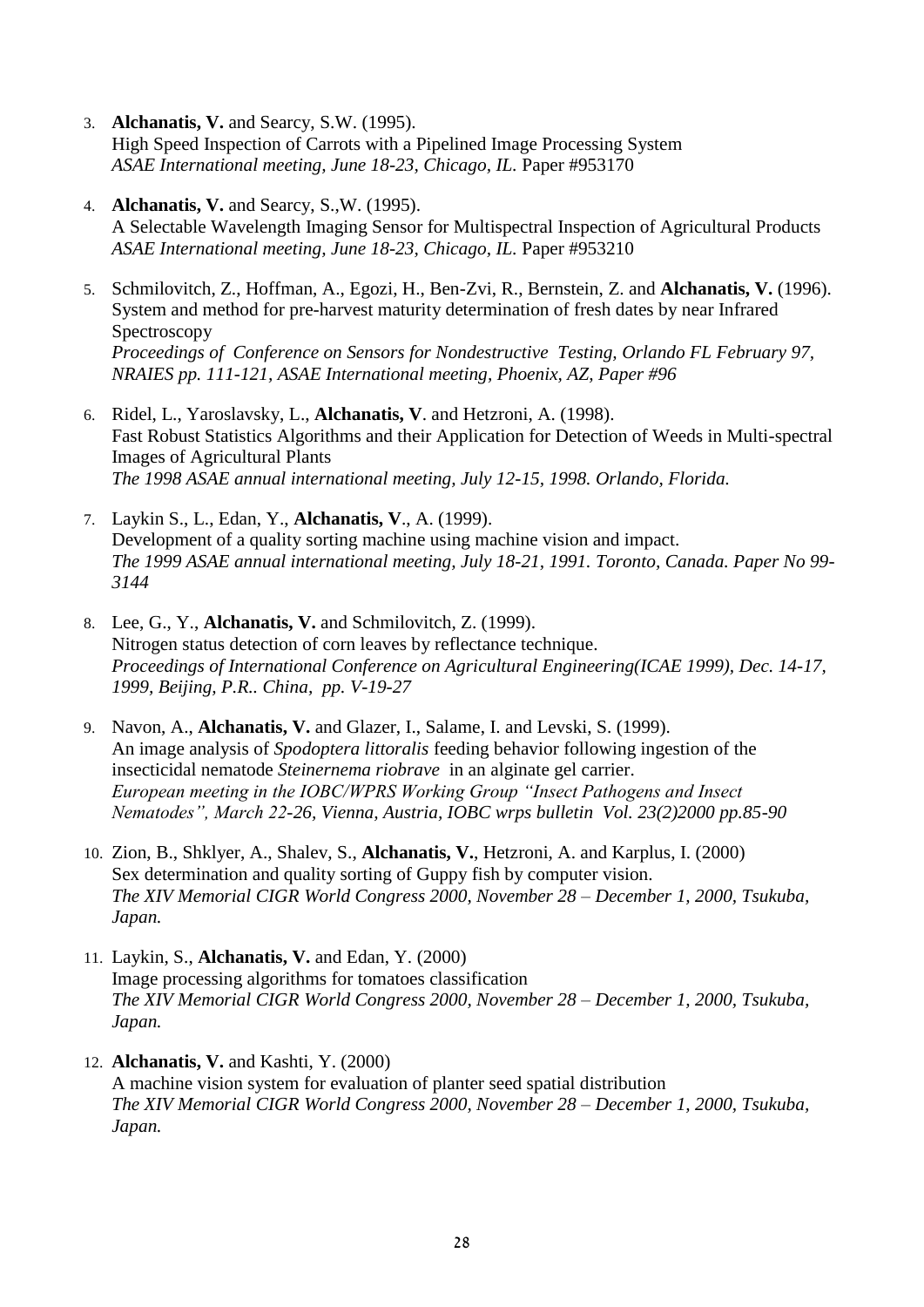- 3. **Alchanatis, V.** and Searcy, S.W. (1995). High Speed Inspection of Carrots with a Pipelined Image Processing System *ASAE International meeting, June 18-23, Chicago, IL.* Paper #953170
- 4. **Alchanatis, V.** and Searcy, S.,W. (1995). A Selectable Wavelength Imaging Sensor for Multispectral Inspection of Agricultural Products *ASAE International meeting, June 18-23, Chicago, IL.* Paper #953210
- 5. Schmilovitch, Z., Hoffman, A., Egozi, H., Ben-Zvi, R., Bernstein, Z. and **Alchanatis, V.** (1996). System and method for pre-harvest maturity determination of fresh dates by near Infrared Spectroscopy *Proceedings of Conference on Sensors for Nondestructive Testing, Orlando FL February 97, NRAIES pp. 111-121, ASAE International meeting, Phoenix, AZ, Paper #96*
- 6. Ridel, L., Yaroslavsky, L., **Alchanatis, V**. and Hetzroni, A. (1998). Fast Robust Statistics Algorithms and their Application for Detection of Weeds in Multi-spectral Images of Agricultural Plants *The 1998 ASAE annual international meeting, July 12-15, 1998. Orlando, Florida.*
- 7. Laykin S., L., Edan, Y., **Alchanatis, V**., A. (1999). Development of a quality sorting machine using machine vision and impact. *The 1999 ASAE annual international meeting, July 18-21, 1991. Toronto, Canada. Paper No 99- 3144*
- 8. Lee, G., Y., **Alchanatis, V.** and Schmilovitch, Z. (1999). Nitrogen status detection of corn leaves by reflectance technique. *Proceedings of International Conference on Agricultural Engineering(ICAE 1999), Dec. 14-17, 1999, Beijing, P.R.. China, pp. V-19-27*
- 9. Navon, A., **Alchanatis, V.** and Glazer, I., Salame, I. and Levski, S. (1999). An image analysis of *Spodoptera littoralis* feeding behavior following ingestion of the insecticidal nematode *Steinernema riobrave* in an alginate gel carrier. *European meeting in the IOBC/WPRS Working Group "Insect Pathogens and Insect Nematodes", March 22-26, Vienna, Austria, IOBC wrps bulletin Vol. 23(2)2000 pp.85-90*
- 10. Zion, B., Shklyer, A., Shalev, S., **Alchanatis, V.**, Hetzroni, A. and Karplus, I. (2000) Sex determination and quality sorting of Guppy fish by computer vision. *The XIV Memorial CIGR World Congress 2000, November 28 – December 1, 2000, Tsukuba, Japan.*
- 11. Laykin, S., **Alchanatis, V.** and Edan, Y. (2000) Image processing algorithms for tomatoes classification *The XIV Memorial CIGR World Congress 2000, November 28 – December 1, 2000, Tsukuba, Japan.*
- 12. **Alchanatis, V.** and Kashti, Y. (2000) A machine vision system for evaluation of planter seed spatial distribution *The XIV Memorial CIGR World Congress 2000, November 28 – December 1, 2000, Tsukuba, Japan.*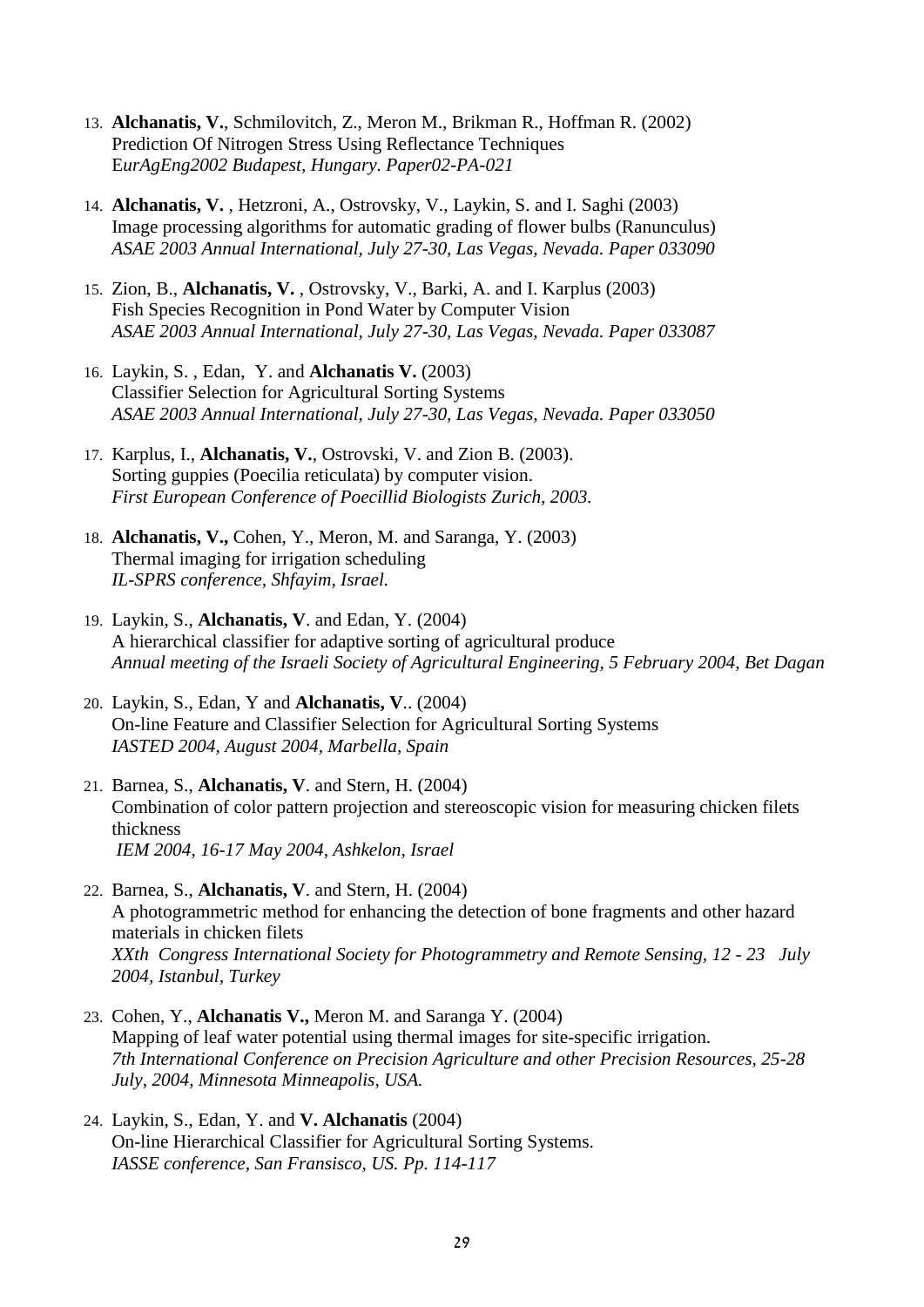- 13. **Alchanatis, V.**, Schmilovitch, Z., Meron M., Brikman R., Hoffman R. (2002) Prediction Of Nitrogen Stress Using Reflectance Techniques E*urAgEng2002 Budapest, Hungary. Paper02-PA-021*
- 14. **Alchanatis, V.** , Hetzroni, A., Ostrovsky, V., Laykin, S. and I. Saghi (2003) Image processing algorithms for automatic grading of flower bulbs (Ranunculus) *ASAE 2003 Annual International, July 27-30, Las Vegas, Nevada. Paper 033090*
- 15. Zion, B., **Alchanatis, V.** , Ostrovsky, V., Barki, A. and I. Karplus (2003) Fish Species Recognition in Pond Water by Computer Vision *ASAE 2003 Annual International, July 27-30, Las Vegas, Nevada. Paper 033087*
- 16. Laykin, S. , Edan, Y. and **Alchanatis V.** (2003) Classifier Selection for Agricultural Sorting Systems *ASAE 2003 Annual International, July 27-30, Las Vegas, Nevada. Paper 033050*
- 17. Karplus, I., **Alchanatis, V.**, Ostrovski, V. and Zion B. (2003). Sorting guppies (Poecilia reticulata) by computer vision. *First European Conference of Poecillid Biologists Zurich, 2003.*
- 18. **Alchanatis, V.,** Cohen, Y., Meron, M. and Saranga, Y. (2003) Thermal imaging for irrigation scheduling *IL-SPRS conference, Shfayim, Israel.*
- 19. Laykin, S., **Alchanatis, V**. and Edan, Y. (2004) A hierarchical classifier for adaptive sorting of agricultural produce *Annual meeting of the Israeli Society of Agricultural Engineering, 5 February 2004, Bet Dagan*
- 20. Laykin, S., Edan, Y and **Alchanatis, V**.. (2004) On-line Feature and Classifier Selection for Agricultural Sorting Systems *IASTED 2004, August 2004, Marbella, Spain*
- 21. Barnea, S., **Alchanatis, V**. and Stern, H. (2004) Combination of color pattern projection and stereoscopic vision for measuring chicken filets thickness *IEM 2004, 16-17 May 2004, Ashkelon, Israel*
- 22. Barnea, S., **Alchanatis, V**. and Stern, H. (2004) A photogrammetric method for enhancing the detection of bone fragments and other hazard materials in chicken filets *XXth Congress International Society for Photogrammetry and Remote Sensing, 12 - 23 July 2004, Istanbul, Turkey*
- 23. Cohen, Y., **Alchanatis V.,** Meron M. and Saranga Y. (2004) Mapping of leaf water potential using thermal images for site-specific irrigation. *7th International Conference on Precision Agriculture and other Precision Resources, 25-28 July, 2004, Minnesota Minneapolis, USA.*
- 24. Laykin, S., Edan, Y. and **V. Alchanatis** (2004) On-line Hierarchical Classifier for Agricultural Sorting Systems. *IASSE conference, San Fransisco, US. Pp. 114-117*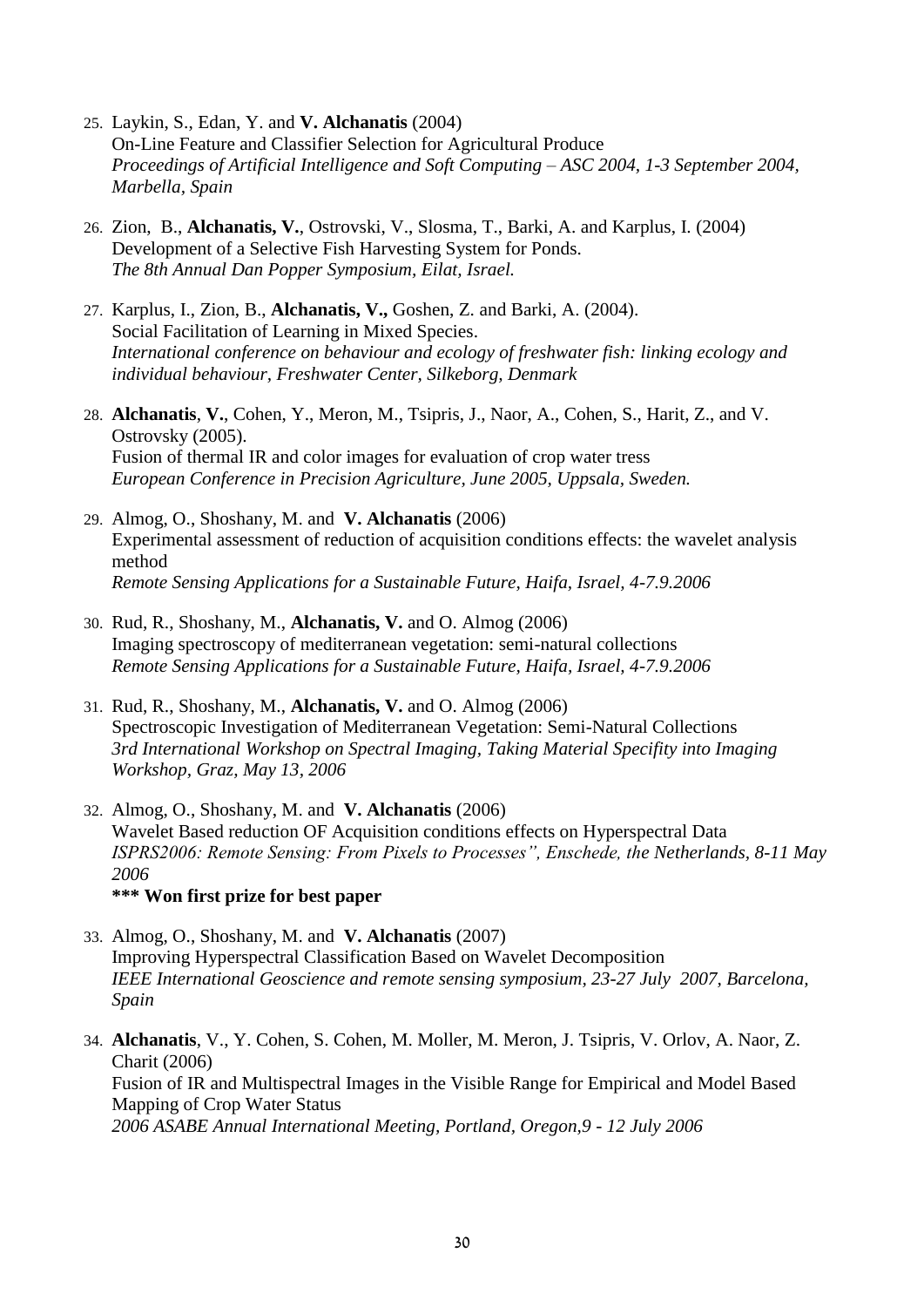- 25. Laykin, S., Edan, Y. and **V. Alchanatis** (2004) On-Line Feature and Classifier Selection for Agricultural Produce *Proceedings of Artificial Intelligence and Soft Computing – ASC 2004, 1-3 September 2004, Marbella, Spain*
- 26. Zion, B., **Alchanatis, V.**, Ostrovski, V., Slosma, T., Barki, A. and Karplus, I. (2004) Development of a Selective Fish Harvesting System for Ponds. *The 8th Annual Dan Popper Symposium, Eilat, Israel.*
- 27. Karplus, I., Zion, B., **Alchanatis, V.,** Goshen, Z. and Barki, A. (2004). Social Facilitation of Learning in Mixed Species. *International conference on behaviour and ecology of freshwater fish: linking ecology and individual behaviour, Freshwater Center, Silkeborg, Denmark*
- 28. **Alchanatis**, **V.**, Cohen, Y., Meron, M., Tsipris, J., Naor, A., Cohen, S., Harit, Z., and V. Ostrovsky (2005). Fusion of thermal IR and color images for evaluation of crop water tress *European Conference in Precision Agriculture, June 2005, Uppsala, Sweden.*
- 29. Almog, O., Shoshany, M. and **V. Alchanatis** (2006) Experimental assessment of reduction of acquisition conditions effects: the wavelet analysis method *Remote Sensing Applications for a Sustainable Future, Haifa, Israel, 4-7.9.2006*
- 30. Rud, R., Shoshany, M., **Alchanatis, V.** and O. Almog (2006) Imaging spectroscopy of mediterranean vegetation: semi-natural collections *Remote Sensing Applications for a Sustainable Future, Haifa, Israel, 4-7.9.2006*
- 31. Rud, R., Shoshany, M., **Alchanatis, V.** and O. Almog (2006) Spectroscopic Investigation of Mediterranean Vegetation: Semi-Natural Collections *3rd International Workshop on Spectral Imaging, Taking Material Specifity into Imaging Workshop, Graz, May 13, 2006*
- 32. Almog, O., Shoshany, M. and **V. Alchanatis** (2006) Wavelet Based reduction OF Acquisition conditions effects on Hyperspectral Data *ISPRS2006: Remote Sensing: From Pixels to Processes", Enschede, the Netherlands, 8-11 May 2006* **\*\*\* Won first prize for best paper**
- 33. Almog, O., Shoshany, M. and **V. Alchanatis** (2007) Improving Hyperspectral Classification Based on Wavelet Decomposition *IEEE International Geoscience and remote sensing symposium, 23-27 July 2007, Barcelona, Spain*
- 34. **Alchanatis**, V., Y. Cohen, S. Cohen, M. Moller, M. Meron, J. Tsipris, V. Orlov, A. Naor, Z. Charit (2006) Fusion of IR and Multispectral Images in the Visible Range for Empirical and Model Based Mapping of Crop Water Status *2006 ASABE Annual International Meeting, Portland, Oregon,9 - 12 July 2006*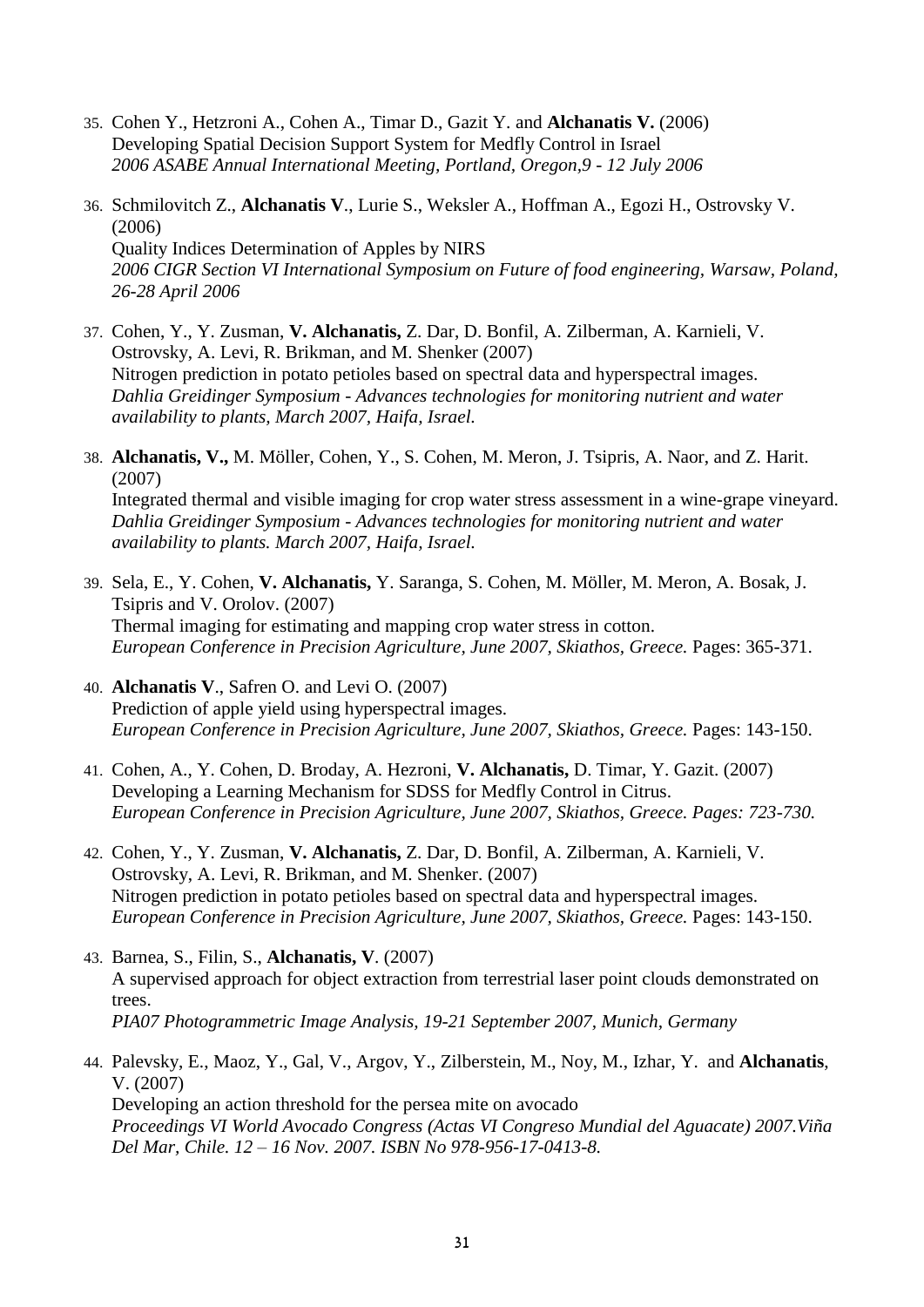- 35. Cohen Y., Hetzroni A., Cohen A., Timar D., Gazit Y. and **Alchanatis V.** (2006) Developing Spatial Decision Support System for Medfly Control in Israel *2006 ASABE Annual International Meeting, Portland, Oregon,9 - 12 July 2006*
- 36. Schmilovitch Z., **Alchanatis V**., Lurie S., Weksler A., Hoffman A., Egozi H., Ostrovsky V. (2006) Quality Indices Determination of Apples by NIRS *2006 CIGR Section VI International Symposium on Future of food engineering, Warsaw, Poland, 26-28 April 2006*
- 37. Cohen, Y., Y. Zusman, **V. Alchanatis,** Z. Dar, D. Bonfil, A. Zilberman, A. Karnieli, V. Ostrovsky, A. Levi, R. Brikman, and M. Shenker (2007) Nitrogen prediction in potato petioles based on spectral data and hyperspectral images. *Dahlia Greidinger Symposium - Advances technologies for monitoring nutrient and water availability to plants, March 2007, Haifa, Israel.*
- 38. **Alchanatis, V.,** M. Möller, Cohen, Y., S. Cohen, M. Meron, J. Tsipris, A. Naor, and Z. Harit. (2007) Integrated thermal and visible imaging for crop water stress assessment in a wine-grape vineyard. *Dahlia Greidinger Symposium - Advances technologies for monitoring nutrient and water availability to plants. March 2007, Haifa, Israel.*
- 39. Sela, E., Y. Cohen, **V. Alchanatis,** Y. Saranga, S. Cohen, M. Möller, M. Meron, A. Bosak, J. Tsipris and V. Orolov. (2007) Thermal imaging for estimating and mapping crop water stress in cotton. *European Conference in Precision Agriculture, June 2007, Skiathos, Greece.* Pages: 365-371.
- 40. **Alchanatis V**., Safren O. and Levi O. (2007) Prediction of apple yield using hyperspectral images. *European Conference in Precision Agriculture, June 2007, Skiathos, Greece.* Pages: 143-150.
- 41. Cohen, A., Y. Cohen, D. Broday, A. Hezroni, **V. Alchanatis,** D. Timar, Y. Gazit. (2007) Developing a Learning Mechanism for SDSS for Medfly Control in Citrus. *European Conference in Precision Agriculture, June 2007, Skiathos, Greece. Pages: 723-730.*
- 42. Cohen, Y., Y. Zusman, **V. Alchanatis,** Z. Dar, D. Bonfil, A. Zilberman, A. Karnieli, V. Ostrovsky, A. Levi, R. Brikman, and M. Shenker. (2007) Nitrogen prediction in potato petioles based on spectral data and hyperspectral images. *European Conference in Precision Agriculture, June 2007, Skiathos, Greece.* Pages: 143-150.
- 43. Barnea, S., Filin, S., **Alchanatis, V**. (2007) A supervised approach for object extraction from terrestrial laser point clouds demonstrated on trees. *PIA07 Photogrammetric Image Analysis, 19-21 September 2007, Munich, Germany*
- 44. Palevsky, E., Maoz, Y., Gal, V., Argov, Y., Zilberstein, M., Noy, M., Izhar, Y. and **Alchanatis**, V. (2007) Developing an action threshold for the persea mite on avocado *Proceedings VI World Avocado Congress (Actas VI Congreso Mundial del Aguacate) 2007.Viña Del Mar, Chile. 12 – 16 Nov. 2007. ISBN No 978-956-17-0413-8.*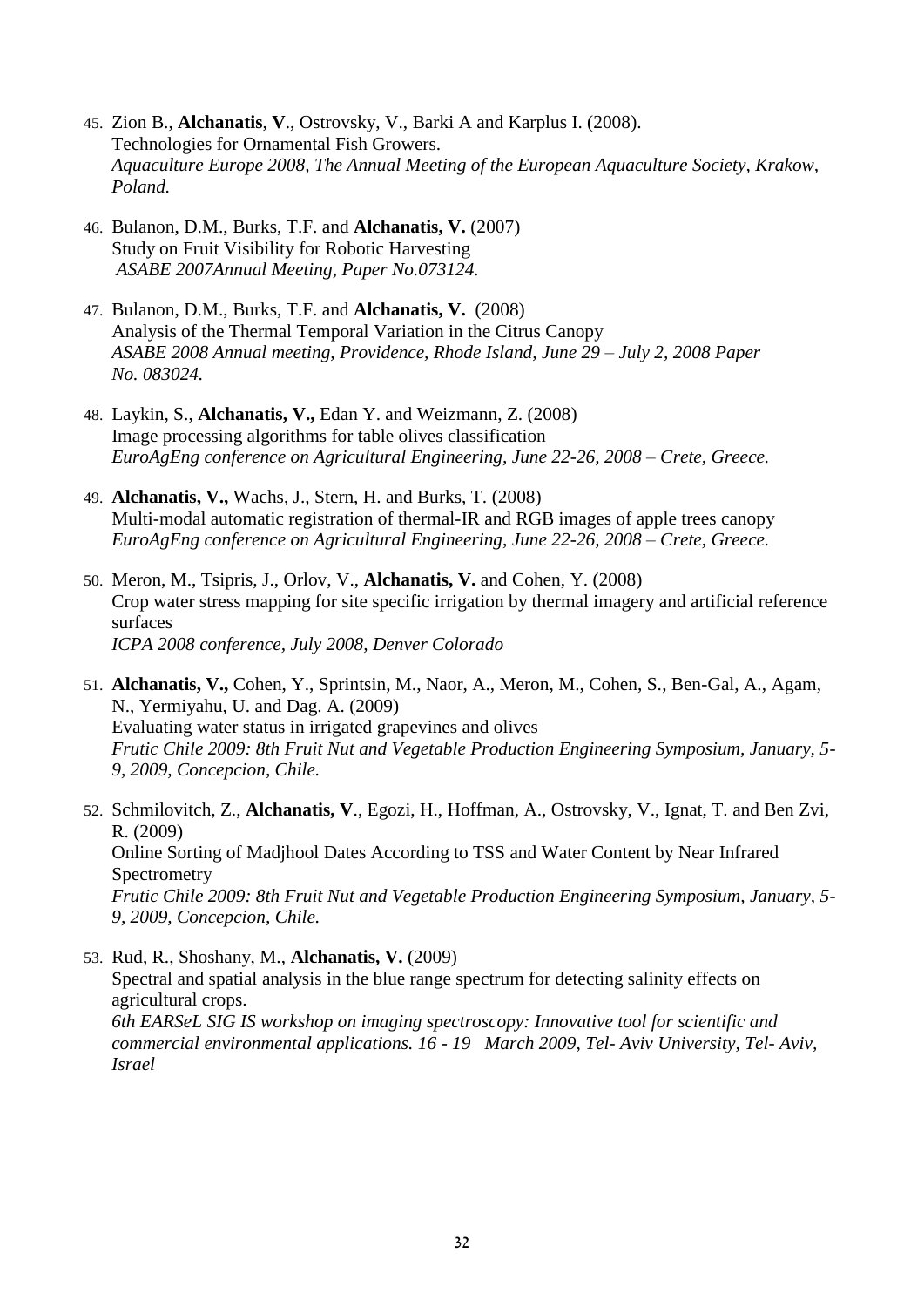- 45. Zion B., **Alchanatis**, **V**., Ostrovsky, V., Barki A and Karplus I. (2008). Technologies for Ornamental Fish Growers. *Aquaculture Europe 2008, The Annual Meeting of the European Aquaculture Society, Krakow, Poland.*
- 46. Bulanon, D.M., Burks, T.F. and **Alchanatis, V.** (2007) Study on Fruit Visibility for Robotic Harvesting *ASABE 2007Annual Meeting, Paper No.073124.*
- 47. Bulanon, D.M., Burks, T.F. and **Alchanatis, V.** (2008) Analysis of the Thermal Temporal Variation in the Citrus Canopy *ASABE 2008 Annual meeting, Providence, Rhode Island, June 29 – July 2, 2008 Paper No. 083024.*
- 48. Laykin, S., **Alchanatis, V.,** Edan Y. and Weizmann, Z. (2008) Image processing algorithms for table olives classification *EuroAgEng conference on Agricultural Engineering, June 22-26, 2008 – Crete, Greece.*
- 49. **Alchanatis, V.,** Wachs, J., Stern, H. and Burks, T. (2008) Multi-modal automatic registration of thermal-IR and RGB images of apple trees canopy *EuroAgEng conference on Agricultural Engineering, June 22-26, 2008 – Crete, Greece.*
- 50. Meron, M., Tsipris, J., Orlov, V., **Alchanatis, V.** and Cohen, Y. (2008) Crop water stress mapping for site specific irrigation by thermal imagery and artificial reference surfaces *ICPA 2008 conference, July 2008, Denver Colorado*
- 51. **Alchanatis, V.,** Cohen, Y., Sprintsin, M., Naor, A., Meron, M., Cohen, S., Ben-Gal, A., Agam, N., Yermiyahu, U. and Dag. A. (2009) Evaluating water status in irrigated grapevines and olives *Frutic Chile 2009: 8th Fruit Nut and Vegetable Production Engineering Symposium, January, 5- 9, 2009, Concepcion, Chile.*
- 52. Schmilovitch, Z., **Alchanatis, V**., Egozi, H., Hoffman, A., Ostrovsky, V., Ignat, T. and Ben Zvi, R. (2009) Online Sorting of Madjhool Dates According to TSS and Water Content by Near Infrared **Spectrometry** *Frutic Chile 2009: 8th Fruit Nut and Vegetable Production Engineering Symposium, January, 5- 9, 2009, Concepcion, Chile.*
- 53. Rud, R., Shoshany, M., **Alchanatis, V.** (2009) Spectral and spatial analysis in the blue range spectrum for detecting salinity effects on agricultural crops. *6th EARSeL SIG IS workshop on imaging spectroscopy: Innovative tool for scientific and commercial environmental applications. 16 - 19 March 2009, Tel- Aviv University, Tel- Aviv, Israel*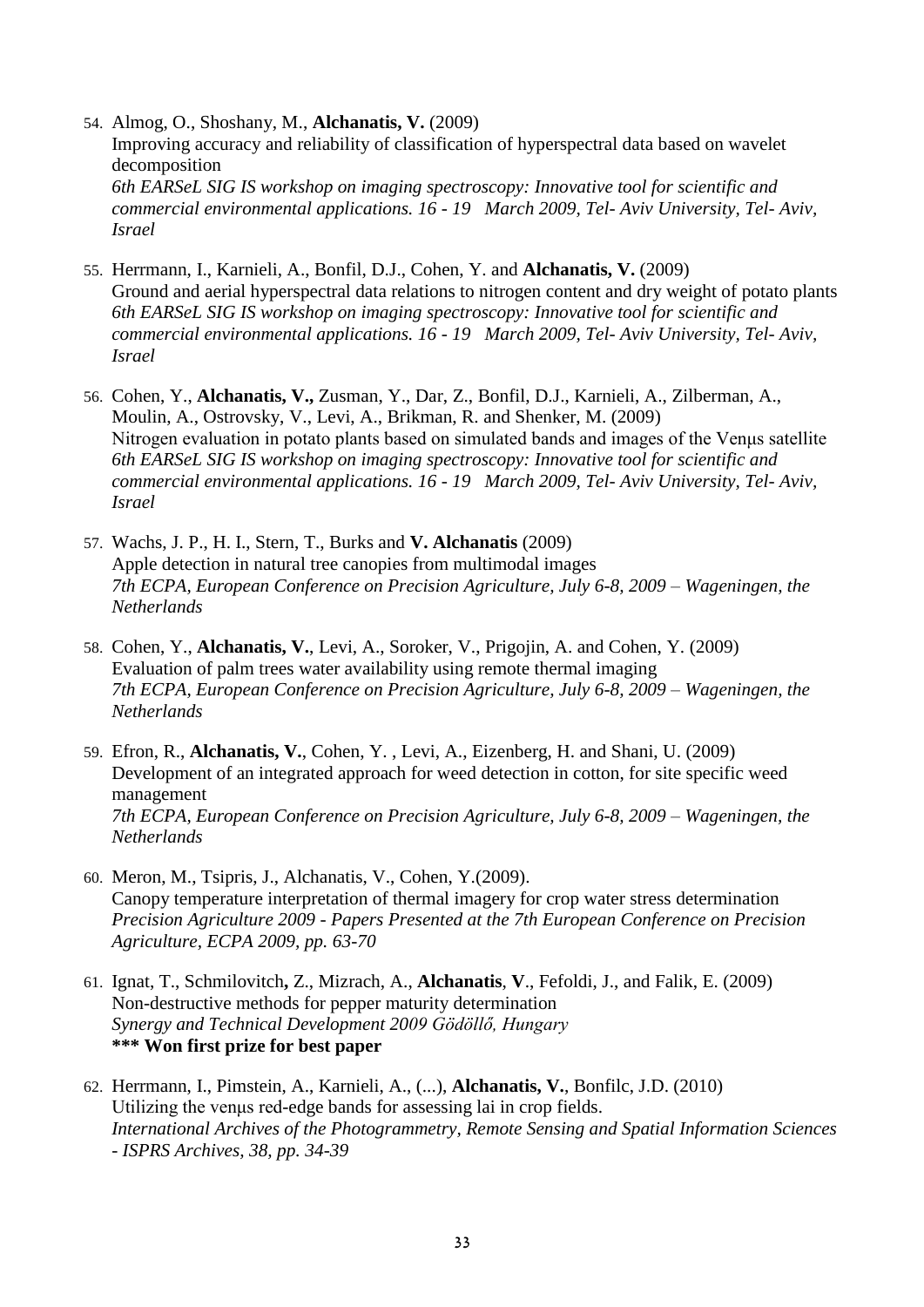54. Almog, O., Shoshany, M., **Alchanatis, V.** (2009) Improving accuracy and reliability of classification of hyperspectral data based on wavelet decomposition *6th EARSeL SIG IS workshop on imaging spectroscopy: Innovative tool for scientific and commercial environmental applications. 16 - 19 March 2009, Tel- Aviv University, Tel- Aviv, Israel*

- 55. Herrmann, I., Karnieli, A., Bonfil, D.J., Cohen, Y. and **Alchanatis, V.** (2009) Ground and aerial hyperspectral data relations to nitrogen content and dry weight of potato plants *6th EARSeL SIG IS workshop on imaging spectroscopy: Innovative tool for scientific and commercial environmental applications. 16 - 19 March 2009, Tel- Aviv University, Tel- Aviv, Israel*
- 56. Cohen, Y., **Alchanatis, V.,** Zusman, Y., Dar, Z., Bonfil, D.J., Karnieli, A., Zilberman, A., Moulin, A., Ostrovsky, V., Levi, A., Brikman, R. and Shenker, M. (2009) Nitrogen evaluation in potato plants based on simulated bands and images of the Venμs satellite *6th EARSeL SIG IS workshop on imaging spectroscopy: Innovative tool for scientific and commercial environmental applications. 16 - 19 March 2009, Tel- Aviv University, Tel- Aviv, Israel*
- 57. Wachs, J. P., H. I., Stern, T., Burks and **V. Alchanatis** (2009) Apple detection in natural tree canopies from multimodal images *7th ECPA, European Conference on Precision Agriculture, July 6-8, 2009 – Wageningen, the Netherlands*
- 58. Cohen, Y., **Alchanatis, V.**, Levi, A., Soroker, V., Prigojin, A. and Cohen, Y. (2009) Evaluation of palm trees water availability using remote thermal imaging *7th ECPA, European Conference on Precision Agriculture, July 6-8, 2009 – Wageningen, the Netherlands*
- 59. Efron, R., **Alchanatis, V.**, Cohen, Y. , Levi, A., Eizenberg, H. and Shani, U. (2009) Development of an integrated approach for weed detection in cotton, for site specific weed management *7th ECPA, European Conference on Precision Agriculture, July 6-8, 2009 – Wageningen, the Netherlands*
- 60. Meron, M., Tsipris, J., Alchanatis, V., Cohen, Y.(2009). Canopy temperature interpretation of thermal imagery for crop water stress determination *Precision Agriculture 2009 - Papers Presented at the 7th European Conference on Precision Agriculture, ECPA 2009, pp. 63-70*
- 61. Ignat, T., Schmilovitch**,** Z., Mizrach, A., **Alchanatis**, **V**., Fefoldi, J., and Falik, E. (2009) Non-destructive methods for pepper maturity determination *Synergy and Technical Development 2009 Gödöllő, Hungary* **\*\*\* Won first prize for best paper**
- 62. Herrmann, I., Pimstein, A., Karnieli, A., (...), **Alchanatis, V.**, Bonfilc, J.D. (2010) Utilizing the venμs red-edge bands for assessing lai in crop fields. *International Archives of the Photogrammetry, Remote Sensing and Spatial Information Sciences - ISPRS Archives, 38, pp. 34-39*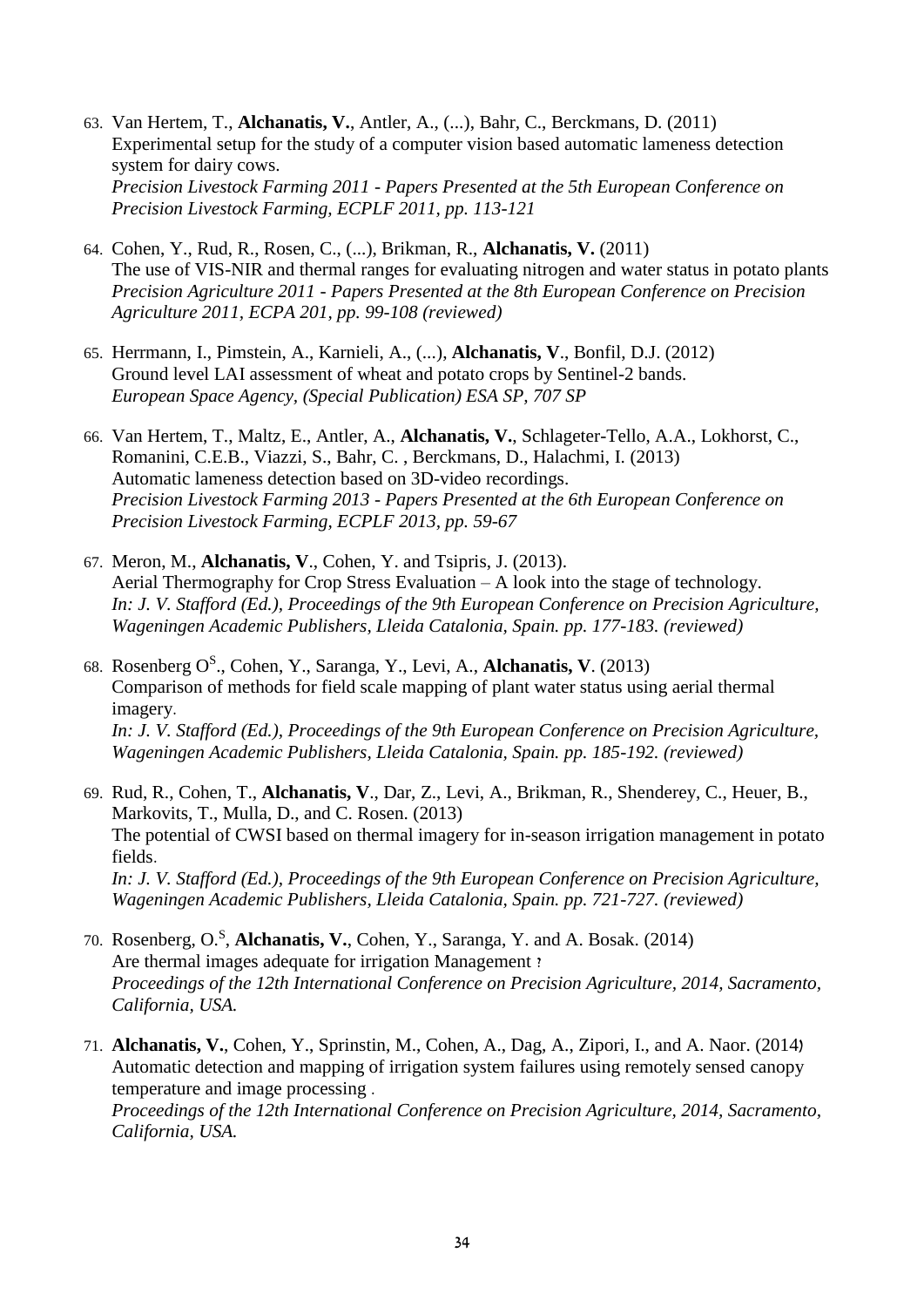- 63. Van Hertem, T., **Alchanatis, V.**, Antler, A., (...), Bahr, C., Berckmans, D. (2011) Experimental setup for the study of a computer vision based automatic lameness detection system for dairy cows. *Precision Livestock Farming 2011 - Papers Presented at the 5th European Conference on Precision Livestock Farming, ECPLF 2011, pp. 113-121*
- 64. Cohen, Y., Rud, R., Rosen, C., (...), Brikman, R., **Alchanatis, V.** (2011) The use of VIS-NIR and thermal ranges for evaluating nitrogen and water status in potato plants *Precision Agriculture 2011 - Papers Presented at the 8th European Conference on Precision Agriculture 2011, ECPA 201, pp. 99-108 (reviewed)*
- 65. Herrmann, I., Pimstein, A., Karnieli, A., (...), **Alchanatis, V**., Bonfil, D.J. (2012) Ground level LAI assessment of wheat and potato crops by Sentinel-2 bands. *European Space Agency, (Special Publication) ESA SP, 707 SP*
- 66. Van Hertem, T., Maltz, E., Antler, A., **Alchanatis, V.**, Schlageter-Tello, A.A., Lokhorst, C., Romanini, C.E.B., Viazzi, S., Bahr, C. , Berckmans, D., Halachmi, I. (2013) Automatic lameness detection based on 3D-video recordings. *Precision Livestock Farming 2013 - Papers Presented at the 6th European Conference on Precision Livestock Farming, ECPLF 2013, pp. 59-67*
- 67. Meron, M., **Alchanatis, V**., Cohen, Y. and Tsipris, J. (2013). Aerial Thermography for Crop Stress Evaluation – A look into the stage of technology. *In: J. V. Stafford (Ed.), Proceedings of the 9th European Conference on Precision Agriculture, Wageningen Academic Publishers, Lleida Catalonia, Spain. pp. 177-183. (reviewed)*
- 68. Rosenberg O<sup>S</sup> ., Cohen, Y., Saranga, Y., Levi, A., **Alchanatis, V**. (2013) Comparison of methods for field scale mapping of plant water status using aerial thermal imagery. *In: J. V. Stafford (Ed.), Proceedings of the 9th European Conference on Precision Agriculture, Wageningen Academic Publishers, Lleida Catalonia, Spain. pp. 185-192. (reviewed)*
- 69. Rud, R., Cohen, T., **Alchanatis, V**., Dar, Z., Levi, A., Brikman, R., Shenderey, C., Heuer, B., Markovits, T., Mulla, D., and C. Rosen. (2013) The potential of CWSI based on thermal imagery for in-season irrigation management in potato fields. *In: J. V. Stafford (Ed.), Proceedings of the 9th European Conference on Precision Agriculture, Wageningen Academic Publishers, Lleida Catalonia, Spain. pp. 721-727. (reviewed)*
- 70. Rosenberg, O.<sup>S</sup> , **Alchanatis, V.**, Cohen, Y., Saranga, Y. and A. Bosak. (2014) Are thermal images adequate for irrigation Management ? *Proceedings of the 12th International Conference on Precision Agriculture, 2014, Sacramento, California, USA.*

71. **Alchanatis, V.**, Cohen, Y., Sprinstin, M., Cohen, A., Dag, A., Zipori, I., and A. Naor. (2014( Automatic detection and mapping of irrigation system failures using remotely sensed canopy temperature and image processing . *Proceedings of the 12th International Conference on Precision Agriculture, 2014, Sacramento,* 

*California, USA.*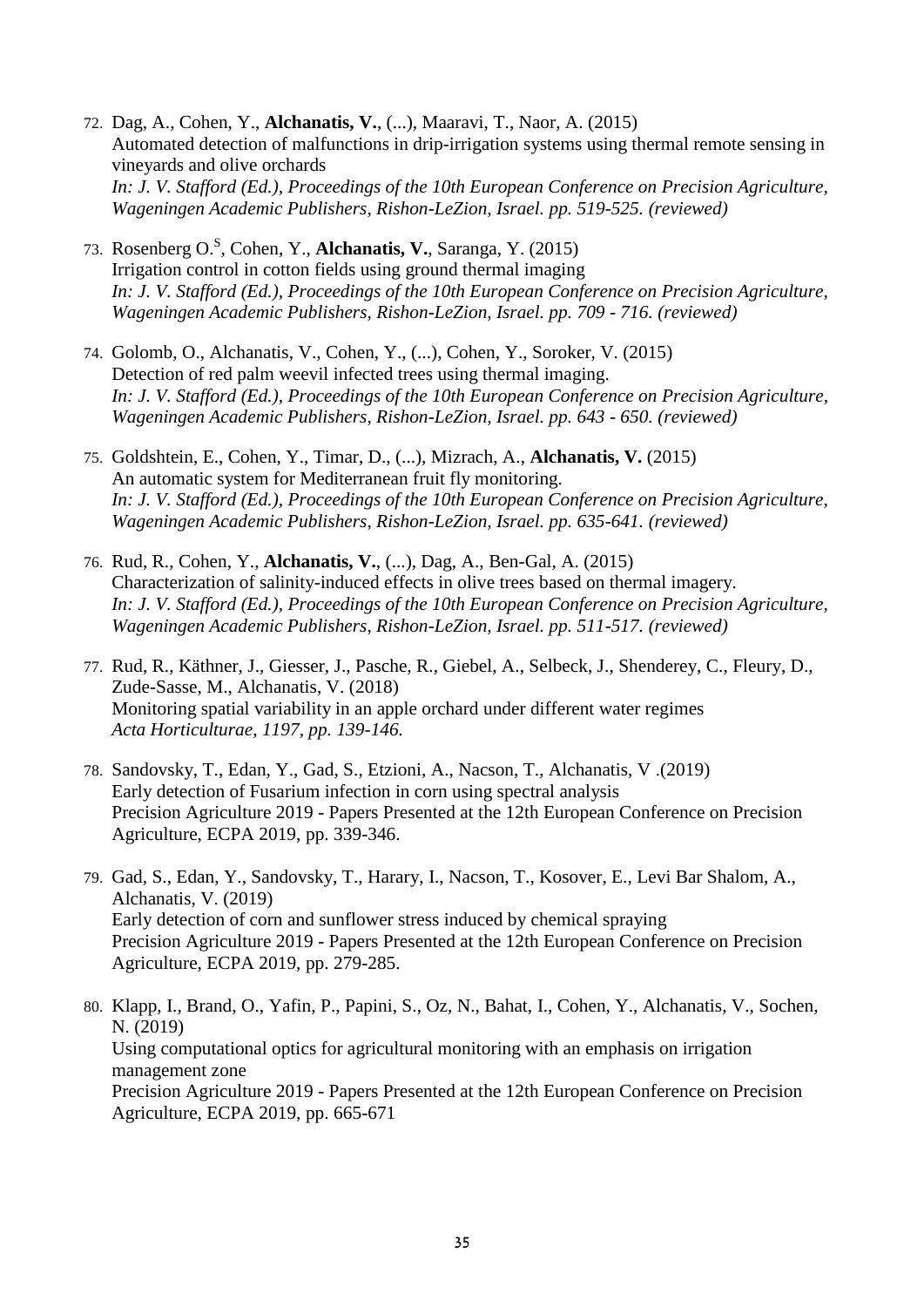- 72. Dag, A., Cohen, Y., **Alchanatis, V.**, (...), Maaravi, T., Naor, A. (2015) Automated detection of malfunctions in drip-irrigation systems using thermal remote sensing in vineyards and olive orchards *In: J. V. Stafford (Ed.), Proceedings of the 10th European Conference on Precision Agriculture, Wageningen Academic Publishers, Rishon-LeZion, Israel. pp. 519-525. (reviewed)*
- 73. Rosenberg O.<sup>S</sup> , Cohen, Y., **Alchanatis, V.**, Saranga, Y. (2015) Irrigation control in cotton fields using ground thermal imaging *In: J. V. Stafford (Ed.), Proceedings of the 10th European Conference on Precision Agriculture, Wageningen Academic Publishers, Rishon-LeZion, Israel. pp. 709 - 716. (reviewed)*
- 74. Golomb, O., Alchanatis, V., Cohen, Y., (...), Cohen, Y., Soroker, V. (2015) Detection of red palm weevil infected trees using thermal imaging. *In: J. V. Stafford (Ed.), Proceedings of the 10th European Conference on Precision Agriculture, Wageningen Academic Publishers, Rishon-LeZion, Israel. pp. 643 - 650. (reviewed)*
- 75. Goldshtein, E., Cohen, Y., Timar, D., (...), Mizrach, A., **Alchanatis, V.** (2015) An automatic system for Mediterranean fruit fly monitoring. *In: J. V. Stafford (Ed.), Proceedings of the 10th European Conference on Precision Agriculture, Wageningen Academic Publishers, Rishon-LeZion, Israel. pp. 635-641. (reviewed)*
- 76. Rud, R., Cohen, Y., **Alchanatis, V.**, (...), Dag, A., Ben-Gal, A. (2015) Characterization of salinity-induced effects in olive trees based on thermal imagery. *In: J. V. Stafford (Ed.), Proceedings of the 10th European Conference on Precision Agriculture, Wageningen Academic Publishers, Rishon-LeZion, Israel. pp. 511-517. (reviewed)*
- 77. Rud, R., Käthner, J., Giesser, J., Pasche, R., Giebel, A., Selbeck, J., Shenderey, C., Fleury, D., Zude-Sasse, M., Alchanatis, V. (2018) Monitoring spatial variability in an apple orchard under different water regimes *Acta Horticulturae, 1197, pp. 139-146.*
- 78. Sandovsky, T., Edan, Y., Gad, S., Etzioni, A., Nacson, T., Alchanatis, V .(2019) Early detection of Fusarium infection in corn using spectral analysis Precision Agriculture 2019 - Papers Presented at the 12th European Conference on Precision Agriculture, ECPA 2019, pp. 339-346.
- 79. Gad, S., Edan, Y., Sandovsky, T., Harary, I., Nacson, T., Kosover, E., Levi Bar Shalom, A., Alchanatis, V. (2019) Early detection of corn and sunflower stress induced by chemical spraying Precision Agriculture 2019 - Papers Presented at the 12th European Conference on Precision Agriculture, ECPA 2019, pp. 279-285.
- 80. Klapp, I., Brand, O., Yafin, P., Papini, S., Oz, N., Bahat, I., Cohen, Y., Alchanatis, V., Sochen, N. (2019) Using computational optics for agricultural monitoring with an emphasis on irrigation management zone Precision Agriculture 2019 - Papers Presented at the 12th European Conference on Precision Agriculture, ECPA 2019, pp. 665-671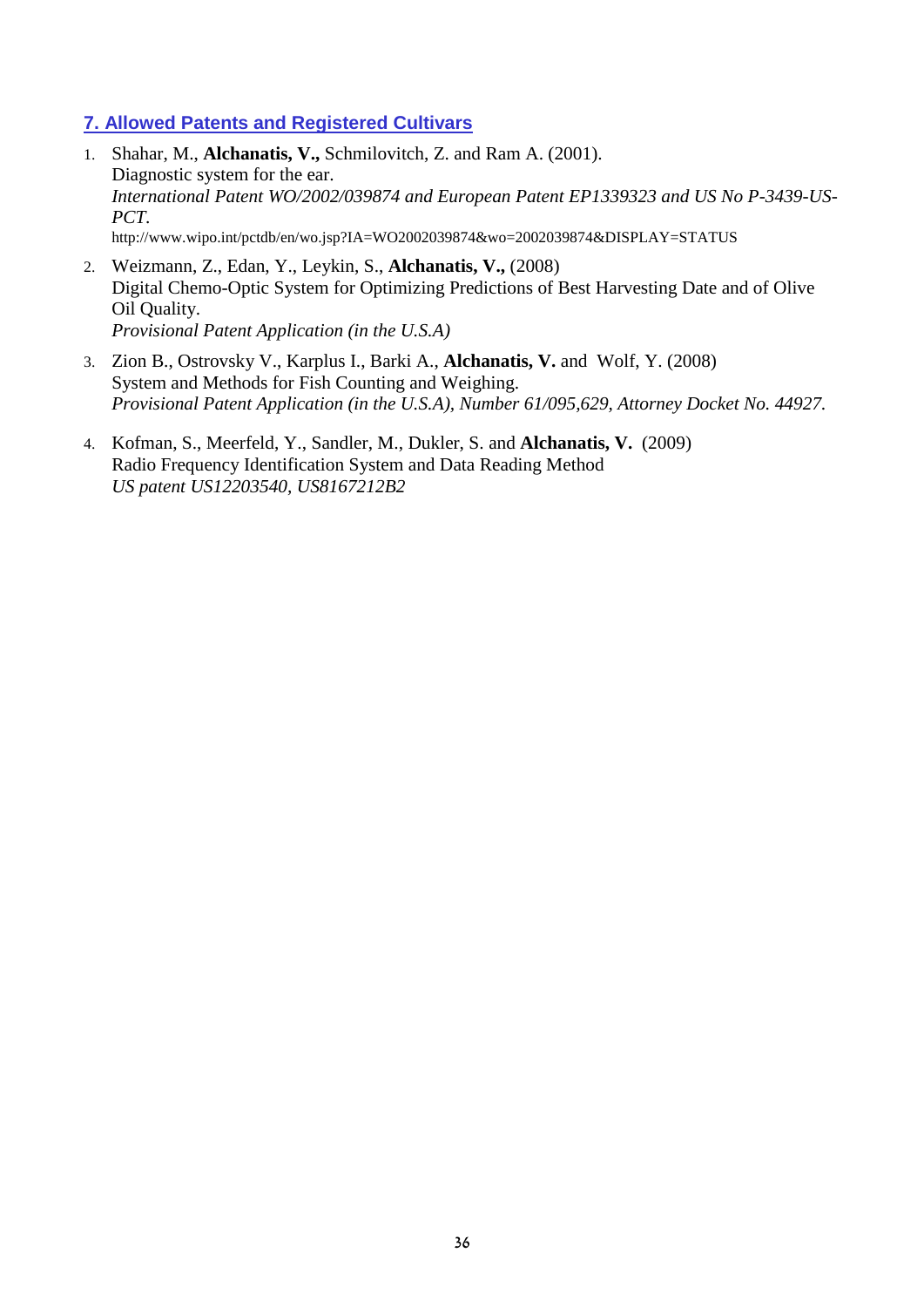### **7. Allowed Patents and Registered Cultivars**

- 1. Shahar, M., **Alchanatis, V.,** Schmilovitch, Z. and Ram A. (2001). Diagnostic system for the ear. *International Patent WO/2002/039874 and European Patent EP1339323 and US No P-3439-US-PCT.* http://www.wipo.int/pctdb/en/wo.jsp?IA=WO2002039874&wo=2002039874&DISPLAY=STATUS
- 2. Weizmann, Z., Edan, Y., Leykin, S., **Alchanatis, V.,** (2008) Digital Chemo-Optic System for Optimizing Predictions of Best Harvesting Date and of Olive Oil Quality. *Provisional Patent Application (in the U.S.A)*
- 3. Zion B., Ostrovsky V., Karplus I., Barki A., **Alchanatis, V.** and Wolf, Y. (2008) System and Methods for Fish Counting and Weighing. *Provisional Patent Application (in the U.S.A), Number 61/095,629, Attorney Docket No. 44927.*
- 4. Kofman, S., Meerfeld, Y., Sandler, M., Dukler, S. and **Alchanatis, V.** (2009) Radio Frequency Identification System and Data Reading Method *US patent US12203540, US8167212B2*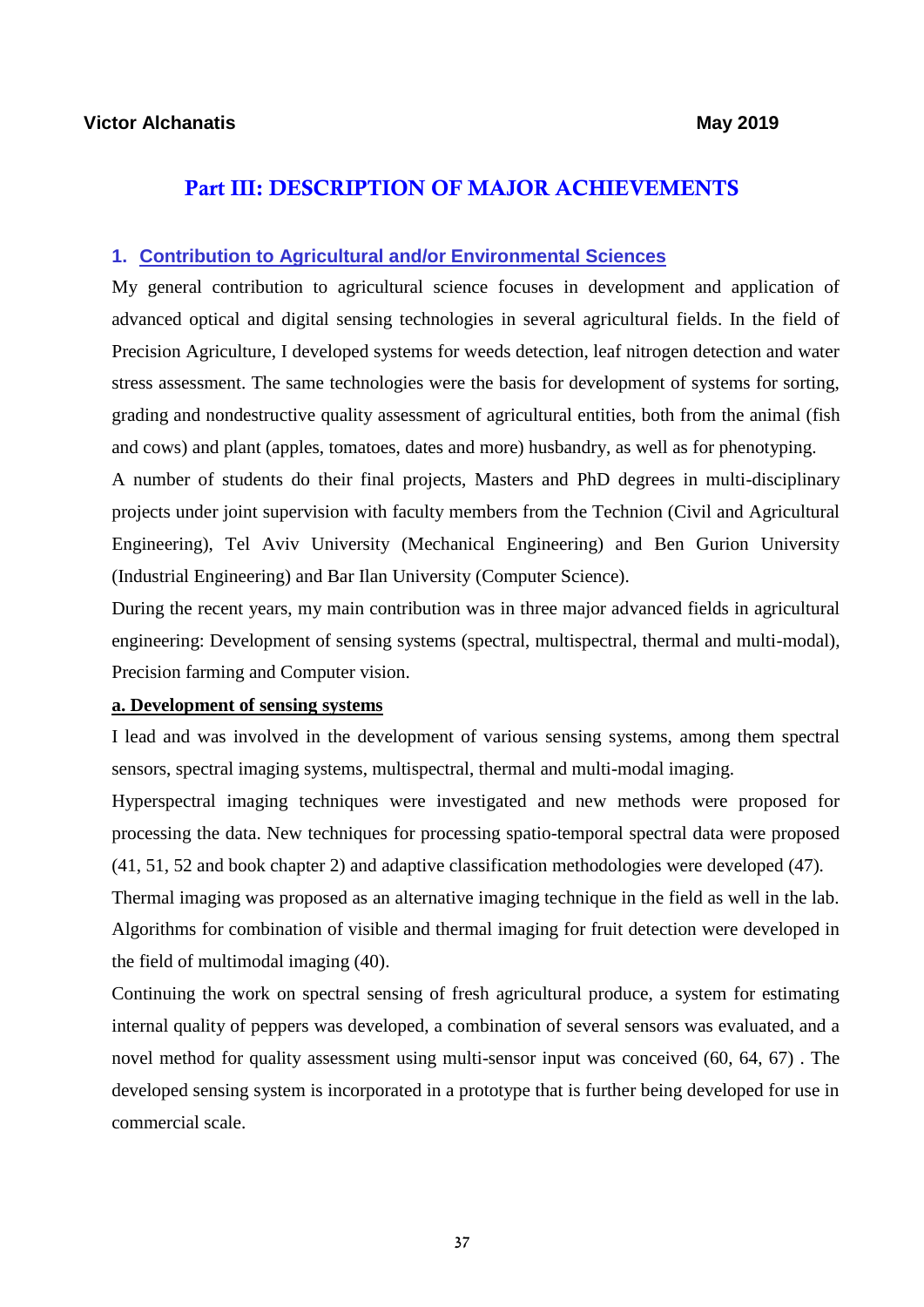### Part III: DESCRIPTION OF MAJOR ACHIEVEMENTS

### **1. Contribution to Agricultural and/or Environmental Sciences**

My general contribution to agricultural science focuses in development and application of advanced optical and digital sensing technologies in several agricultural fields. In the field of Precision Agriculture, I developed systems for weeds detection, leaf nitrogen detection and water stress assessment. The same technologies were the basis for development of systems for sorting, grading and nondestructive quality assessment of agricultural entities, both from the animal (fish and cows) and plant (apples, tomatoes, dates and more) husbandry, as well as for phenotyping.

A number of students do their final projects, Masters and PhD degrees in multi-disciplinary projects under joint supervision with faculty members from the Technion (Civil and Agricultural Engineering), Tel Aviv University (Mechanical Engineering) and Ben Gurion University (Industrial Engineering) and Bar Ilan University (Computer Science).

During the recent years, my main contribution was in three major advanced fields in agricultural engineering: Development of sensing systems (spectral, multispectral, thermal and multi-modal), Precision farming and Computer vision.

### **a. Development of sensing systems**

I lead and was involved in the development of various sensing systems, among them spectral sensors, spectral imaging systems, multispectral, thermal and multi-modal imaging.

Hyperspectral imaging techniques were investigated and new methods were proposed for processing the data. New techniques for processing spatio-temporal spectral data were proposed (41, 51, 52 and book chapter 2) and adaptive classification methodologies were developed (47).

Thermal imaging was proposed as an alternative imaging technique in the field as well in the lab. Algorithms for combination of visible and thermal imaging for fruit detection were developed in the field of multimodal imaging (40).

Continuing the work on spectral sensing of fresh agricultural produce, a system for estimating internal quality of peppers was developed, a combination of several sensors was evaluated, and a novel method for quality assessment using multi-sensor input was conceived (60, 64, 67) . The developed sensing system is incorporated in a prototype that is further being developed for use in commercial scale.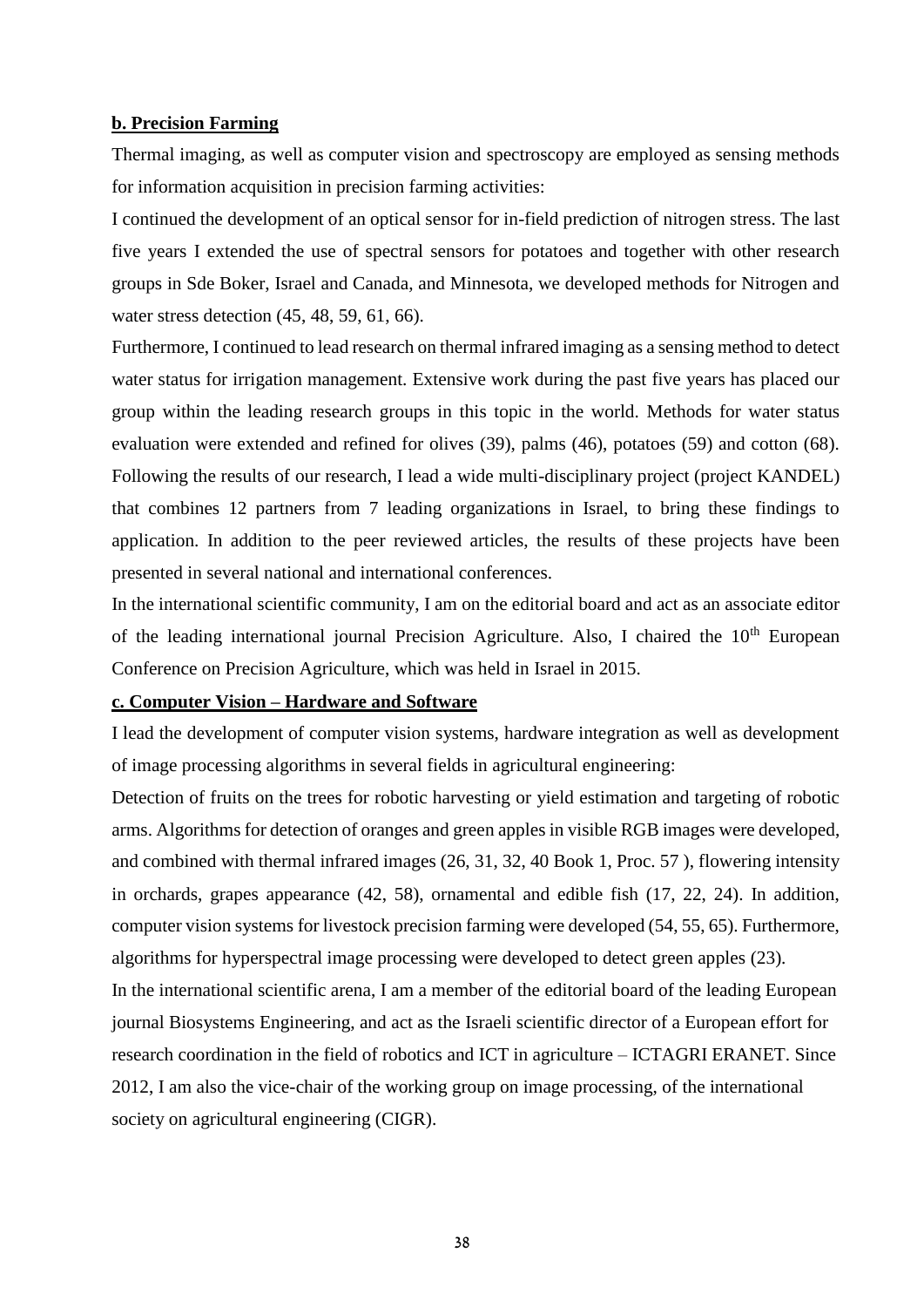### **b. Precision Farming**

Thermal imaging, as well as computer vision and spectroscopy are employed as sensing methods for information acquisition in precision farming activities:

I continued the development of an optical sensor for in-field prediction of nitrogen stress. The last five years I extended the use of spectral sensors for potatoes and together with other research groups in Sde Boker, Israel and Canada, and Minnesota, we developed methods for Nitrogen and water stress detection (45, 48, 59, 61, 66).

Furthermore, I continued to lead research on thermal infrared imaging as a sensing method to detect water status for irrigation management. Extensive work during the past five years has placed our group within the leading research groups in this topic in the world. Methods for water status evaluation were extended and refined for olives (39), palms (46), potatoes (59) and cotton (68). Following the results of our research, I lead a wide multi-disciplinary project (project KANDEL) that combines 12 partners from 7 leading organizations in Israel, to bring these findings to application. In addition to the peer reviewed articles, the results of these projects have been presented in several national and international conferences.

In the international scientific community, I am on the editorial board and act as an associate editor of the leading international journal Precision Agriculture. Also, I chaired the 10<sup>th</sup> European Conference on Precision Agriculture, which was held in Israel in 2015.

### **c. Computer Vision – Hardware and Software**

I lead the development of computer vision systems, hardware integration as well as development of image processing algorithms in several fields in agricultural engineering:

Detection of fruits on the trees for robotic harvesting or yield estimation and targeting of robotic arms. Algorithms for detection of oranges and green apples in visible RGB images were developed, and combined with thermal infrared images (26, 31, 32, 40 Book 1, Proc. 57 ), flowering intensity in orchards, grapes appearance (42, 58), ornamental and edible fish (17, 22, 24). In addition, computer vision systems for livestock precision farming were developed (54, 55, 65). Furthermore, algorithms for hyperspectral image processing were developed to detect green apples (23). In the international scientific arena, I am a member of the editorial board of the leading European journal Biosystems Engineering, and act as the Israeli scientific director of a European effort for research coordination in the field of robotics and ICT in agriculture – ICTAGRI ERANET. Since 2012, I am also the vice-chair of the working group on image processing, of the international society on agricultural engineering (CIGR).